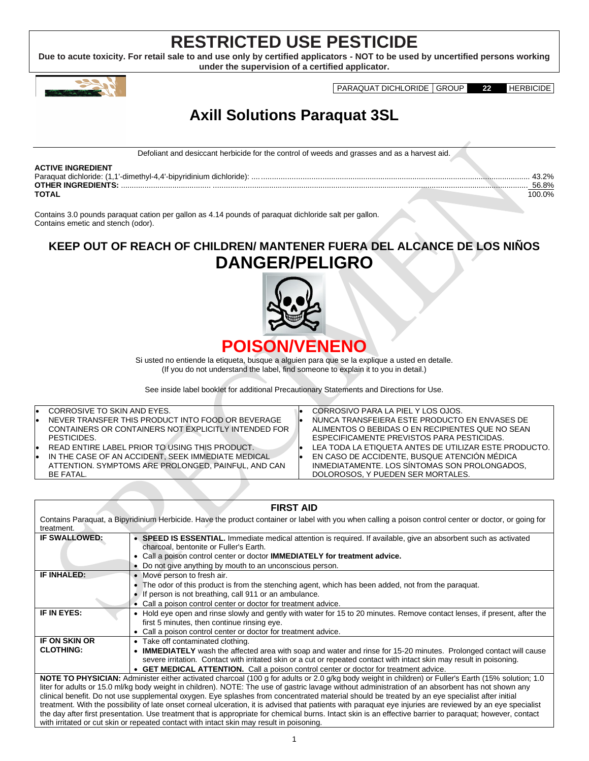# **RESTRICTED USE PESTICIDE**

**Due to acute toxicity. For retail sale to and use only by certified applicators - NOT to be used by uncertified persons working under the supervision of a certified applicator.**

PARAQUAT DICHLORIDE GROUP **22** HERBICIDE

# **Axill Solutions Paraquat 3SL**

Defoliant and desiccant herbicide for the control of weeds and grasses and as a harvest aid.

| <b>ACTIVE INGREDIENT</b>  |        |
|---------------------------|--------|
|                           | 43.2%  |
| <b>OTHER INGREDIENTS:</b> | 56.8%  |
| <b>TOTAL</b>              | 100.0% |
|                           |        |

Contains 3.0 pounds paraquat cation per gallon as 4.14 pounds of paraquat dichloride salt per gallon. Contains emetic and stench (odor).

# **KEEP OUT OF REACH OF CHILDREN/ MANTENER FUERA DEL ALCANCE DE LOS NIÑOS DANGER/PELIGRO**



Si usted no entiende la etiqueta, busque a alguien para que se la explique a usted en detalle. (If you do not understand the label, find someone to explain it to you in detail.)

See inside label booklet for additional Precautionary Statements and Directions for Use.

| • CORROSIVE TO SKIN AND EYES.                            | CORROSIVO PARA LA PIEL Y LOS OJOS.                    |
|----------------------------------------------------------|-------------------------------------------------------|
| • NEVER TRANSFER THIS PRODUCT INTO FOOD OR BEVERAGE      | NUNCA TRANSFEIERA ESTE PRODUCTO EN ENVASES DE         |
| CONTAINERS OR CONTAINERS NOT EXPLICITLY INTENDED FOR     | ALIMENTOS O BEBIDAS O EN RECIPIENTES QUE NO SEAN      |
| PESTICIDES.                                              | ESPECIFICAMENTE PREVISTOS PARA PESTICIDAS.            |
| $\bullet$ READ ENTIRE LABEL PRIOR TO USING THIS PRODUCT. | LEA TODA LA ETIQUETA ANTES DE UTILIZAR ESTE PRODUCTO. |
| • IN THE CASE OF AN ACCIDENT, SEEK IMMEDIATE MEDICAL     | EN CASO DE ACCIDENTE. BUSQUE ATENCIÓN MÉDICA          |
| ATTENTION. SYMPTOMS ARE PROLONGED, PAINFUL, AND CAN      | INMEDIATAMENTE. LOS SINTOMAS SON PROLONGADOS,         |
| <b>BE FATAL.</b>                                         | DOLOROSOS, Y PUEDEN SER MORTALES.                     |

## **FIRST AID**

Contains Paraquat, a Bipyridinium Herbicide. Have the product container or label with you when calling a poison control center or doctor, or going for treatment.

| <b>IF SWALLOWED:</b>                                                                                                                                      | • SPEED IS ESSENTIAL. Immediate medical attention is required. If available, give an absorbent such as activated                                           |  |  |  |  |
|-----------------------------------------------------------------------------------------------------------------------------------------------------------|------------------------------------------------------------------------------------------------------------------------------------------------------------|--|--|--|--|
|                                                                                                                                                           | charcoal, bentonite or Fuller's Earth.                                                                                                                     |  |  |  |  |
|                                                                                                                                                           | • Call a poison control center or doctor <b>IMMEDIATELY</b> for treatment advice.                                                                          |  |  |  |  |
|                                                                                                                                                           | • Do not give anything by mouth to an unconscious person.                                                                                                  |  |  |  |  |
| <b>IF INHALED:</b>                                                                                                                                        | • Move person to fresh air.                                                                                                                                |  |  |  |  |
|                                                                                                                                                           | The odor of this product is from the stenching agent, which has been added, not from the paraquat.                                                         |  |  |  |  |
|                                                                                                                                                           | • If person is not breathing, call 911 or an ambulance.                                                                                                    |  |  |  |  |
|                                                                                                                                                           | • Call a poison control center or doctor for treatment advice.                                                                                             |  |  |  |  |
| IF IN EYES:                                                                                                                                               | • Hold eye open and rinse slowly and gently with water for 15 to 20 minutes. Remove contact lenses, if present, after the                                  |  |  |  |  |
|                                                                                                                                                           | first 5 minutes, then continue rinsing eye.                                                                                                                |  |  |  |  |
|                                                                                                                                                           | • Call a poison control center or doctor for treatment advice.                                                                                             |  |  |  |  |
| <b>IF ON SKIN OR</b>                                                                                                                                      | • Take off contaminated clothing.                                                                                                                          |  |  |  |  |
| <b>CLOTHING:</b>                                                                                                                                          | <b>IMMEDIATELY</b> wash the affected area with soap and water and rinse for 15-20 minutes. Prolonged contact will cause                                    |  |  |  |  |
|                                                                                                                                                           | severe irritation. Contact with irritated skin or a cut or repeated contact with intact skin may result in poisoning.                                      |  |  |  |  |
|                                                                                                                                                           | • GET MEDICAL ATTENTION. Call a poison control center or doctor for treatment advice.                                                                      |  |  |  |  |
|                                                                                                                                                           | NOTE TO PHYSICIAN: Administer either activated charcoal (100 g for adults or 2.0 g/kg body weight in children) or Fuller's Earth (15% solution; 1.0        |  |  |  |  |
|                                                                                                                                                           | liter for adults or 15.0 ml/kg body weight in children). NOTE: The use of gastric lavage without administration of an absorbent has not shown any          |  |  |  |  |
|                                                                                                                                                           | clinical benefit. Do not use supplemental oxygen. Eye splashes from concentrated material should be treated by an eye specialist after initial             |  |  |  |  |
|                                                                                                                                                           | treatment. With the possibility of late onset corneal ulceration, it is advised that patients with paraquat eye injuries are reviewed by an eye specialist |  |  |  |  |
| the day after first presentation. Use treatment that is appropriate for chemical burns. Intact skin is an effective barrier to paraquat; however, contact |                                                                                                                                                            |  |  |  |  |

with irritated or cut skin or repeated contact with intact skin may result in poisoning.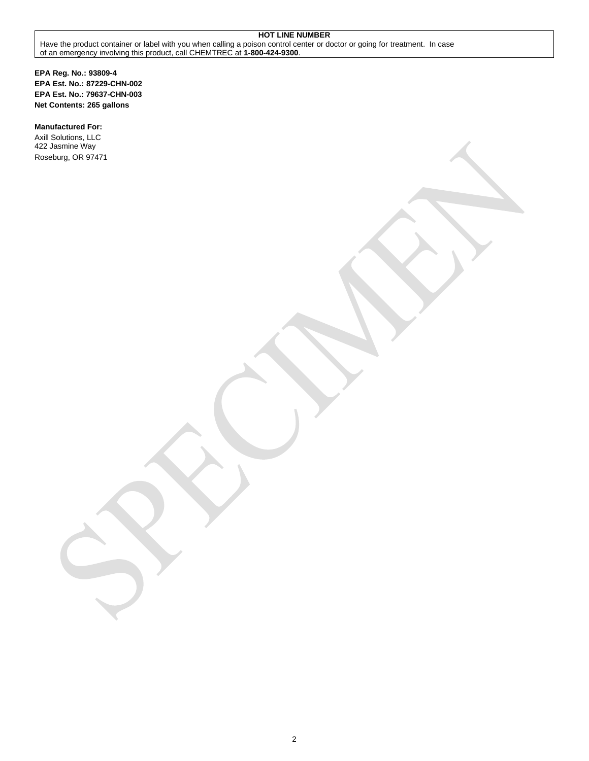#### **HOT LINE NUMBER**

Have the product container or label with you when calling a poison control center or doctor or going for treatment. In case of an emergency involving this product, call CHEMTREC at **1-800-424-9300**.

**EPA Reg. No.: 93809-4 EPA Est. No.: 87229-CHN-002 EPA Est. No.: 79637-CHN-003 Net Contents: 265 gallons**

**Manufactured For:**

Axill Solutions, LLC 422 Jasmine Way Roseburg, OR 97471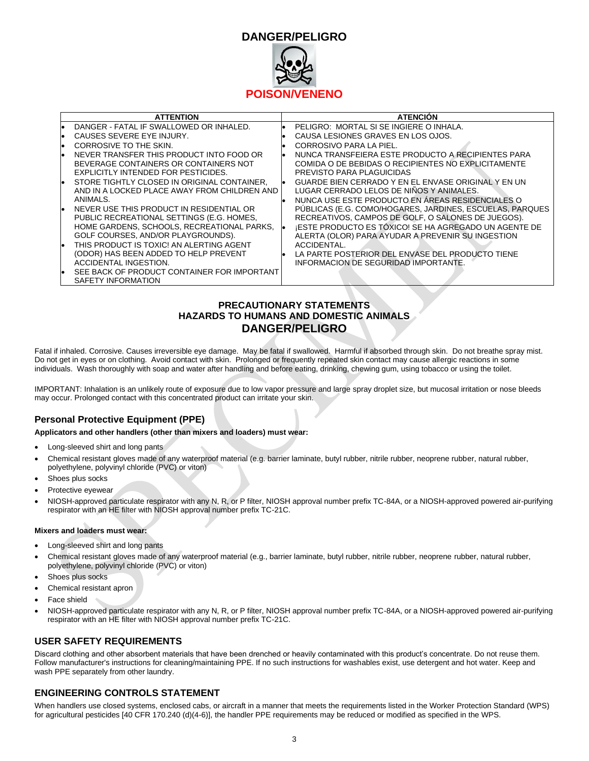

| <b>ATTENTION</b>                             | <b>ATENCION</b>                                              |
|----------------------------------------------|--------------------------------------------------------------|
| DANGER - FATAL IF SWALLOWED OR INHALED.      | PELIGRO: MORTAL SI SE INGIERE O INHALA.                      |
| CAUSES SEVERE EYE INJURY.                    | CAUSA LESIONES GRAVES EN LOS OJOS.                           |
| CORROSIVE TO THE SKIN.                       | CORROSIVO PARA LA PIEL.                                      |
| NEVER TRANSFER THIS PRODUCT INTO FOOD OR     | NUNCA TRANSFEIERA ESTE PRODUCTO A RECIPIENTES PARA           |
| BEVERAGE CONTAINERS OR CONTAINERS NOT        | COMIDA O DE BEBIDAS O RECIPIENTES NO EXPLICITAMENTE          |
| EXPLICITLY INTENDED FOR PESTICIDES.          | PREVISTO PARA PLAGUICIDAS                                    |
| STORE TIGHTLY CLOSED IN ORIGINAL CONTAINER,  | GUARDE BIEN CERRADO Y EN EL ENVASE ORIGINAL Y EN UN          |
| AND IN A LOCKED PLACE AWAY FROM CHILDREN AND | LUGAR CERRADO LELOS DE NIÑOS Y ANIMALES.                     |
| ANIMALS.                                     | NUNCA USE ESTE PRODUCTO EN ÁREAS RESIDENCIALES O             |
| NEVER USE THIS PRODUCT IN RESIDENTIAL OR     | PÚBLICAS (E.G. COMO/HOGARES, JARDINES, ESCUELAS, PARQUES     |
| PUBLIC RECREATIONAL SETTINGS (E.G. HOMES,    | RECREATIVOS, CAMPOS DE GOLF, O SALONES DE JUEGOS).           |
| HOME GARDENS, SCHOOLS, RECREATIONAL PARKS,   | <b>¡ESTE PRODUCTO ES TÓXICO! SE HA AGREGADO UN AGENTE DE</b> |
| GOLF COURSES, AND/OR PLAYGROUNDS).           | ALERTA (OLOR) PARA AYUDAR A PREVENIR SU INGESTION            |
| THIS PRODUCT IS TOXIC! AN ALERTING AGENT     | ACCIDENTAL.                                                  |
| (ODOR) HAS BEEN ADDED TO HELP PREVENT        | LA PARTE POSTERIOR DEL ENVASE DEL PRODUCTO TIENE             |
| ACCIDENTAL INGESTION.                        | INFORMACION DE SEGURIDAD IMPORTANTE.                         |
| SEE BACK OF PRODUCT CONTAINER FOR IMPORTANT  |                                                              |
| <b>SAFETY INFORMATION</b>                    |                                                              |

## **PRECAUTIONARY STATEMENTS HAZARDS TO HUMANS AND DOMESTIC ANIMALS DANGER/PELIGRO**

Fatal if inhaled. Corrosive. Causes irreversible eye damage. May be fatal if swallowed. Harmful if absorbed through skin. Do not breathe spray mist. Do not get in eyes or on clothing. Avoid contact with skin. Prolonged or frequently repeated skin contact may cause allergic reactions in some individuals. Wash thoroughly with soap and water after handling and before eating, drinking, chewing gum, using tobacco or using the toilet.

IMPORTANT: Inhalation is an unlikely route of exposure due to low vapor pressure and large spray droplet size, but mucosal irritation or nose bleeds may occur. Prolonged contact with this concentrated product can irritate your skin.

## **Personal Protective Equipment (PPE)**

**Applicators and other handlers (other than mixers and loaders) must wear:**

- Long-sleeved shirt and long pants
- Chemical resistant gloves made of any waterproof material (e.g. barrier laminate, butyl rubber, nitrile rubber, neoprene rubber, natural rubber, polyethylene, polyvinyl chloride (PVC) or viton)
- Shoes plus socks
- Protective eyewear
- NIOSH-approved particulate respirator with any N, R, or P filter, NIOSH approval number prefix TC-84A, or a NIOSH-approved powered air-purifying respirator with an HE filter with NIOSH approval number prefix TC-21C.

#### **Mixers and loaders must wear:**

- Long-sleeved shirt and long pants
- Chemical resistant gloves made of any waterproof material (e.g., barrier laminate, butyl rubber, nitrile rubber, neoprene rubber, natural rubber, polyethylene, polyvinyl chloride (PVC) or viton)
- Shoes plus socks
- Chemical resistant apron
- Face shield
- NIOSH-approved particulate respirator with any N, R, or P filter, NIOSH approval number prefix TC-84A, or a NIOSH-approved powered air-purifying respirator with an HE filter with NIOSH approval number prefix TC-21C.

## **USER SAFETY REQUIREMENTS**

Discard clothing and other absorbent materials that have been drenched or heavily contaminated with this product's concentrate. Do not reuse them. Follow manufacturer's instructions for cleaning/maintaining PPE. If no such instructions for washables exist, use detergent and hot water. Keep and wash PPE separately from other laundry.

## **ENGINEERING CONTROLS STATEMENT**

When handlers use closed systems, enclosed cabs, or aircraft in a manner that meets the requirements listed in the Worker Protection Standard (WPS) for agricultural pesticides [40 CFR 170.240 (d)(4-6)], the handler PPE requirements may be reduced or modified as specified in the WPS.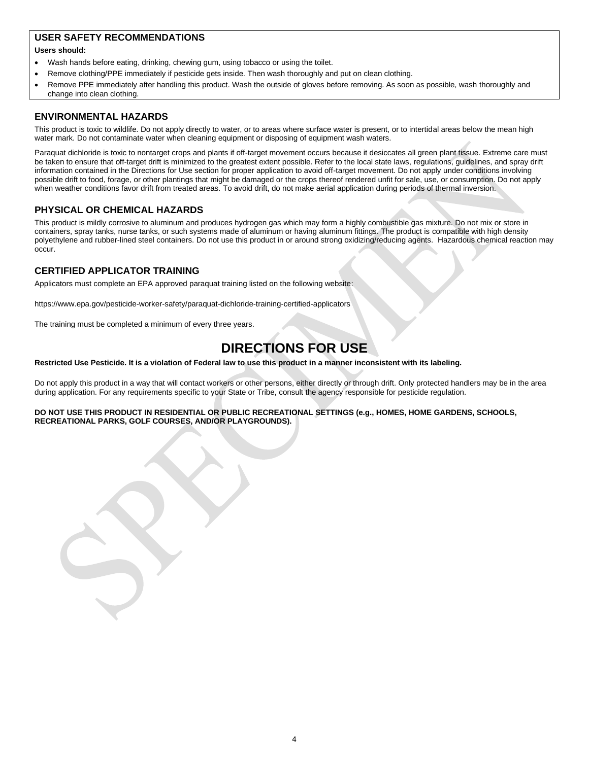## **USER SAFETY RECOMMENDATIONS**

#### **Users should:**

- Wash hands before eating, drinking, chewing gum, using tobacco or using the toilet.
- Remove clothing/PPE immediately if pesticide gets inside. Then wash thoroughly and put on clean clothing.
- Remove PPE immediately after handling this product. Wash the outside of gloves before removing. As soon as possible, wash thoroughly and change into clean clothing.

## **ENVIRONMENTAL HAZARDS**

This product is toxic to wildlife. Do not apply directly to water, or to areas where surface water is present, or to intertidal areas below the mean high water mark. Do not contaminate water when cleaning equipment or disposing of equipment wash waters.

Paraquat dichloride is toxic to nontarget crops and plants if off-target movement occurs because it desiccates all green plant tissue. Extreme care must be taken to ensure that off-target drift is minimized to the greatest extent possible. Refer to the local state laws, regulations, guidelines, and spray drift information contained in the Directions for Use section for proper application to avoid off-target movement. Do not apply under conditions involving possible drift to food, forage, or other plantings that might be damaged or the crops thereof rendered unfit for sale, use, or consumption. Do not apply when weather conditions favor drift from treated areas. To avoid drift, do not make aerial application during periods of thermal inversion.

## **PHYSICAL OR CHEMICAL HAZARDS**

This product is mildly corrosive to aluminum and produces hydrogen gas which may form a highly combustible gas mixture. Do not mix or store in containers, spray tanks, nurse tanks, or such systems made of aluminum or having aluminum fittings. The product is compatible with high density polyethylene and rubber-lined steel containers. Do not use this product in or around strong oxidizing/reducing agents. Hazardous chemical reaction may occur.

## **CERTIFIED APPLICATOR TRAINING**

Applicators must complete an EPA approved paraquat training listed on the following website:

https://www.epa.gov/pesticide-worker-safety/paraquat-dichloride-training-certified-applicators

The training must be completed a minimum of every three years.

# **DIRECTIONS FOR USE**

**Restricted Use Pesticide. It is a violation of Federal law to use this product in a manner inconsistent with its labeling.** 

Do not apply this product in a way that will contact workers or other persons, either directly or through drift. Only protected handlers may be in the area during application. For any requirements specific to your State or Tribe, consult the agency responsible for pesticide regulation.

#### **DO NOT USE THIS PRODUCT IN RESIDENTIAL OR PUBLIC RECREATIONAL SETTINGS (e.g., HOMES, HOME GARDENS, SCHOOLS, RECREATIONAL PARKS, GOLF COURSES, AND/OR PLAYGROUNDS).**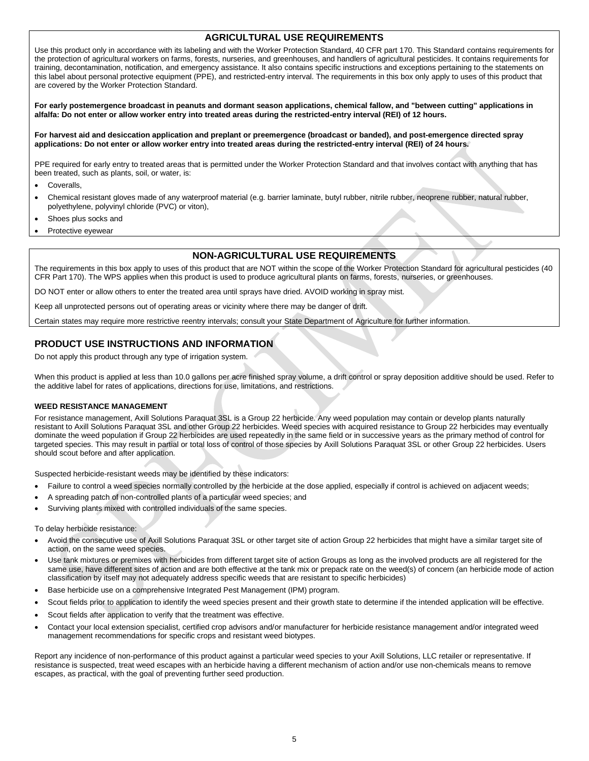## **AGRICULTURAL USE REQUIREMENTS**

Use this product only in accordance with its labeling and with the Worker Protection Standard, 40 CFR part 170. This Standard contains requirements for the protection of agricultural workers on farms, forests, nurseries, and greenhouses, and handlers of agricultural pesticides. It contains requirements for training, decontamination, notification, and emergency assistance. It also contains specific instructions and exceptions pertaining to the statements on this label about personal protective equipment (PPE), and restricted-entry interval. The requirements in this box only apply to uses of this product that are covered by the Worker Protection Standard.

**For early postemergence broadcast in peanuts and dormant season applications, chemical fallow, and "between cutting" applications in alfalfa: Do not enter or allow worker entry into treated areas during the restricted-entry interval (REI) of 12 hours.**

**For harvest aid and desiccation application and preplant or preemergence (broadcast or banded), and post-emergence directed spray applications: Do not enter or allow worker entry into treated areas during the restricted-entry interval (REI) of 24 hours.**

PPE required for early entry to treated areas that is permitted under the Worker Protection Standard and that involves contact with anything that has been treated, such as plants, soil, or water, is:

- Coveralls,
- Chemical resistant gloves made of any waterproof material (e.g. barrier laminate, butyl rubber, nitrile rubber, neoprene rubber, natural rubber, polyethylene, polyvinyl chloride (PVC) or viton),
- Shoes plus socks and
- Protective eyewear

## **NON-AGRICULTURAL USE REQUIREMENTS**

The requirements in this box apply to uses of this product that are NOT within the scope of the Worker Protection Standard for agricultural pesticides (40 CFR Part 170). The WPS applies when this product is used to produce agricultural plants on farms, forests, nurseries, or greenhouses.

DO NOT enter or allow others to enter the treated area until sprays have dried. AVOID working in spray mist.

Keep all unprotected persons out of operating areas or vicinity where there may be danger of drift.

Certain states may require more restrictive reentry intervals; consult your State Department of Agriculture for further information.

## **PRODUCT USE INSTRUCTIONS AND INFORMATION**

Do not apply this product through any type of irrigation system.

When this product is applied at less than 10.0 gallons per acre finished spray volume, a drift control or spray deposition additive should be used. Refer to the additive label for rates of applications, directions for use, limitations, and restrictions.

#### **WEED RESISTANCE MANAGEMENT**

For resistance management, Axill Solutions Paraquat 3SL is a Group 22 herbicide. Any weed population may contain or develop plants naturally resistant to Axill Solutions Paraquat 3SL and other Group 22 herbicides. Weed species with acquired resistance to Group 22 herbicides may eventually dominate the weed population if Group 22 herbicides are used repeatedly in the same field or in successive years as the primary method of control for targeted species. This may result in partial or total loss of control of those species by Axill Solutions Paraquat 3SL or other Group 22 herbicides. Users should scout before and after application.

Suspected herbicide-resistant weeds may be identified by these indicators:

- Failure to control a weed species normally controlled by the herbicide at the dose applied, especially if control is achieved on adjacent weeds;
- A spreading patch of non-controlled plants of a particular weed species; and
- Surviving plants mixed with controlled individuals of the same species.

#### To delay herbicide resistance:

- Avoid the consecutive use of Axill Solutions Paraquat 3SL or other target site of action Group 22 herbicides that might have a similar target site of action, on the same weed species.
- Use tank mixtures or premixes with herbicides from different target site of action Groups as long as the involved products are all registered for the same use, have different sites of action and are both effective at the tank mix or prepack rate on the weed(s) of concern (an herbicide mode of action classification by itself may not adequately address specific weeds that are resistant to specific herbicides)
- Base herbicide use on a comprehensive Integrated Pest Management (IPM) program.
- Scout fields prior to application to identify the weed species present and their growth state to determine if the intended application will be effective.
- Scout fields after application to verify that the treatment was effective.
- Contact your local extension specialist, certified crop advisors and/or manufacturer for herbicide resistance management and/or integrated weed management recommendations for specific crops and resistant weed biotypes.

Report any incidence of non-performance of this product against a particular weed species to your Axill Solutions, LLC retailer or representative. If resistance is suspected, treat weed escapes with an herbicide having a different mechanism of action and/or use non-chemicals means to remove escapes, as practical, with the goal of preventing further seed production.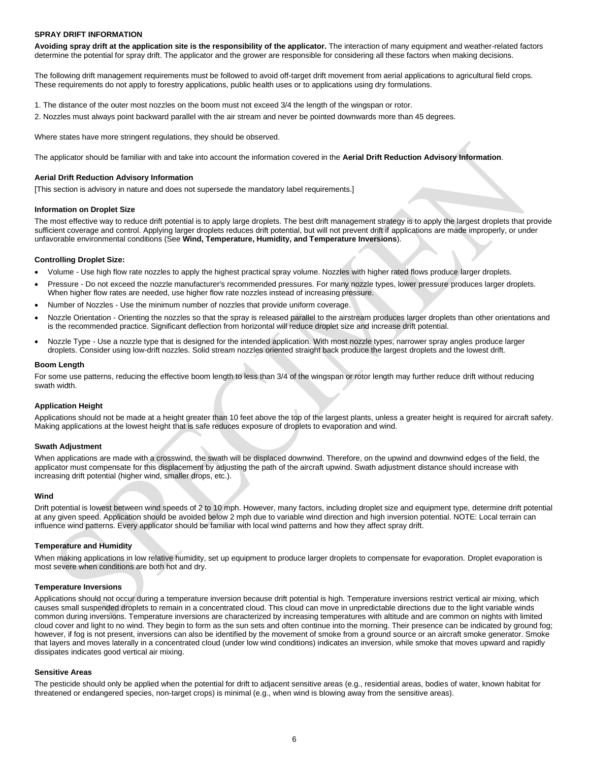#### **SPRAY DRIFT INFORMATION**

Avoiding spray drift at the application site is the responsibility of the applicator. The interaction of many equipment and weather-related factors determine the potential for spray drift. The applicator and the grower are responsible for considering all these factors when making decisions.

The following drift management requirements must be followed to avoid off-target drift movement from aerial applications to agricultural field crops. These requirements do not apply to forestry applications, public health uses or to applications using dry formulations.

1. The distance of the outer most nozzles on the boom must not exceed 3/4 the length of the wingspan or rotor.

2. Nozzles must always point backward parallel with the air stream and never be pointed downwards more than 45 degrees.

Where states have more stringent regulations, they should be observed.

The applicator should be familiar with and take into account the information covered in the **Aerial Drift Reduction Advisory Information**.

#### **Aerial Drift Reduction Advisory Information**

[This section is advisory in nature and does not supersede the mandatory label requirements.]

#### **Information on Droplet Size**

The most effective way to reduce drift potential is to apply large droplets. The best drift management strategy is to apply the largest droplets that provide sufficient coverage and control. Applying larger droplets reduces drift potential, but will not prevent drift if applications are made improperly, or under unfavorable environmental conditions (See **Wind, Temperature, Humidity, and Temperature Inversions**).

#### **Controlling Droplet Size:**

- Volume Use high flow rate nozzles to apply the highest practical spray volume. Nozzles with higher rated flows produce larger droplets.
- Pressure Do not exceed the nozzle manufacturer's recommended pressures. For many nozzle types, lower pressure produces larger droplets. When higher flow rates are needed, use higher flow rate nozzles instead of increasing pressure.
- Number of Nozzles Use the minimum number of nozzles that provide uniform coverage.
- Nozzle Orientation Orienting the nozzles so that the spray is released parallel to the airstream produces larger droplets than other orientations and is the recommended practice. Significant deflection from horizontal will reduce droplet size and increase drift potential.
- Nozzle Type Use a nozzle type that is designed for the intended application. With most nozzle types, narrower spray angles produce larger droplets. Consider using low-drift nozzles. Solid stream nozzles oriented straight back produce the largest droplets and the lowest drift.

#### **Boom Length**

For some use patterns, reducing the effective boom length to less than 3/4 of the wingspan or rotor length may further reduce drift without reducing swath width.

#### **Application Height**

Applications should not be made at a height greater than 10 feet above the top of the largest plants, unless a greater height is required for aircraft safety. Making applications at the lowest height that is safe reduces exposure of droplets to evaporation and wind.

#### **Swath Adjustment**

When applications are made with a crosswind, the swath will be displaced downwind. Therefore, on the upwind and downwind edges of the field, the applicator must compensate for this displacement by adjusting the path of the aircraft upwind. Swath adjustment distance should increase with increasing drift potential (higher wind, smaller drops, etc.).

#### **Wind**

Drift potential is lowest between wind speeds of 2 to 10 mph. However, many factors, including droplet size and equipment type, determine drift potential at any given speed. Application should be avoided below 2 mph due to variable wind direction and high inversion potential. NOTE: Local terrain can influence wind patterns. Every applicator should be familiar with local wind patterns and how they affect spray drift.

#### **Temperature and Humidity**

When making applications in low relative humidity, set up equipment to produce larger droplets to compensate for evaporation. Droplet evaporation is most severe when conditions are both hot and dry.

#### **Temperature Inversions**

Applications should not occur during a temperature inversion because drift potential is high. Temperature inversions restrict vertical air mixing, which causes small suspended droplets to remain in a concentrated cloud. This cloud can move in unpredictable directions due to the light variable winds common during inversions. Temperature inversions are characterized by increasing temperatures with altitude and are common on nights with limited cloud cover and light to no wind. They begin to form as the sun sets and often continue into the morning. Their presence can be indicated by ground fog; however, if fog is not present, inversions can also be identified by the movement of smoke from a ground source or an aircraft smoke generator. Smoke that layers and moves laterally in a concentrated cloud (under low wind conditions) indicates an inversion, while smoke that moves upward and rapidly dissipates indicates good vertical air mixing.

#### **Sensitive Areas**

The pesticide should only be applied when the potential for drift to adjacent sensitive areas (e.g., residential areas, bodies of water, known habitat for threatened or endangered species, non-target crops) is minimal (e.g., when wind is blowing away from the sensitive areas).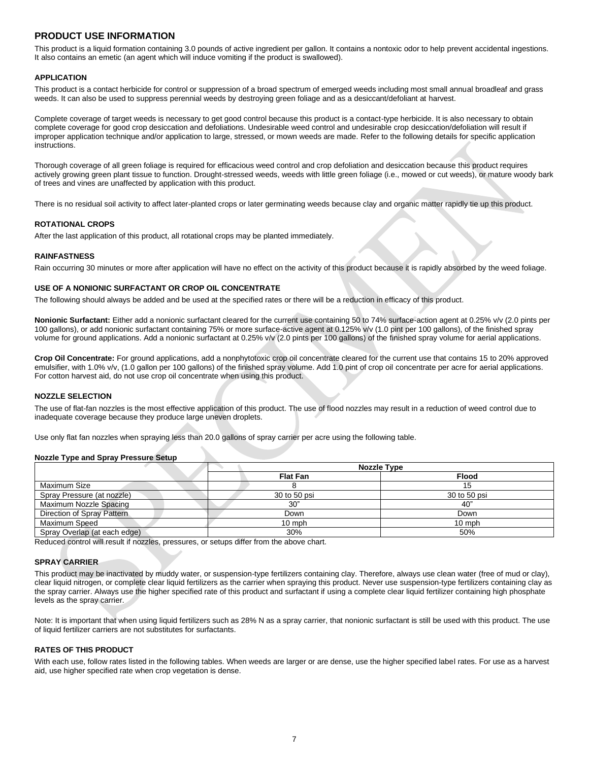## **PRODUCT USE INFORMATION**

This product is a liquid formation containing 3.0 pounds of active ingredient per gallon. It contains a nontoxic odor to help prevent accidental ingestions. It also contains an emetic (an agent which will induce vomiting if the product is swallowed).

#### **APPLICATION**

This product is a contact herbicide for control or suppression of a broad spectrum of emerged weeds including most small annual broadleaf and grass weeds. It can also be used to suppress perennial weeds by destroying green foliage and as a desiccant/defoliant at harvest.

Complete coverage of target weeds is necessary to get good control because this product is a contact-type herbicide. It is also necessary to obtain complete coverage for good crop desiccation and defoliations. Undesirable weed control and undesirable crop desiccation/defoliation will result if improper application technique and/or application to large, stressed, or mown weeds are made. Refer to the following details for specific application instructions.

Thorough coverage of all green foliage is required for efficacious weed control and crop defoliation and desiccation because this product requires actively growing green plant tissue to function. Drought-stressed weeds, weeds with little green foliage (i.e., mowed or cut weeds), or mature woody bark of trees and vines are unaffected by application with this product.

There is no residual soil activity to affect later-planted crops or later germinating weeds because clay and organic matter rapidly tie up this product.

#### **ROTATIONAL CROPS**

After the last application of this product, all rotational crops may be planted immediately.

#### **RAINFASTNESS**

Rain occurring 30 minutes or more after application will have no effect on the activity of this product because it is rapidly absorbed by the weed foliage.

#### **USE OF A NONIONIC SURFACTANT OR CROP OIL CONCENTRATE**

The following should always be added and be used at the specified rates or there will be a reduction in efficacy of this product.

**Nonionic Surfactant:** Either add a nonionic surfactant cleared for the current use containing 50 to 74% surface-action agent at 0.25% v/v (2.0 pints per 100 gallons), or add nonionic surfactant containing 75% or more surface-active agent at 0.125% v/v (1.0 pint per 100 gallons), of the finished spray volume for ground applications. Add a nonionic surfactant at 0.25% v/v (2.0 pints per 100 gallons) of the finished spray volume for aerial applications.

**Crop Oil Concentrate:** For ground applications, add a nonphytotoxic crop oil concentrate cleared for the current use that contains 15 to 20% approved emulsifier, with 1.0% v/v, (1.0 gallon per 100 gallons) of the finished spray volume. Add 1.0 pint of crop oil concentrate per acre for aerial applications. For cotton harvest aid, do not use crop oil concentrate when using this product.

#### **NOZZLE SELECTION**

The use of flat-fan nozzles is the most effective application of this product. The use of flood nozzles may result in a reduction of weed control due to inadequate coverage because they produce large uneven droplets.

Use only flat fan nozzles when spraying less than 20.0 gallons of spray carrier per acre using the following table.

#### **Nozzle Type and Spray Pressure Setup**

|                              | <b>Nozzle Type</b> |              |
|------------------------------|--------------------|--------------|
|                              | <b>Flat Fan</b>    | <b>Flood</b> |
| Maximum Size                 |                    | 15           |
| Spray Pressure (at nozzle)   | 30 to 50 psi       | 30 to 50 psi |
| Maximum Nozzle Spacing       | 30"                | 40"          |
| Direction of Spray Pattern   | Down               | Down         |
| Maximum Speed                | 10 mph             | 10 mph       |
| Spray Overlap (at each edge) | 30%                | 50%          |

Reduced control will result if nozzles, pressures, or setups differ from the above chart.

#### **SPRAY CARRIER**

This product may be inactivated by muddy water, or suspension-type fertilizers containing clay. Therefore, always use clean water (free of mud or clay), clear liquid nitrogen, or complete clear liquid fertilizers as the carrier when spraying this product. Never use suspension-type fertilizers containing clay as the spray carrier. Always use the higher specified rate of this product and surfactant if using a complete clear liquid fertilizer containing high phosphate levels as the spray carrier.

Note: It is important that when using liquid fertilizers such as 28% N as a spray carrier, that nonionic surfactant is still be used with this product. The use of liquid fertilizer carriers are not substitutes for surfactants.

#### **RATES OF THIS PRODUCT**

With each use, follow rates listed in the following tables. When weeds are larger or are dense, use the higher specified label rates. For use as a harvest aid, use higher specified rate when crop vegetation is dense.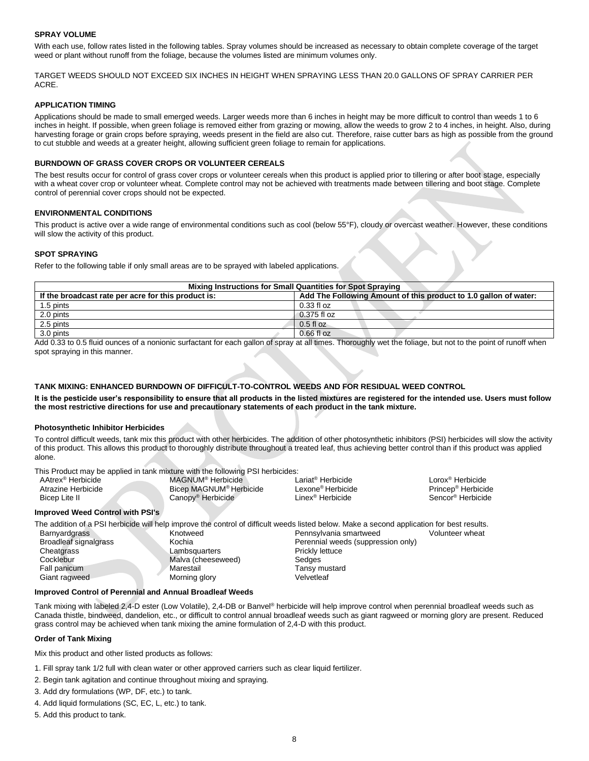#### **SPRAY VOLUME**

With each use, follow rates listed in the following tables. Spray volumes should be increased as necessary to obtain complete coverage of the target weed or plant without runoff from the foliage, because the volumes listed are minimum volumes only.

TARGET WEEDS SHOULD NOT EXCEED SIX INCHES IN HEIGHT WHEN SPRAYING LESS THAN 20.0 GALLONS OF SPRAY CARRIER PER ACRE.

#### **APPLICATION TIMING**

Applications should be made to small emerged weeds. Larger weeds more than 6 inches in height may be more difficult to control than weeds 1 to 6 inches in height. If possible, when green foliage is removed either from grazing or mowing, allow the weeds to grow 2 to 4 inches, in height. Also, during harvesting forage or grain crops before spraying, weeds present in the field are also cut. Therefore, raise cutter bars as high as possible from the ground to cut stubble and weeds at a greater height, allowing sufficient green foliage to remain for applications.

#### **BURNDOWN OF GRASS COVER CROPS OR VOLUNTEER CEREALS**

The best results occur for control of grass cover crops or volunteer cereals when this product is applied prior to tillering or after boot stage, especially with a wheat cover crop or volunteer wheat. Complete control may not be achieved with treatments made between tillering and boot stage. Complete control of perennial cover crops should not be expected.

#### **ENVIRONMENTAL CONDITIONS**

This product is active over a wide range of environmental conditions such as cool (below 55°F), cloudy or overcast weather. However, these conditions will slow the activity of this product.

#### **SPOT SPRAYING**

Refer to the following table if only small areas are to be sprayed with labeled applications.

| Mixing Instructions for Small Quantities for Spot Spraving |                                                                  |  |  |
|------------------------------------------------------------|------------------------------------------------------------------|--|--|
| If the broadcast rate per acre for this product is:        | Add The Following Amount of this product to 1.0 gallon of water: |  |  |
| 1.5 pints                                                  | $0.33$ fl oz                                                     |  |  |
| 2.0 pints                                                  | $0.375$ fl oz                                                    |  |  |
| 2.5 pints                                                  | $0.5$ fl oz                                                      |  |  |
| 3.0 pints                                                  | $0.66$ fl oz                                                     |  |  |

Add 0.33 to 0.5 fluid ounces of a nonionic surfactant for each gallon of spray at all times. Thoroughly wet the foliage, but not to the point of runoff when spot spraying in this manner.

#### **TANK MIXING: ENHANCED BURNDOWN OF DIFFICULT-TO-CONTROL WEEDS AND FOR RESIDUAL WEED CONTROL**

**It is the pesticide user's responsibility to ensure that all products in the listed mixtures are registered for the intended use. Users must follow the most restrictive directions for use and precautionary statements of each product in the tank mixture.**

#### **Photosynthetic Inhibitor Herbicides**

To control difficult weeds, tank mix this product with other herbicides. The addition of other photosynthetic inhibitors (PSI) herbicides will slow the activity of this product. This allows this product to thoroughly distribute throughout a treated leaf, thus achieving better control than if this product was applied alone.

This Product may be applied in tank mixture with the following PSI herbicides:

| AAtrex <sup>®</sup> Herbicide | MAGNUM <sup>®</sup> Herbicide       | Lariat <sup>®</sup> Herbicide | Lorox <sup>®</sup> Herbicide   |
|-------------------------------|-------------------------------------|-------------------------------|--------------------------------|
| Atrazine Herbicide            | Bicep MAGNUM <sup>®</sup> Herbicide | Lexone <sup>®</sup> Herbicide | Princep <sup>®</sup> Herbicide |
| Bicep Lite II                 | Canopy <sup>®</sup> Herbicide       | Linex <sup>®</sup> Herbicide  | Sencor <sup>®</sup> Herbicide  |

### **Improved Weed Control with PSI's**

The addition of a PSI herbicide will help improve the control of difficult weeds listed below. Make a second application for best results.

| <b>Barnyardgrass</b>         | Knotweed           | Pennsylvania smartweed             | Volunteer wheat |
|------------------------------|--------------------|------------------------------------|-----------------|
| <b>Broadleaf signalgrass</b> | Kochia             | Perennial weeds (suppression only) |                 |
| Cheatgrass                   | Lambsquarters      | Prickly lettuce                    |                 |
| Cocklebur                    | Malva (cheeseweed) | Sedges                             |                 |
| Fall panicum                 | Marestail          | Tansy mustard                      |                 |
| Giant ragweed                | Morning glory      | Velvetleaf                         |                 |
|                              |                    |                                    |                 |

#### **Improved Control of Perennial and Annual Broadleaf Weeds**

Tank mixing with labeled 2,4-D ester (Low Volatile), 2,4-DB or Banvel® herbicide will help improve control when perennial broadleaf weeds such as Canada thistle, bindweed, dandelion, etc., or difficult to control annual broadleaf weeds such as giant ragweed or morning glory are present. Reduced grass control may be achieved when tank mixing the amine formulation of 2,4-D with this product.

#### **Order of Tank Mixing**

Mix this product and other listed products as follows:

- 1. Fill spray tank 1/2 full with clean water or other approved carriers such as clear liquid fertilizer.
- 2. Begin tank agitation and continue throughout mixing and spraying.
- 3. Add dry formulations (WP, DF, etc.) to tank.
- 4. Add liquid formulations (SC, EC, L, etc.) to tank.
- 5. Add this product to tank.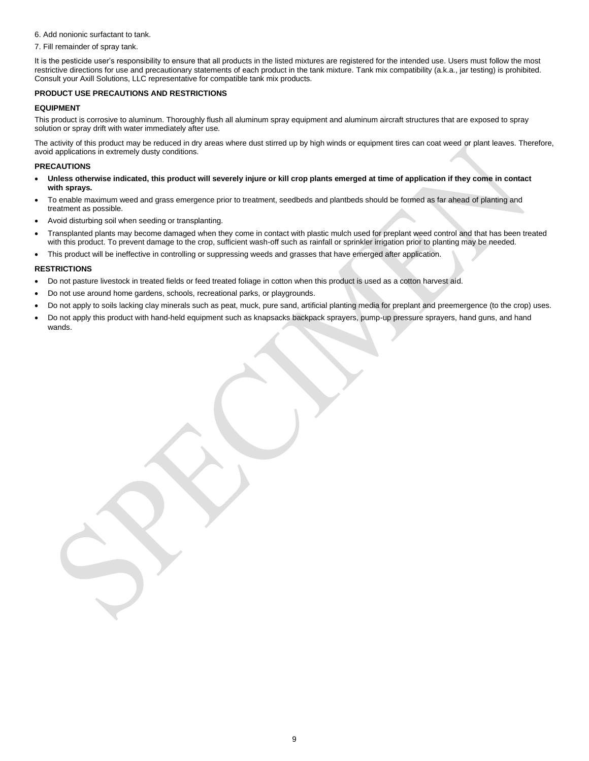6. Add nonionic surfactant to tank.

7. Fill remainder of spray tank.

It is the pesticide user's responsibility to ensure that all products in the listed mixtures are registered for the intended use. Users must follow the most restrictive directions for use and precautionary statements of each product in the tank mixture. Tank mix compatibility (a.k.a., jar testing) is prohibited. Consult your Axill Solutions, LLC representative for compatible tank mix products.

## **PRODUCT USE PRECAUTIONS AND RESTRICTIONS**

## **EQUIPMENT**

This product is corrosive to aluminum. Thoroughly flush all aluminum spray equipment and aluminum aircraft structures that are exposed to spray solution or spray drift with water immediately after use.

The activity of this product may be reduced in dry areas where dust stirred up by high winds or equipment tires can coat weed or plant leaves. Therefore, avoid applications in extremely dusty conditions.

## **PRECAUTIONS**

- **Unless otherwise indicated, this product will severely injure or kill crop plants emerged at time of application if they come in contact with sprays.**
- To enable maximum weed and grass emergence prior to treatment, seedbeds and plantbeds should be formed as far ahead of planting and treatment as possible.
- Avoid disturbing soil when seeding or transplanting.
- Transplanted plants may become damaged when they come in contact with plastic mulch used for preplant weed control and that has been treated with this product. To prevent damage to the crop, sufficient wash-off such as rainfall or sprinkler irrigation prior to planting may be needed.
- This product will be ineffective in controlling or suppressing weeds and grasses that have emerged after application.

## **RESTRICTIONS**

- Do not pasture livestock in treated fields or feed treated foliage in cotton when this product is used as a cotton harvest aid.
- Do not use around home gardens, schools, recreational parks, or playgrounds.
- Do not apply to soils lacking clay minerals such as peat, muck, pure sand, artificial planting media for preplant and preemergence (to the crop) uses.
- Do not apply this product with hand-held equipment such as knapsacks backpack sprayers, pump-up pressure sprayers, hand guns, and hand wands.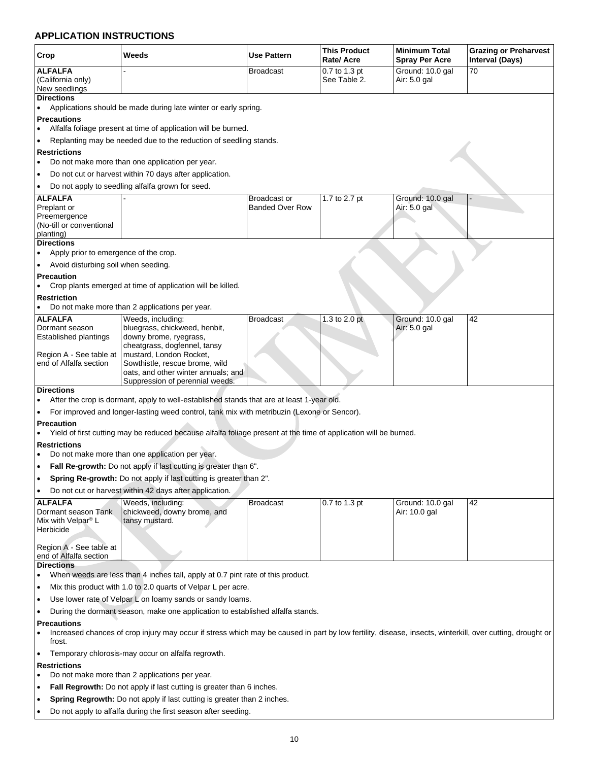## **APPLICATION INSTRUCTIONS**

| Crop                                                                                 | Weeds                                                                                                                                                     | <b>Use Pattern</b>                     | <b>This Product</b><br>Rate/ Acre | <b>Minimum Total</b><br><b>Spray Per Acre</b> | <b>Grazing or Preharvest</b><br><b>Interval (Days)</b> |
|--------------------------------------------------------------------------------------|-----------------------------------------------------------------------------------------------------------------------------------------------------------|----------------------------------------|-----------------------------------|-----------------------------------------------|--------------------------------------------------------|
| <b>ALFALFA</b><br>(California only)                                                  |                                                                                                                                                           | <b>Broadcast</b>                       | 0.7 to 1.3 pt<br>See Table 2.     | Ground: 10.0 gal<br>Air: 5.0 gal              | 70                                                     |
| New seedlings<br><b>Directions</b>                                                   |                                                                                                                                                           |                                        |                                   |                                               |                                                        |
|                                                                                      | Applications should be made during late winter or early spring.                                                                                           |                                        |                                   |                                               |                                                        |
| <b>Precautions</b><br>$\bullet$                                                      | Alfalfa foliage present at time of application will be burned.                                                                                            |                                        |                                   |                                               |                                                        |
| $\bullet$                                                                            | Replanting may be needed due to the reduction of seedling stands.                                                                                         |                                        |                                   |                                               |                                                        |
| <b>Restrictions</b><br>٠                                                             | Do not make more than one application per year.                                                                                                           |                                        |                                   |                                               |                                                        |
| $\bullet$                                                                            | Do not cut or harvest within 70 days after application.                                                                                                   |                                        |                                   |                                               |                                                        |
| ٠                                                                                    | Do not apply to seedling alfalfa grown for seed.                                                                                                          |                                        |                                   |                                               |                                                        |
| <b>ALFALFA</b><br>Preplant or<br>Preemergence<br>(No-till or conventional            |                                                                                                                                                           | Broadcast or<br><b>Banded Over Row</b> | 1.7 to $2.7$ pt                   | Ground: 10.0 gal<br>Air: 5.0 gal              |                                                        |
| planting)                                                                            |                                                                                                                                                           |                                        |                                   |                                               |                                                        |
| <b>Directions</b>                                                                    |                                                                                                                                                           |                                        |                                   |                                               |                                                        |
| Apply prior to emergence of the crop.                                                |                                                                                                                                                           |                                        |                                   |                                               |                                                        |
| Avoid disturbing soil when seeding.<br>٠                                             |                                                                                                                                                           |                                        |                                   |                                               |                                                        |
| <b>Precaution</b><br>$\bullet$                                                       | Crop plants emerged at time of application will be killed.                                                                                                |                                        |                                   |                                               |                                                        |
| <b>Restriction</b>                                                                   |                                                                                                                                                           |                                        |                                   |                                               |                                                        |
| $\bullet$                                                                            | Do not make more than 2 applications per year.                                                                                                            |                                        |                                   |                                               |                                                        |
| <b>ALFALFA</b>                                                                       | Weeds, including:                                                                                                                                         | <b>Broadcast</b>                       | 1.3 to 2.0 pt                     | Ground: 10.0 gal                              | 42                                                     |
| Dormant season                                                                       | bluegrass, chickweed, henbit,                                                                                                                             |                                        |                                   | Air: 5.0 gal                                  |                                                        |
| Established plantings<br>Region A - See table at                                     | downy brome, ryegrass,<br>cheatgrass, dogfennel, tansy<br>mustard, London Rocket,                                                                         |                                        |                                   |                                               |                                                        |
| end of Alfalfa section                                                               | Sowthistle, rescue brome, wild                                                                                                                            |                                        |                                   |                                               |                                                        |
|                                                                                      | oats, and other winter annuals; and<br>Suppression of perennial weeds.                                                                                    |                                        |                                   |                                               |                                                        |
| <b>Directions</b><br>$\bullet$                                                       | After the crop is dormant, apply to well-established stands that are at least 1-year old.                                                                 |                                        |                                   |                                               |                                                        |
| $\bullet$                                                                            | For improved and longer-lasting weed control, tank mix with metribuzin (Lexone or Sencor).                                                                |                                        |                                   |                                               |                                                        |
| <b>Precaution</b>                                                                    |                                                                                                                                                           |                                        |                                   |                                               |                                                        |
| $\bullet$<br><b>Restrictions</b>                                                     | Yield of first cutting may be reduced because alfalfa foliage present at the time of application will be burned.                                          |                                        |                                   |                                               |                                                        |
|                                                                                      | Do not make more than one application per year.                                                                                                           |                                        |                                   |                                               |                                                        |
|                                                                                      | Fall Re-growth: Do not apply if last cutting is greater than 6".                                                                                          |                                        |                                   |                                               |                                                        |
| $\bullet$                                                                            | Spring Re-growth: Do not apply if last cutting is greater than 2".                                                                                        |                                        |                                   |                                               |                                                        |
|                                                                                      | Do not cut or harvest within 42 days after application.                                                                                                   |                                        |                                   |                                               |                                                        |
| <b>ALFALFA</b><br>Dormant season Tank<br>Mix with Velpar <sup>®</sup> L<br>Herbicide | Weeds, including:<br>chickweed, downy brome, and<br>tansy mustard.                                                                                        | <b>Broadcast</b>                       | 0.7 to 1.3 pt                     | Ground: 10.0 gal<br>Air: 10.0 gal             | 42                                                     |
| Region A - See table at<br>end of Alfalfa section                                    |                                                                                                                                                           |                                        |                                   |                                               |                                                        |
| <b>Directions</b>                                                                    |                                                                                                                                                           |                                        |                                   |                                               |                                                        |
| $\bullet$                                                                            | When weeds are less than 4 inches tall, apply at 0.7 pint rate of this product.                                                                           |                                        |                                   |                                               |                                                        |
| ٠                                                                                    | Mix this product with 1.0 to 2.0 quarts of Velpar L per acre.                                                                                             |                                        |                                   |                                               |                                                        |
| $\bullet$                                                                            | Use lower rate of Velpar L on loamy sands or sandy loams.                                                                                                 |                                        |                                   |                                               |                                                        |
| ٠                                                                                    | During the dormant season, make one application to established alfalfa stands.                                                                            |                                        |                                   |                                               |                                                        |
| <b>Precautions</b><br>frost.                                                         | Increased chances of crop injury may occur if stress which may be caused in part by low fertility, disease, insects, winterkill, over cutting, drought or |                                        |                                   |                                               |                                                        |
| Temporary chlorosis-may occur on alfalfa regrowth.<br>$\bullet$                      |                                                                                                                                                           |                                        |                                   |                                               |                                                        |
| <b>Restrictions</b>                                                                  |                                                                                                                                                           |                                        |                                   |                                               |                                                        |
| Do not make more than 2 applications per year.                                       |                                                                                                                                                           |                                        |                                   |                                               |                                                        |
| $\bullet$                                                                            | Fall Regrowth: Do not apply if last cutting is greater than 6 inches.                                                                                     |                                        |                                   |                                               |                                                        |
| ٠                                                                                    | Spring Regrowth: Do not apply if last cutting is greater than 2 inches.                                                                                   |                                        |                                   |                                               |                                                        |
|                                                                                      | Do not apply to alfalfa during the first season after seeding.                                                                                            |                                        |                                   |                                               |                                                        |
|                                                                                      |                                                                                                                                                           |                                        |                                   |                                               |                                                        |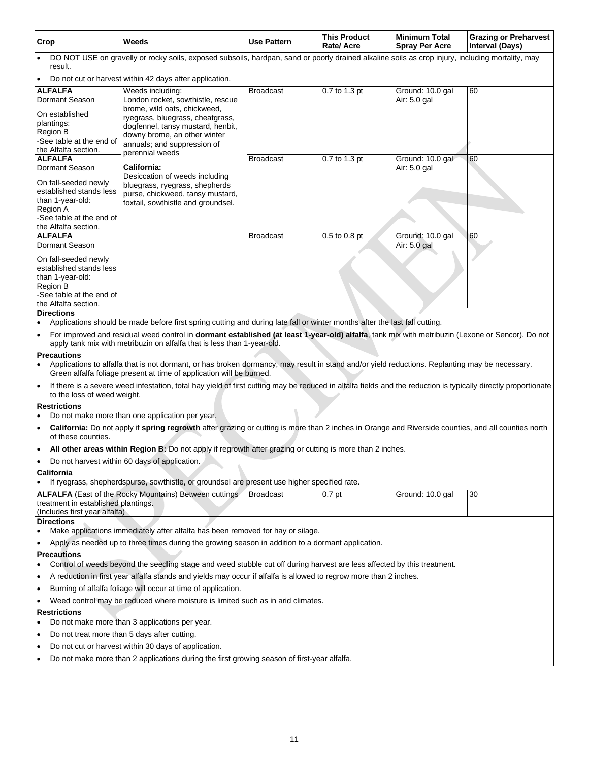| Crop                                                                                                                                 | Weeds                                                                                                                                                                                                                  | <b>Use Pattern</b> | <b>This Product</b> | <b>Minimum Total</b>             | <b>Grazing or Preharvest</b> |  |
|--------------------------------------------------------------------------------------------------------------------------------------|------------------------------------------------------------------------------------------------------------------------------------------------------------------------------------------------------------------------|--------------------|---------------------|----------------------------------|------------------------------|--|
| $\bullet$                                                                                                                            | DO NOT USE on gravelly or rocky soils, exposed subsoils, hardpan, sand or poorly drained alkaline soils as crop injury, including mortality, may                                                                       |                    | <b>Rate/Acre</b>    | <b>Spray Per Acre</b>            | <b>Interval (Days)</b>       |  |
| result.                                                                                                                              |                                                                                                                                                                                                                        |                    |                     |                                  |                              |  |
|                                                                                                                                      | Do not cut or harvest within 42 days after application.                                                                                                                                                                |                    |                     |                                  |                              |  |
| <b>ALFALFA</b>                                                                                                                       | Weeds including:                                                                                                                                                                                                       | <b>Broadcast</b>   | 0.7 to 1.3 pt       | Ground: 10.0 gal                 | 60                           |  |
| Dormant Season                                                                                                                       | London rocket, sowthistle, rescue<br>brome, wild oats, chickweed,                                                                                                                                                      |                    |                     | Air: 5.0 gal                     |                              |  |
| On established                                                                                                                       | ryegrass, bluegrass, cheatgrass,                                                                                                                                                                                       |                    |                     |                                  |                              |  |
| plantings:<br>Region B                                                                                                               | dogfennel, tansy mustard, henbit,                                                                                                                                                                                      |                    |                     |                                  |                              |  |
| -See table at the end of                                                                                                             | downy brome, an other winter<br>annuals; and suppression of                                                                                                                                                            |                    |                     |                                  |                              |  |
| the Alfalfa section.                                                                                                                 | perennial weeds                                                                                                                                                                                                        |                    |                     |                                  |                              |  |
| <b>ALFALFA</b>                                                                                                                       | <b>California:</b>                                                                                                                                                                                                     | <b>Broadcast</b>   | 0.7 to 1.3 pt       | Ground: 10.0 gal                 | 60                           |  |
| Dormant Season                                                                                                                       | Desiccation of weeds including                                                                                                                                                                                         |                    |                     | Air: 5.0 gal                     |                              |  |
| On fall-seeded newly                                                                                                                 | bluegrass, ryegrass, shepherds                                                                                                                                                                                         |                    |                     |                                  |                              |  |
| established stands less<br>than 1-year-old:                                                                                          | purse, chickweed, tansy mustard,                                                                                                                                                                                       |                    |                     |                                  |                              |  |
| Region A                                                                                                                             | foxtail, sowthistle and groundsel.                                                                                                                                                                                     |                    |                     |                                  |                              |  |
| -See table at the end of                                                                                                             |                                                                                                                                                                                                                        |                    |                     |                                  |                              |  |
| the Alfalfa section.                                                                                                                 |                                                                                                                                                                                                                        |                    |                     |                                  |                              |  |
| <b>ALFALFA</b><br>Dormant Season                                                                                                     |                                                                                                                                                                                                                        | <b>Broadcast</b>   | $0.5$ to $0.8$ pt   | Ground: 10.0 gal<br>Air: 5.0 gal | 60                           |  |
|                                                                                                                                      |                                                                                                                                                                                                                        |                    |                     |                                  |                              |  |
| On fall-seeded newly<br>established stands less                                                                                      |                                                                                                                                                                                                                        |                    |                     |                                  |                              |  |
| than 1-year-old:                                                                                                                     |                                                                                                                                                                                                                        |                    |                     |                                  |                              |  |
| Region B                                                                                                                             |                                                                                                                                                                                                                        |                    |                     |                                  |                              |  |
| -See table at the end of<br>the Alfalfa section.                                                                                     |                                                                                                                                                                                                                        |                    |                     |                                  |                              |  |
| <b>Directions</b>                                                                                                                    |                                                                                                                                                                                                                        |                    |                     |                                  |                              |  |
| $\bullet$                                                                                                                            | Applications should be made before first spring cutting and during late fall or winter months after the last fall cutting.                                                                                             |                    |                     |                                  |                              |  |
| $\bullet$                                                                                                                            | For improved and residual weed control in dormant established (at least 1-year-old) alfalfa, tank mix with metribuzin (Lexone or Sencor). Do not                                                                       |                    |                     |                                  |                              |  |
|                                                                                                                                      | apply tank mix with metribuzin on alfalfa that is less than 1-year-old.                                                                                                                                                |                    |                     |                                  |                              |  |
| <b>Precautions</b>                                                                                                                   |                                                                                                                                                                                                                        |                    |                     |                                  |                              |  |
| $\bullet$                                                                                                                            | Applications to alfalfa that is not dormant, or has broken dormancy, may result in stand and/or yield reductions. Replanting may be necessary.<br>Green alfalfa foliage present at time of application will be burned. |                    |                     |                                  |                              |  |
|                                                                                                                                      |                                                                                                                                                                                                                        |                    |                     |                                  |                              |  |
| $\bullet$<br>to the loss of weed weight.                                                                                             | If there is a severe weed infestation, total hay yield of first cutting may be reduced in alfalfa fields and the reduction is typically directly proportionate                                                         |                    |                     |                                  |                              |  |
| <b>Restrictions</b>                                                                                                                  |                                                                                                                                                                                                                        |                    |                     |                                  |                              |  |
| $\bullet$                                                                                                                            | Do not make more than one application per year.                                                                                                                                                                        |                    |                     |                                  |                              |  |
| $\bullet$                                                                                                                            | California: Do not apply if spring regrowth after grazing or cutting is more than 2 inches in Orange and Riverside counties, and all counties north                                                                    |                    |                     |                                  |                              |  |
| of these counties.                                                                                                                   |                                                                                                                                                                                                                        |                    |                     |                                  |                              |  |
| $\bullet$                                                                                                                            | All other areas within Region B: Do not apply if regrowth after grazing or cutting is more than 2 inches.                                                                                                              |                    |                     |                                  |                              |  |
| ٠                                                                                                                                    | Do not harvest within 60 days of application.                                                                                                                                                                          |                    |                     |                                  |                              |  |
| California                                                                                                                           |                                                                                                                                                                                                                        |                    |                     |                                  |                              |  |
|                                                                                                                                      | If ryegrass, shepherdspurse, sowthistle, or groundsel are present use higher specified rate.                                                                                                                           |                    |                     |                                  |                              |  |
|                                                                                                                                      | ALFALFA (East of the Rocky Mountains) Between cuttings                                                                                                                                                                 | <b>Broadcast</b>   | $0.7$ pt            | Ground: 10.0 gal                 | 30                           |  |
| treatment in established plantings.<br>(Includes first year alfalfa)                                                                 |                                                                                                                                                                                                                        |                    |                     |                                  |                              |  |
| <b>Directions</b>                                                                                                                    |                                                                                                                                                                                                                        |                    |                     |                                  |                              |  |
| $\bullet$                                                                                                                            | Make applications immediately after alfalfa has been removed for hay or silage.                                                                                                                                        |                    |                     |                                  |                              |  |
| $\bullet$                                                                                                                            | Apply as needed up to three times during the growing season in addition to a dormant application.                                                                                                                      |                    |                     |                                  |                              |  |
| <b>Precautions</b>                                                                                                                   |                                                                                                                                                                                                                        |                    |                     |                                  |                              |  |
| Control of weeds beyond the seedling stage and weed stubble cut off during harvest are less affected by this treatment.<br>$\bullet$ |                                                                                                                                                                                                                        |                    |                     |                                  |                              |  |
| $\bullet$                                                                                                                            | A reduction in first year alfalfa stands and yields may occur if alfalfa is allowed to regrow more than 2 inches.                                                                                                      |                    |                     |                                  |                              |  |
| $\bullet$                                                                                                                            | Burning of alfalfa foliage will occur at time of application.                                                                                                                                                          |                    |                     |                                  |                              |  |
| ٠                                                                                                                                    | Weed control may be reduced where moisture is limited such as in arid climates.                                                                                                                                        |                    |                     |                                  |                              |  |
| <b>Restrictions</b>                                                                                                                  |                                                                                                                                                                                                                        |                    |                     |                                  |                              |  |
| Do not make more than 3 applications per year.<br>٠                                                                                  |                                                                                                                                                                                                                        |                    |                     |                                  |                              |  |
|                                                                                                                                      | Do not treat more than 5 days after cutting.                                                                                                                                                                           |                    |                     |                                  |                              |  |
| Do not cut or harvest within 30 days of application.<br>٠                                                                            |                                                                                                                                                                                                                        |                    |                     |                                  |                              |  |

• Do not make more than 2 applications during the first growing season of first-year alfalfa.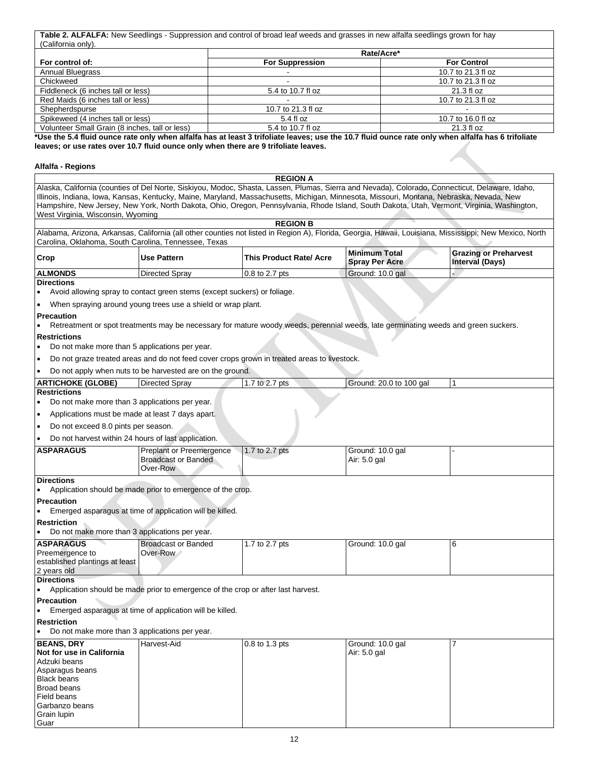**Table 2. ALFALFA:** New Seedlings - Suppression and control of broad leaf weeds and grasses in new alfalfa seedlings grown for hay (California only).

|                                                | Rate/Acre*               |                    |  |
|------------------------------------------------|--------------------------|--------------------|--|
| For control of:                                | <b>For Suppression</b>   | <b>For Control</b> |  |
| Annual Bluegrass                               |                          | 10.7 to 21.3 fl oz |  |
| Chickweed                                      | $\overline{\phantom{0}}$ | 10.7 to 21.3 fl oz |  |
| Fiddleneck (6 inches tall or less)             | 5.4 to 10.7 fl oz        | $21.3 f$ l oz      |  |
| Red Maids (6 inches tall or less)              |                          | 10.7 to 21.3 fl oz |  |
| Shepherdspurse                                 | 10.7 to 21.3 fl oz       |                    |  |
| Spikeweed (4 inches tall or less)              | $5.4$ fl oz              | 10.7 to 16.0 fl oz |  |
| Volunteer Small Grain (8 inches, tall or less) | 5.4 to 10.7 fl oz        | $21.3 f$ l oz      |  |

**\*Use the 5.4 fluid ounce rate only when alfalfa has at least 3 trifoliate leaves; use the 10.7 fluid ounce rate only when alfalfa has 6 trifoliate leaves; or use rates over 10.7 fluid ounce only when there are 9 trifoliate leaves.**

#### **Alfalfa - Regions**

| <b>REGION A</b>                                                                                                                                                                                                                                                                                                                                                                                                                                                                 |                                                                                                                                                          |                 |                                                                                                                                                         |   |  |  |  |
|---------------------------------------------------------------------------------------------------------------------------------------------------------------------------------------------------------------------------------------------------------------------------------------------------------------------------------------------------------------------------------------------------------------------------------------------------------------------------------|----------------------------------------------------------------------------------------------------------------------------------------------------------|-----------------|---------------------------------------------------------------------------------------------------------------------------------------------------------|---|--|--|--|
| Alaska, California (counties of Del Norte, Siskiyou, Modoc, Shasta, Lassen, Plumas, Sierra and Nevada), Colorado, Connecticut, Delaware, Idaho,<br>Illinois, Indiana, Iowa, Kansas, Kentucky, Maine, Maryland, Massachusetts, Michigan, Minnesota, Missouri, Montana, Nebraska, Nevada, New<br>Hampshire, New Jersey, New York, North Dakota, Ohio, Oregon, Pennsylvania, Rhode Island, South Dakota, Utah, Vermont, Virginia, Washington,<br>West Virginia, Wisconsin, Wyoming |                                                                                                                                                          |                 |                                                                                                                                                         |   |  |  |  |
|                                                                                                                                                                                                                                                                                                                                                                                                                                                                                 |                                                                                                                                                          | <b>REGION B</b> |                                                                                                                                                         |   |  |  |  |
| Carolina, Oklahoma, South Carolina, Tennessee, Texas                                                                                                                                                                                                                                                                                                                                                                                                                            |                                                                                                                                                          |                 | Alabama, Arizona, Arkansas, California (all other counties not listed in Region A), Florida, Georgia, Hawaii, Louisiana, Mississippi; New Mexico, North |   |  |  |  |
| Crop                                                                                                                                                                                                                                                                                                                                                                                                                                                                            | <b>Minimum Total</b><br><b>Grazing or Preharvest</b><br><b>Use Pattern</b><br>This Product Rate/ Acre<br><b>Spray Per Acre</b><br><b>Interval (Days)</b> |                 |                                                                                                                                                         |   |  |  |  |
| <b>ALMONDS</b>                                                                                                                                                                                                                                                                                                                                                                                                                                                                  | <b>Directed Spray</b>                                                                                                                                    | 0.8 to 2.7 pts  | Ground: 10.0 gal                                                                                                                                        |   |  |  |  |
| <b>Directions</b><br>$\bullet$<br><b>Precaution</b>                                                                                                                                                                                                                                                                                                                                                                                                                             | Avoid allowing spray to contact green stems (except suckers) or foliage.<br>When spraying around young trees use a shield or wrap plant.                 |                 |                                                                                                                                                         |   |  |  |  |
|                                                                                                                                                                                                                                                                                                                                                                                                                                                                                 |                                                                                                                                                          |                 | Retreatment or spot treatments may be necessary for mature woody weeds, perennial weeds, late germinating weeds and green suckers.                      |   |  |  |  |
| <b>Restrictions</b>                                                                                                                                                                                                                                                                                                                                                                                                                                                             |                                                                                                                                                          |                 |                                                                                                                                                         |   |  |  |  |
| Do not make more than 5 applications per year.<br>$\bullet$                                                                                                                                                                                                                                                                                                                                                                                                                     |                                                                                                                                                          |                 |                                                                                                                                                         |   |  |  |  |
| $\bullet$                                                                                                                                                                                                                                                                                                                                                                                                                                                                       | Do not graze treated areas and do not feed cover crops grown in treated areas to livestock.                                                              |                 |                                                                                                                                                         |   |  |  |  |
|                                                                                                                                                                                                                                                                                                                                                                                                                                                                                 | Do not apply when nuts to be harvested are on the ground.                                                                                                |                 |                                                                                                                                                         |   |  |  |  |
| <b>ARTICHOKE (GLOBE)</b>                                                                                                                                                                                                                                                                                                                                                                                                                                                        | <b>Directed Spray</b>                                                                                                                                    | 1.7 to 2.7 pts  | Ground: 20.0 to 100 gal                                                                                                                                 |   |  |  |  |
| <b>Restrictions</b><br>Do not make more than 3 applications per year.<br>$\bullet$                                                                                                                                                                                                                                                                                                                                                                                              |                                                                                                                                                          |                 |                                                                                                                                                         |   |  |  |  |
| Applications must be made at least 7 days apart.<br>$\bullet$                                                                                                                                                                                                                                                                                                                                                                                                                   |                                                                                                                                                          |                 |                                                                                                                                                         |   |  |  |  |
| Do not exceed 8.0 pints per season.<br>$\bullet$                                                                                                                                                                                                                                                                                                                                                                                                                                |                                                                                                                                                          |                 |                                                                                                                                                         |   |  |  |  |
| Do not harvest within 24 hours of last application.                                                                                                                                                                                                                                                                                                                                                                                                                             |                                                                                                                                                          |                 |                                                                                                                                                         |   |  |  |  |
| <b>ASPARAGUS</b>                                                                                                                                                                                                                                                                                                                                                                                                                                                                | Preplant or Preemergence<br><b>Broadcast or Banded</b><br>Over-Row                                                                                       | 1.7 to 2.7 pts  | Ground: 10.0 gal<br>Air: 5.0 gal                                                                                                                        |   |  |  |  |
| <b>Directions</b><br><b>Precaution</b><br><b>Restriction</b><br>Do not make more than 3 applications per year.                                                                                                                                                                                                                                                                                                                                                                  | Application should be made prior to emergence of the crop.<br>Emerged asparagus at time of application will be killed.                                   |                 |                                                                                                                                                         |   |  |  |  |
| <b>ASPARAGUS</b><br>Preemergence to<br>established plantings at least<br>2 years old                                                                                                                                                                                                                                                                                                                                                                                            | <b>Broadcast or Banded</b><br>Over-Row                                                                                                                   | 1.7 to 2.7 pts  | Ground: 10.0 gal                                                                                                                                        | 6 |  |  |  |
| <b>Directions</b>                                                                                                                                                                                                                                                                                                                                                                                                                                                               | Application should be made prior to emergence of the crop or after last harvest.                                                                         |                 |                                                                                                                                                         |   |  |  |  |
| <b>Precaution</b><br>Emerged asparagus at time of application will be killed.<br>$\bullet$                                                                                                                                                                                                                                                                                                                                                                                      |                                                                                                                                                          |                 |                                                                                                                                                         |   |  |  |  |
| <b>Restriction</b><br>Do not make more than 3 applications per year.<br>$\bullet$                                                                                                                                                                                                                                                                                                                                                                                               |                                                                                                                                                          |                 |                                                                                                                                                         |   |  |  |  |
| <b>BEANS, DRY</b><br>Not for use in California<br>Adzuki beans<br>Asparagus beans<br><b>Black beans</b><br><b>Broad beans</b><br>Field beans<br>Garbanzo beans<br>Grain lupin<br>Guar                                                                                                                                                                                                                                                                                           | Harvest-Aid                                                                                                                                              | 0.8 to 1.3 pts  | Ground: 10.0 gal<br>Air: 5.0 gal                                                                                                                        | 7 |  |  |  |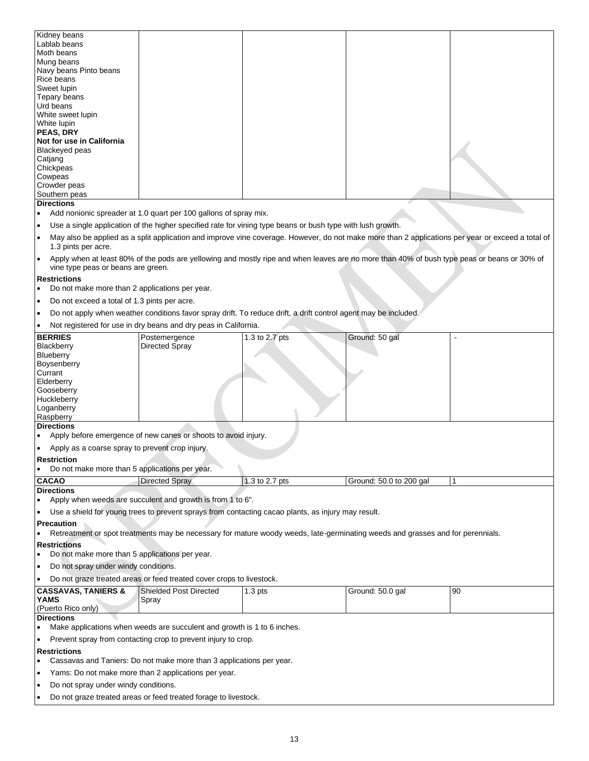| Kidney beans                     |                                                                                                                                                   |  |  |
|----------------------------------|---------------------------------------------------------------------------------------------------------------------------------------------------|--|--|
| Lablab beans                     |                                                                                                                                                   |  |  |
| Moth beans                       |                                                                                                                                                   |  |  |
| Mung beans                       |                                                                                                                                                   |  |  |
| Navy beans Pinto beans           |                                                                                                                                                   |  |  |
| <b>Rice beans</b>                |                                                                                                                                                   |  |  |
| Sweet lupin                      |                                                                                                                                                   |  |  |
| Tepary beans                     |                                                                                                                                                   |  |  |
| Urd beans                        |                                                                                                                                                   |  |  |
| White sweet lupin                |                                                                                                                                                   |  |  |
| White lupin                      |                                                                                                                                                   |  |  |
| <b>PEAS, DRY</b>                 |                                                                                                                                                   |  |  |
| Not for use in California        |                                                                                                                                                   |  |  |
| <b>Blackeyed peas</b>            |                                                                                                                                                   |  |  |
| Catjang                          |                                                                                                                                                   |  |  |
| Chickpeas                        |                                                                                                                                                   |  |  |
| Cowpeas                          |                                                                                                                                                   |  |  |
| Crowder peas                     |                                                                                                                                                   |  |  |
| Southern peas                    |                                                                                                                                                   |  |  |
| <b>Directions</b>                |                                                                                                                                                   |  |  |
| $\bullet$                        | Add nonionic spreader at 1.0 quart per 100 gallons of spray mix.                                                                                  |  |  |
| $\bullet$                        | Use a single application of the higher specified rate for vining type beans or bush type with lush growth.                                        |  |  |
| $\bullet$<br>1.3 pints per acre. | May also be applied as a split application and improve vine coverage. However, do not make more than 2 applications per year or exceed a total of |  |  |
|                                  | Apply when at least 80% of the pods are vellowing and mostly ripe and when leaves are no more than 40% of bush type peas or beans or 30% of       |  |  |

• Apply when at least 80% of the pods are yellowing and mostly ripe and when leaves are no more than 40% of bush type peas or beans or 30% of vine type peas or beans are green.

## **Restrictions**

- Do not make more than 2 applications per year.
- Do not exceed a total of 1.3 pints per acre.
- Do not apply when weather conditions favor spray drift. To reduce drift, a drift control agent may be included.
- Not registered for use in dry beans and dry peas in California.

|                                                                      | TVOLTOGISIOI CU TUI USO III UI y DOGITS AITU UI Y POAS III CAIIIUITIIA. |                                                                                                    |                                                                                                                                |           |  |  |
|----------------------------------------------------------------------|-------------------------------------------------------------------------|----------------------------------------------------------------------------------------------------|--------------------------------------------------------------------------------------------------------------------------------|-----------|--|--|
| <b>BERRIES</b>                                                       | Postemergence                                                           | 1.3 to 2.7 pts                                                                                     | Ground: 50 gal                                                                                                                 |           |  |  |
| Blackberry                                                           | <b>Directed Spray</b>                                                   |                                                                                                    |                                                                                                                                |           |  |  |
| Blueberry                                                            |                                                                         |                                                                                                    |                                                                                                                                |           |  |  |
| Boysenberry<br>Currant                                               |                                                                         |                                                                                                    |                                                                                                                                |           |  |  |
| Elderberry                                                           |                                                                         |                                                                                                    |                                                                                                                                |           |  |  |
| Gooseberry                                                           |                                                                         |                                                                                                    |                                                                                                                                |           |  |  |
| Huckleberry                                                          |                                                                         |                                                                                                    |                                                                                                                                |           |  |  |
| Loganberry                                                           |                                                                         |                                                                                                    |                                                                                                                                |           |  |  |
| Raspberry                                                            |                                                                         |                                                                                                    |                                                                                                                                |           |  |  |
| <b>Directions</b>                                                    |                                                                         |                                                                                                    |                                                                                                                                |           |  |  |
| $\bullet$                                                            | Apply before emergence of new canes or shoots to avoid injury.          |                                                                                                    |                                                                                                                                |           |  |  |
| Apply as a coarse spray to prevent crop injury.                      |                                                                         |                                                                                                    |                                                                                                                                |           |  |  |
| <b>Restriction</b>                                                   |                                                                         |                                                                                                    |                                                                                                                                |           |  |  |
| Do not make more than 5 applications per year.                       |                                                                         |                                                                                                    |                                                                                                                                |           |  |  |
| <b>CACAO</b>                                                         | <b>Directed Spray</b>                                                   | 1.3 to 2.7 pts                                                                                     | Ground: 50.0 to 200 gal                                                                                                        | $\vert$ 1 |  |  |
| <b>Directions</b>                                                    |                                                                         |                                                                                                    |                                                                                                                                |           |  |  |
|                                                                      | Apply when weeds are succulent and growth is from 1 to 6".              |                                                                                                    |                                                                                                                                |           |  |  |
|                                                                      |                                                                         | Use a shield for young trees to prevent sprays from contacting cacao plants, as injury may result. |                                                                                                                                |           |  |  |
| <b>Precaution</b>                                                    |                                                                         |                                                                                                    |                                                                                                                                |           |  |  |
|                                                                      |                                                                         |                                                                                                    | Retreatment or spot treatments may be necessary for mature woody weeds, late-germinating weeds and grasses and for perennials. |           |  |  |
| <b>Restrictions</b>                                                  |                                                                         |                                                                                                    |                                                                                                                                |           |  |  |
| Do not make more than 5 applications per year.                       |                                                                         |                                                                                                    |                                                                                                                                |           |  |  |
| Do not spray under windy conditions.                                 |                                                                         |                                                                                                    |                                                                                                                                |           |  |  |
|                                                                      | Do not graze treated areas or feed treated cover crops to livestock.    |                                                                                                    |                                                                                                                                |           |  |  |
| <b>CASSAVAS, TANIERS &amp;</b>                                       | <b>Shielded Post Directed</b>                                           | 1.3 <sub>pts</sub>                                                                                 | Ground: 50.0 gal                                                                                                               | 90        |  |  |
| <b>YAMS</b>                                                          | Spray                                                                   |                                                                                                    |                                                                                                                                |           |  |  |
| (Puerto Rico only)                                                   |                                                                         |                                                                                                    |                                                                                                                                |           |  |  |
| <b>Directions</b>                                                    |                                                                         |                                                                                                    |                                                                                                                                |           |  |  |
|                                                                      | Make applications when weeds are succulent and growth is 1 to 6 inches. |                                                                                                    |                                                                                                                                |           |  |  |
| Prevent spray from contacting crop to prevent injury to crop.<br>٠   |                                                                         |                                                                                                    |                                                                                                                                |           |  |  |
| <b>Restrictions</b>                                                  |                                                                         |                                                                                                    |                                                                                                                                |           |  |  |
| Cassavas and Taniers: Do not make more than 3 applications per year. |                                                                         |                                                                                                    |                                                                                                                                |           |  |  |
|                                                                      | Yams: Do not make more than 2 applications per year.                    |                                                                                                    |                                                                                                                                |           |  |  |
| Do not spray under windy conditions.                                 |                                                                         |                                                                                                    |                                                                                                                                |           |  |  |
|                                                                      | Do not graze treated areas or feed treated forage to livestock.         |                                                                                                    |                                                                                                                                |           |  |  |
|                                                                      |                                                                         |                                                                                                    |                                                                                                                                |           |  |  |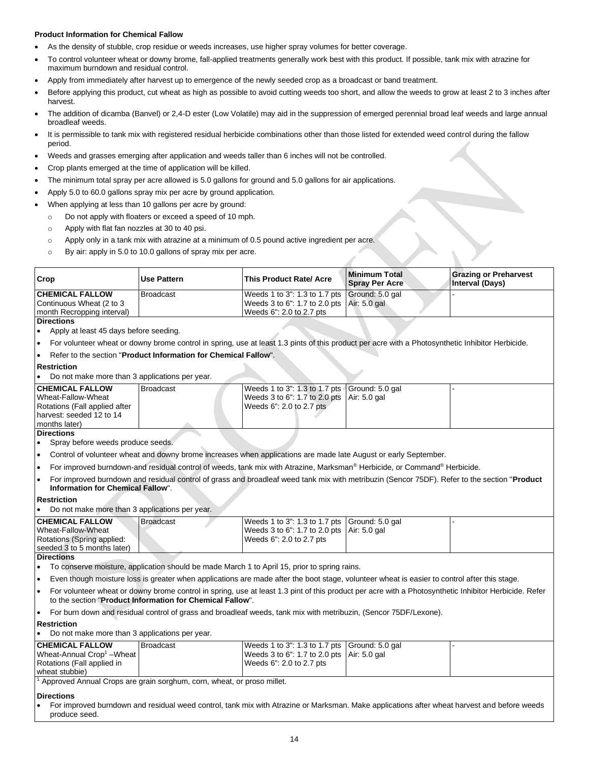#### **Product Information for Chemical Fallow**

- As the density of stubble, crop residue or weeds increases, use higher spray volumes for better coverage.
- To control volunteer wheat or downy brome, fall-applied treatments generally work best with this product. If possible, tank mix with atrazine for maximum burndown and residual control.
- Apply from immediately after harvest up to emergence of the newly seeded crop as a broadcast or band treatment.
- Before applying this product, cut wheat as high as possible to avoid cutting weeds too short, and allow the weeds to grow at least 2 to 3 inches after harvest.
- The addition of dicamba (Banvel) or 2,4-D ester (Low Volatile) may aid in the suppression of emerged perennial broad leaf weeds and large annual broadleaf weeds.
- It is permissible to tank mix with registered residual herbicide combinations other than those listed for extended weed control during the fallow period.
- Weeds and grasses emerging after application and weeds taller than 6 inches will not be controlled.
- Crop plants emerged at the time of application will be killed.
- The minimum total spray per acre allowed is 5.0 gallons for ground and 5.0 gallons for air applications.
- Apply 5.0 to 60.0 gallons spray mix per acre by ground application.
- When applying at less than 10 gallons per acre by ground:
	- o Do not apply with floaters or exceed a speed of 10 mph.
	- o Apply with flat fan nozzles at 30 to 40 psi.
	- $\circ$  Apply only in a tank mix with atrazine at a minimum of 0.5 pound active ingredient per acre.
	- o By air: apply in 5.0 to 10.0 gallons of spray mix per acre.

| Crop                       | <b>Use Pattern</b> | <b>This Product Rate/ Acre</b>                | <b>IMinimum Total</b><br>Spray Per Acre | <b>Grazing or Preharvest</b><br>Interval (Days) |
|----------------------------|--------------------|-----------------------------------------------|-----------------------------------------|-------------------------------------------------|
| <b>CHEMICAL FALLOW</b>     | l Broadcast        | Weeds 1 to 3": 1.3 to 1.7 pts Ground: 5.0 gal |                                         |                                                 |
| Continuous Wheat (2 to 3   |                    | Weeds 3 to 6": 1.7 to 2.0 pts   Air: 5.0 gal  |                                         |                                                 |
| month Recropping interval) |                    | Weeds 6": 2.0 to 2.7 pts                      |                                         |                                                 |
| .                          |                    |                                               |                                         |                                                 |

#### **Directions**

- Apply at least 45 days before seeding.
- For volunteer wheat or downy brome control in spring, use at least 1.3 pints of this product per acre with a Photosynthetic Inhibitor Herbicide.
- Refer to the section "**Product Information for Chemical Fallow**".

#### **Restriction**

• Do not make more than 3 applications per year.

| <b>CHEMICAL FALLOW</b>        | <b>Broadcast</b> | Weeds 1 to 3": 1.3 to 1.7 pts Ground: 5.0 gal |  |
|-------------------------------|------------------|-----------------------------------------------|--|
| Wheat-Fallow-Wheat            |                  | Weeds 3 to 6": 1.7 to 2.0 pts   Air: 5.0 gal  |  |
| Rotations (Fall applied after |                  | Weeds 6": 2.0 to 2.7 pts                      |  |
| harvest: seeded 12 to 14      |                  |                                               |  |
| months later)                 |                  |                                               |  |
|                               |                  |                                               |  |

#### **Directions**

- Spray before weeds produce seeds.
- Control of volunteer wheat and downy brome increases when applications are made late August or early September.
- For improved burndown-and residual control of weeds, tank mix with Atrazine, Marksman® Herbicide, or Command® Herbicide.
- For improved burndown and residual control of grass and broadleaf weed tank mix with metribuzin (Sencor 75DF). Refer to the section "**Product Information for Chemical Fallow**".

#### **Restriction**

• Do not make more than 3 applications per year.

| <b>CHEMICAL FALLOW</b>      | <b>Broadcast</b> | Weeds 1 to $3$ ": 1.3 to 1.7 pts Ground: 5.0 gal |  |
|-----------------------------|------------------|--------------------------------------------------|--|
| Wheat-Fallow-Wheat          |                  | Weeds 3 to 6": 1.7 to 2.0 pts   Air: 5.0 gal     |  |
| Rotations (Spring applied:  |                  | Weeds 6": 2.0 to 2.7 pts                         |  |
| seeded 3 to 5 months later) |                  |                                                  |  |

## **Directions**

- To conserve moisture, application should be made March 1 to April 15, prior to spring rains.
- Even though moisture loss is greater when applications are made after the boot stage, volunteer wheat is easier to control after this stage.
- For volunteer wheat or downy brome control in spring, use at least 1.3 pint of this product per acre with a Photosynthetic Inhibitor Herbicide. Refer to the section "**Product Information for Chemical Fallow**".
- For burn down and residual control of grass and broadleaf weeds, tank mix with metribuzin, (Sencor 75DF/Lexone).

## **Restriction**

• Do not make more than 3 applications per year.

| <b>CHEMICAL FALLOW</b>                 | <b>Broadcast</b> | Weeds 1 to 3": 1.3 to 1.7 pts Ground: 5.0 gal |  |
|----------------------------------------|------------------|-----------------------------------------------|--|
| Wheat-Annual Crop <sup>1</sup> - Wheat |                  | Weeds 3 to 6": 1.7 to 2.0 pts   Air: 5.0 gal  |  |
| Rotations (Fall applied in             |                  | Weeds 6": 2.0 to 2.7 pts                      |  |
| wheat stubbie)                         |                  |                                               |  |
|                                        |                  |                                               |  |

Approved Annual Crops are grain sorghum, corn, wheat, or proso millet.

#### **Directions**

• For improved burndown and residual weed control, tank mix with Atrazine or Marksman. Make applications after wheat harvest and before weeds produce seed.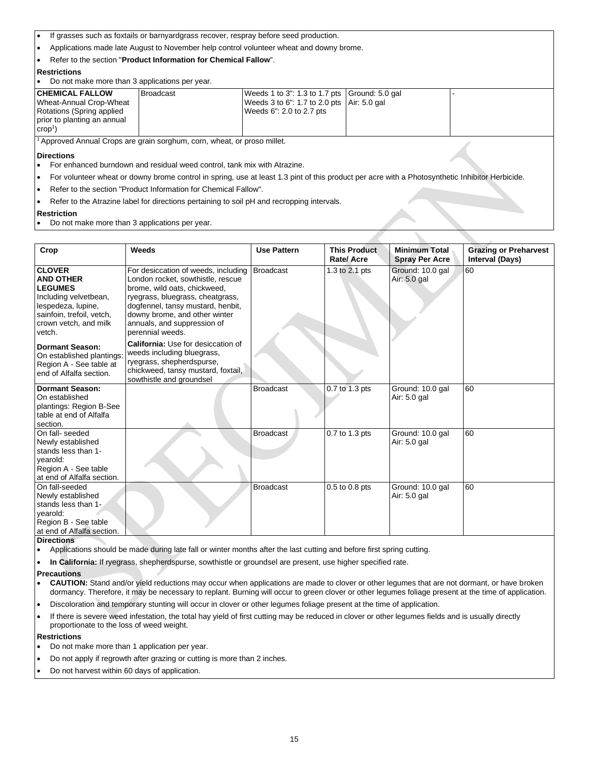- If grasses such as foxtails or barnyardgrass recover, respray before seed production.
- Applications made late August to November help control volunteer wheat and downy brome.
- Refer to the section "**Product Information for Chemical Fallow**".

#### **Restrictions**

• Do not make more than 3 applications per year.

| $\blacksquare$<br><u>PUTION THANG THUIGHT O Applications por year.</u> |                  |                                                                                   |  |  |  |
|------------------------------------------------------------------------|------------------|-----------------------------------------------------------------------------------|--|--|--|
| <b>CHEMICAL FALLOW</b>                                                 | <b>Broadcast</b> | Weeds 1 to 3": 1.3 to 1.7 pts Ground: 5.0 gal                                     |  |  |  |
| Wheat-Annual Crop-Wheat<br>Rotations (Spring applied                   |                  | Weeds 3 to 6": 1.7 to 2.0 pts $\vert$ Air: 5.0 gal<br>Weeds $6$ ": 2.0 to 2.7 pts |  |  |  |
| prior to planting an annual                                            |                  |                                                                                   |  |  |  |
| $\text{crop}^1$                                                        |                  |                                                                                   |  |  |  |
|                                                                        |                  |                                                                                   |  |  |  |

Approved Annual Crops are grain sorghum, corn, wheat, or proso millet.

#### **Directions**

- For enhanced burndown and residual weed control, tank mix with Atrazine.
- For volunteer wheat or downy brome control in spring, use at least 1.3 pint of this product per acre with a Photosynthetic Inhibitor Herbicide.
- Refer to the section "Product Information for Chemical Fallow".
- Refer to the Atrazine label for directions pertaining to soil pH and recropping intervals.

#### **Restriction**

• Do not make more than 3 applications per year.

| Crop                                                                                                                                                               | Weeds                                                                                                                                                                                                                                                                 | <b>Use Pattern</b> | <b>This Product</b><br>Rate/Acre | <b>Minimum Total</b><br><b>Spray Per Acre</b> | <b>Grazing or Preharvest</b><br><b>Interval (Days)</b> |
|--------------------------------------------------------------------------------------------------------------------------------------------------------------------|-----------------------------------------------------------------------------------------------------------------------------------------------------------------------------------------------------------------------------------------------------------------------|--------------------|----------------------------------|-----------------------------------------------|--------------------------------------------------------|
| <b>CLOVER</b><br><b>AND OTHER</b><br><b>LEGUMES</b><br>Including velvetbean,<br>lespedeza, lupine,<br>sainfoin, trefoil, vetch,<br>crown vetch, and milk<br>vetch. | For desiccation of weeds, including<br>London rocket, sowthistle, rescue<br>brome, wild oats, chickweed,<br>ryegrass, bluegrass, cheatgrass,<br>dogfennel, tansy mustard, henbit,<br>downy brome, and other winter<br>annuals, and suppression of<br>perennial weeds. | <b>Broadcast</b>   | 1.3 to 2.1 pts                   | Ground: 10.0 gal<br>Air: 5.0 gal              | 60                                                     |
| <b>Dormant Season:</b><br>On established plantings:<br>Region A - See table at<br>end of Alfalfa section.                                                          | <b>California:</b> Use for desiccation of<br>weeds including bluegrass,<br>ryegrass, shepherdspurse,<br>chickweed, tansy mustard, foxtail,<br>sowthistle and groundsel                                                                                                |                    |                                  |                                               |                                                        |
| <b>Dormant Season:</b><br>On established<br>plantings: Region B-See<br>table at end of Alfalfa<br>section.                                                         |                                                                                                                                                                                                                                                                       | <b>Broadcast</b>   | 0.7 to 1.3 pts                   | Ground: 10.0 gal<br>Air: 5.0 gal              | 60                                                     |
| On fall-seeded<br>Newly established<br>stands less than 1-<br>yearold:<br>Region A - See table<br>at end of Alfalfa section.                                       |                                                                                                                                                                                                                                                                       | <b>Broadcast</b>   | 0.7 to 1.3 pts                   | Ground: 10.0 gal<br>Air: 5.0 gal              | 60                                                     |
| On fall-seeded<br>Newly established<br>stands less than 1-<br>yearold:<br>Region B - See table<br>at end of Alfalfa section.                                       |                                                                                                                                                                                                                                                                       | <b>Broadcast</b>   | $0.5$ to $0.8$ pts               | Ground: 10.0 gal<br>Air: 5.0 gal              | 60                                                     |

#### **Directions**

- Applications should be made during late fall or winter months after the last cutting and before first spring cutting.
- **In California:** If ryegrass, shepherdspurse, sowthistle or groundsel are present, use higher specified rate.

#### **Precautions**

- **CAUTION:** Stand and/or yield reductions may occur when applications are made to clover or other legumes that are not dormant, or have broken dormancy. Therefore, it may be necessary to replant. Burning will occur to green clover or other legumes foliage present at the time of application.
- Discoloration and temporary stunting will occur in clover or other legumes foliage present at the time of application.
- If there is severe weed infestation, the total hay yield of first cutting may be reduced in clover or other legumes fields and is usually directly proportionate to the loss of weed weight.

#### **Restrictions**

- Do not make more than 1 application per year.
- Do not apply if regrowth after grazing or cutting is more than 2 inches.
- Do not harvest within 60 days of application.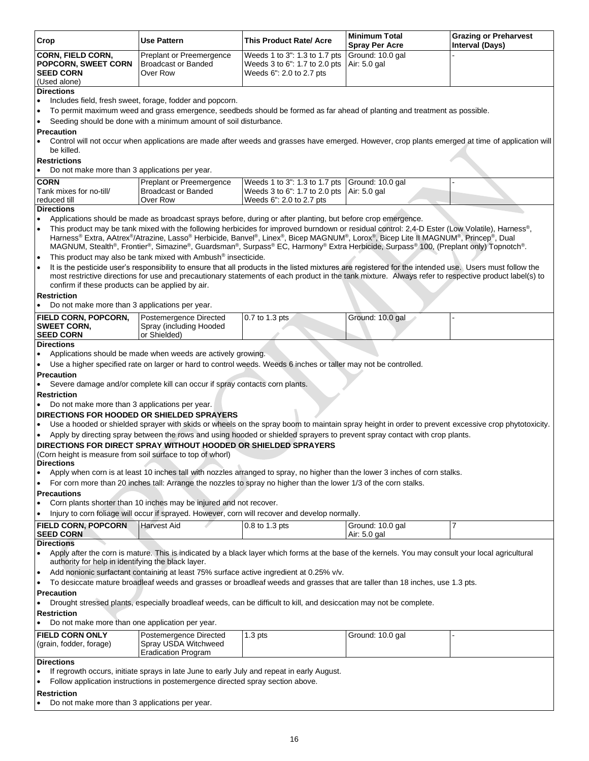| Crop                                                                                                                                                                                                                                                                                                                                                                                                                                                                                                                                                                                                                                                                                                                                                                                                                                                                                                                                                                                                                                                       | <b>Use Pattern</b>                                                                         | <b>This Product Rate/ Acre</b>                                                                                                                     | <b>Minimum Total</b><br><b>Spray Per Acre</b> | <b>Grazing or Preharvest</b><br>Interval (Days)                                                                                                  |  |
|------------------------------------------------------------------------------------------------------------------------------------------------------------------------------------------------------------------------------------------------------------------------------------------------------------------------------------------------------------------------------------------------------------------------------------------------------------------------------------------------------------------------------------------------------------------------------------------------------------------------------------------------------------------------------------------------------------------------------------------------------------------------------------------------------------------------------------------------------------------------------------------------------------------------------------------------------------------------------------------------------------------------------------------------------------|--------------------------------------------------------------------------------------------|----------------------------------------------------------------------------------------------------------------------------------------------------|-----------------------------------------------|--------------------------------------------------------------------------------------------------------------------------------------------------|--|
| <b>CORN, FIELD CORN,</b><br><b>POPCORN, SWEET CORN</b><br><b>SEED CORN</b>                                                                                                                                                                                                                                                                                                                                                                                                                                                                                                                                                                                                                                                                                                                                                                                                                                                                                                                                                                                 | Preplant or Preemergence<br><b>Broadcast or Banded</b><br>Over Row                         | Weeds 1 to 3": 1.3 to 1.7 pts<br>Weeds 3 to 6": 1.7 to 2.0 pts   Air: 5.0 gal<br>Weeds 6": 2.0 to 2.7 pts                                          | Ground: 10.0 gal                              |                                                                                                                                                  |  |
| (Used alone)                                                                                                                                                                                                                                                                                                                                                                                                                                                                                                                                                                                                                                                                                                                                                                                                                                                                                                                                                                                                                                               |                                                                                            |                                                                                                                                                    |                                               |                                                                                                                                                  |  |
| <b>Directions</b>                                                                                                                                                                                                                                                                                                                                                                                                                                                                                                                                                                                                                                                                                                                                                                                                                                                                                                                                                                                                                                          |                                                                                            |                                                                                                                                                    |                                               |                                                                                                                                                  |  |
|                                                                                                                                                                                                                                                                                                                                                                                                                                                                                                                                                                                                                                                                                                                                                                                                                                                                                                                                                                                                                                                            | Includes field, fresh sweet, forage, fodder and popcorn.                                   |                                                                                                                                                    |                                               |                                                                                                                                                  |  |
| To permit maximum weed and grass emergence, seedbeds should be formed as far ahead of planting and treatment as possible.<br>$\bullet$<br>Seeding should be done with a minimum amount of soil disturbance.                                                                                                                                                                                                                                                                                                                                                                                                                                                                                                                                                                                                                                                                                                                                                                                                                                                |                                                                                            |                                                                                                                                                    |                                               |                                                                                                                                                  |  |
| $\bullet$                                                                                                                                                                                                                                                                                                                                                                                                                                                                                                                                                                                                                                                                                                                                                                                                                                                                                                                                                                                                                                                  |                                                                                            |                                                                                                                                                    |                                               |                                                                                                                                                  |  |
| <b>Precaution</b>                                                                                                                                                                                                                                                                                                                                                                                                                                                                                                                                                                                                                                                                                                                                                                                                                                                                                                                                                                                                                                          |                                                                                            |                                                                                                                                                    |                                               | Control will not occur when applications are made after weeds and grasses have emerged. However, crop plants emerged at time of application will |  |
| be killed.                                                                                                                                                                                                                                                                                                                                                                                                                                                                                                                                                                                                                                                                                                                                                                                                                                                                                                                                                                                                                                                 |                                                                                            |                                                                                                                                                    |                                               |                                                                                                                                                  |  |
| <b>Restrictions</b>                                                                                                                                                                                                                                                                                                                                                                                                                                                                                                                                                                                                                                                                                                                                                                                                                                                                                                                                                                                                                                        |                                                                                            |                                                                                                                                                    |                                               |                                                                                                                                                  |  |
| Do not make more than 3 applications per year.                                                                                                                                                                                                                                                                                                                                                                                                                                                                                                                                                                                                                                                                                                                                                                                                                                                                                                                                                                                                             |                                                                                            |                                                                                                                                                    |                                               |                                                                                                                                                  |  |
| <b>CORN</b>                                                                                                                                                                                                                                                                                                                                                                                                                                                                                                                                                                                                                                                                                                                                                                                                                                                                                                                                                                                                                                                | Preplant or Preemergence                                                                   | Weeds 1 to 3": 1.3 to 1.7 pts Ground: 10.0 gal                                                                                                     |                                               |                                                                                                                                                  |  |
| Tank mixes for no-till/                                                                                                                                                                                                                                                                                                                                                                                                                                                                                                                                                                                                                                                                                                                                                                                                                                                                                                                                                                                                                                    | <b>Broadcast or Banded</b>                                                                 | Weeds 3 to 6": 1.7 to 2.0 pts   Air: 5.0 gal                                                                                                       |                                               |                                                                                                                                                  |  |
| reduced till                                                                                                                                                                                                                                                                                                                                                                                                                                                                                                                                                                                                                                                                                                                                                                                                                                                                                                                                                                                                                                               | Over Row                                                                                   | Weeds 6": 2.0 to 2.7 pts                                                                                                                           |                                               |                                                                                                                                                  |  |
| <b>Directions</b>                                                                                                                                                                                                                                                                                                                                                                                                                                                                                                                                                                                                                                                                                                                                                                                                                                                                                                                                                                                                                                          |                                                                                            |                                                                                                                                                    |                                               |                                                                                                                                                  |  |
| Applications should be made as broadcast sprays before, during or after planting, but before crop emergence.<br>$\bullet$<br>This product may be tank mixed with the following herbicides for improved burndown or residual control: 2,4-D Ester (Low Volatile), Harness®,<br>$\bullet$<br>Harness® Extra, AAtrex®/Atrazine, Lasso® Herbicide, Banvel®, Linex®, Bicep MAGNUM®, Lorox®, Bicep Lite II MAGNUM®, Princep®, Dual<br>MAGNUM, Stealth®, Frontier®, Simazine®, Guardsman®, Surpass® EC, Harmony® Extra Herbicide, Surpass® 100, (Preplant only) Topnotch®.<br>This product may also be tank mixed with Ambush <sup>®</sup> insecticide.<br>$\bullet$<br>It is the pesticide user's responsibility to ensure that all products in the listed mixtures are registered for the intended use. Users must follow the<br>most restrictive directions for use and precautionary statements of each product in the tank mixture. Always refer to respective product label(s) to<br>confirm if these products can be applied by air.<br><b>Restriction</b> |                                                                                            |                                                                                                                                                    |                                               |                                                                                                                                                  |  |
| Do not make more than 3 applications per year.                                                                                                                                                                                                                                                                                                                                                                                                                                                                                                                                                                                                                                                                                                                                                                                                                                                                                                                                                                                                             |                                                                                            |                                                                                                                                                    |                                               |                                                                                                                                                  |  |
| <b>FIELD CORN, POPCORN,</b>                                                                                                                                                                                                                                                                                                                                                                                                                                                                                                                                                                                                                                                                                                                                                                                                                                                                                                                                                                                                                                | Postemergence Directed                                                                     | 0.7 to 1.3 pts                                                                                                                                     | Ground: 10.0 gal                              |                                                                                                                                                  |  |
| <b>SWEET CORN.</b>                                                                                                                                                                                                                                                                                                                                                                                                                                                                                                                                                                                                                                                                                                                                                                                                                                                                                                                                                                                                                                         | Spray (including Hooded                                                                    |                                                                                                                                                    |                                               |                                                                                                                                                  |  |
| <b>SEED CORN</b><br><b>Directions</b>                                                                                                                                                                                                                                                                                                                                                                                                                                                                                                                                                                                                                                                                                                                                                                                                                                                                                                                                                                                                                      | or Shielded)                                                                               |                                                                                                                                                    |                                               |                                                                                                                                                  |  |
|                                                                                                                                                                                                                                                                                                                                                                                                                                                                                                                                                                                                                                                                                                                                                                                                                                                                                                                                                                                                                                                            | Applications should be made when weeds are actively growing.                               |                                                                                                                                                    |                                               |                                                                                                                                                  |  |
| $\bullet$                                                                                                                                                                                                                                                                                                                                                                                                                                                                                                                                                                                                                                                                                                                                                                                                                                                                                                                                                                                                                                                  |                                                                                            | Use a higher specified rate on larger or hard to control weeds. Weeds 6 inches or taller may not be controlled.                                    |                                               |                                                                                                                                                  |  |
| Precaution                                                                                                                                                                                                                                                                                                                                                                                                                                                                                                                                                                                                                                                                                                                                                                                                                                                                                                                                                                                                                                                 |                                                                                            |                                                                                                                                                    |                                               |                                                                                                                                                  |  |
|                                                                                                                                                                                                                                                                                                                                                                                                                                                                                                                                                                                                                                                                                                                                                                                                                                                                                                                                                                                                                                                            | Severe damage and/or complete kill can occur if spray contacts corn plants.                |                                                                                                                                                    |                                               |                                                                                                                                                  |  |
| <b>Restriction</b>                                                                                                                                                                                                                                                                                                                                                                                                                                                                                                                                                                                                                                                                                                                                                                                                                                                                                                                                                                                                                                         |                                                                                            |                                                                                                                                                    |                                               |                                                                                                                                                  |  |
| Do not make more than 3 applications per year.<br>$\bullet$                                                                                                                                                                                                                                                                                                                                                                                                                                                                                                                                                                                                                                                                                                                                                                                                                                                                                                                                                                                                |                                                                                            |                                                                                                                                                    |                                               |                                                                                                                                                  |  |
| DIRECTIONS FOR HOODED OR SHIELDED SPRAYERS                                                                                                                                                                                                                                                                                                                                                                                                                                                                                                                                                                                                                                                                                                                                                                                                                                                                                                                                                                                                                 |                                                                                            |                                                                                                                                                    |                                               |                                                                                                                                                  |  |
|                                                                                                                                                                                                                                                                                                                                                                                                                                                                                                                                                                                                                                                                                                                                                                                                                                                                                                                                                                                                                                                            |                                                                                            | Use a hooded or shielded sprayer with skids or wheels on the spray boom to maintain spray height in order to prevent excessive crop phytotoxicity. |                                               |                                                                                                                                                  |  |
|                                                                                                                                                                                                                                                                                                                                                                                                                                                                                                                                                                                                                                                                                                                                                                                                                                                                                                                                                                                                                                                            |                                                                                            | Apply by directing spray between the rows and using hooded or shielded sprayers to prevent spray contact with crop plants.                         |                                               |                                                                                                                                                  |  |
|                                                                                                                                                                                                                                                                                                                                                                                                                                                                                                                                                                                                                                                                                                                                                                                                                                                                                                                                                                                                                                                            | DIRECTIONS FOR DIRECT SPRAY WITHOUT HOODED OR SHIELDED SPRAYERS                            |                                                                                                                                                    |                                               |                                                                                                                                                  |  |
| (Corn height is measure from soil surface to top of whorl)                                                                                                                                                                                                                                                                                                                                                                                                                                                                                                                                                                                                                                                                                                                                                                                                                                                                                                                                                                                                 |                                                                                            |                                                                                                                                                    |                                               |                                                                                                                                                  |  |
| <b>Directions</b>                                                                                                                                                                                                                                                                                                                                                                                                                                                                                                                                                                                                                                                                                                                                                                                                                                                                                                                                                                                                                                          |                                                                                            |                                                                                                                                                    |                                               |                                                                                                                                                  |  |
| $\bullet$                                                                                                                                                                                                                                                                                                                                                                                                                                                                                                                                                                                                                                                                                                                                                                                                                                                                                                                                                                                                                                                  |                                                                                            | Apply when corn is at least 10 inches tall with nozzles arranged to spray, no higher than the lower 3 inches of corn stalks.                       |                                               |                                                                                                                                                  |  |
|                                                                                                                                                                                                                                                                                                                                                                                                                                                                                                                                                                                                                                                                                                                                                                                                                                                                                                                                                                                                                                                            |                                                                                            | For corn more than 20 inches tall: Arrange the nozzles to spray no higher than the lower 1/3 of the corn stalks.                                   |                                               |                                                                                                                                                  |  |
| <b>Precautions</b><br>$\bullet$                                                                                                                                                                                                                                                                                                                                                                                                                                                                                                                                                                                                                                                                                                                                                                                                                                                                                                                                                                                                                            |                                                                                            |                                                                                                                                                    |                                               |                                                                                                                                                  |  |
|                                                                                                                                                                                                                                                                                                                                                                                                                                                                                                                                                                                                                                                                                                                                                                                                                                                                                                                                                                                                                                                            | Corn plants shorter than 10 inches may be injured and not recover.                         |                                                                                                                                                    |                                               |                                                                                                                                                  |  |
|                                                                                                                                                                                                                                                                                                                                                                                                                                                                                                                                                                                                                                                                                                                                                                                                                                                                                                                                                                                                                                                            |                                                                                            | Injury to corn foliage will occur if sprayed. However, corn will recover and develop normally.                                                     |                                               |                                                                                                                                                  |  |
| <b>FIELD CORN, POPCORN</b><br><b>SEED CORN</b>                                                                                                                                                                                                                                                                                                                                                                                                                                                                                                                                                                                                                                                                                                                                                                                                                                                                                                                                                                                                             | <b>Harvest Aid</b>                                                                         | 0.8 to 1.3 pts                                                                                                                                     | Ground: 10.0 gal<br>Air: 5.0 gal              | 7                                                                                                                                                |  |
| <b>Directions</b>                                                                                                                                                                                                                                                                                                                                                                                                                                                                                                                                                                                                                                                                                                                                                                                                                                                                                                                                                                                                                                          |                                                                                            |                                                                                                                                                    |                                               |                                                                                                                                                  |  |
|                                                                                                                                                                                                                                                                                                                                                                                                                                                                                                                                                                                                                                                                                                                                                                                                                                                                                                                                                                                                                                                            |                                                                                            | Apply after the corn is mature. This is indicated by a black layer which forms at the base of the kernels. You may consult your local agricultural |                                               |                                                                                                                                                  |  |
| authority for help in identifying the black layer.                                                                                                                                                                                                                                                                                                                                                                                                                                                                                                                                                                                                                                                                                                                                                                                                                                                                                                                                                                                                         |                                                                                            |                                                                                                                                                    |                                               |                                                                                                                                                  |  |
|                                                                                                                                                                                                                                                                                                                                                                                                                                                                                                                                                                                                                                                                                                                                                                                                                                                                                                                                                                                                                                                            |                                                                                            | Add nonionic surfactant containing at least 75% surface active ingredient at 0.25% v/v.                                                            |                                               |                                                                                                                                                  |  |
| $\bullet$                                                                                                                                                                                                                                                                                                                                                                                                                                                                                                                                                                                                                                                                                                                                                                                                                                                                                                                                                                                                                                                  |                                                                                            | To desiccate mature broadleaf weeds and grasses or broadleaf weeds and grasses that are taller than 18 inches, use 1.3 pts.                        |                                               |                                                                                                                                                  |  |
| Precaution                                                                                                                                                                                                                                                                                                                                                                                                                                                                                                                                                                                                                                                                                                                                                                                                                                                                                                                                                                                                                                                 |                                                                                            |                                                                                                                                                    |                                               |                                                                                                                                                  |  |
| Drought stressed plants, especially broadleaf weeds, can be difficult to kill, and desiccation may not be complete.                                                                                                                                                                                                                                                                                                                                                                                                                                                                                                                                                                                                                                                                                                                                                                                                                                                                                                                                        |                                                                                            |                                                                                                                                                    |                                               |                                                                                                                                                  |  |
| <b>Restriction</b>                                                                                                                                                                                                                                                                                                                                                                                                                                                                                                                                                                                                                                                                                                                                                                                                                                                                                                                                                                                                                                         |                                                                                            |                                                                                                                                                    |                                               |                                                                                                                                                  |  |
| Do not make more than one application per year.                                                                                                                                                                                                                                                                                                                                                                                                                                                                                                                                                                                                                                                                                                                                                                                                                                                                                                                                                                                                            |                                                                                            |                                                                                                                                                    |                                               |                                                                                                                                                  |  |
| <b>FIELD CORN ONLY</b>                                                                                                                                                                                                                                                                                                                                                                                                                                                                                                                                                                                                                                                                                                                                                                                                                                                                                                                                                                                                                                     | Postemergence Directed                                                                     | 1.3 <sub>pts</sub>                                                                                                                                 | Ground: 10.0 gal                              |                                                                                                                                                  |  |
| (grain, fodder, forage)                                                                                                                                                                                                                                                                                                                                                                                                                                                                                                                                                                                                                                                                                                                                                                                                                                                                                                                                                                                                                                    | Spray USDA Witchweed                                                                       |                                                                                                                                                    |                                               |                                                                                                                                                  |  |
|                                                                                                                                                                                                                                                                                                                                                                                                                                                                                                                                                                                                                                                                                                                                                                                                                                                                                                                                                                                                                                                            | <b>Eradication Program</b>                                                                 |                                                                                                                                                    |                                               |                                                                                                                                                  |  |
| <b>Directions</b>                                                                                                                                                                                                                                                                                                                                                                                                                                                                                                                                                                                                                                                                                                                                                                                                                                                                                                                                                                                                                                          | If regrowth occurs, initiate sprays in late June to early July and repeat in early August. |                                                                                                                                                    |                                               |                                                                                                                                                  |  |
| $\bullet$                                                                                                                                                                                                                                                                                                                                                                                                                                                                                                                                                                                                                                                                                                                                                                                                                                                                                                                                                                                                                                                  | Follow application instructions in postemergence directed spray section above.             |                                                                                                                                                    |                                               |                                                                                                                                                  |  |
| <b>Restriction</b>                                                                                                                                                                                                                                                                                                                                                                                                                                                                                                                                                                                                                                                                                                                                                                                                                                                                                                                                                                                                                                         |                                                                                            |                                                                                                                                                    |                                               |                                                                                                                                                  |  |
|                                                                                                                                                                                                                                                                                                                                                                                                                                                                                                                                                                                                                                                                                                                                                                                                                                                                                                                                                                                                                                                            |                                                                                            |                                                                                                                                                    |                                               |                                                                                                                                                  |  |
| Do not make more than 3 applications per year.                                                                                                                                                                                                                                                                                                                                                                                                                                                                                                                                                                                                                                                                                                                                                                                                                                                                                                                                                                                                             |                                                                                            |                                                                                                                                                    |                                               |                                                                                                                                                  |  |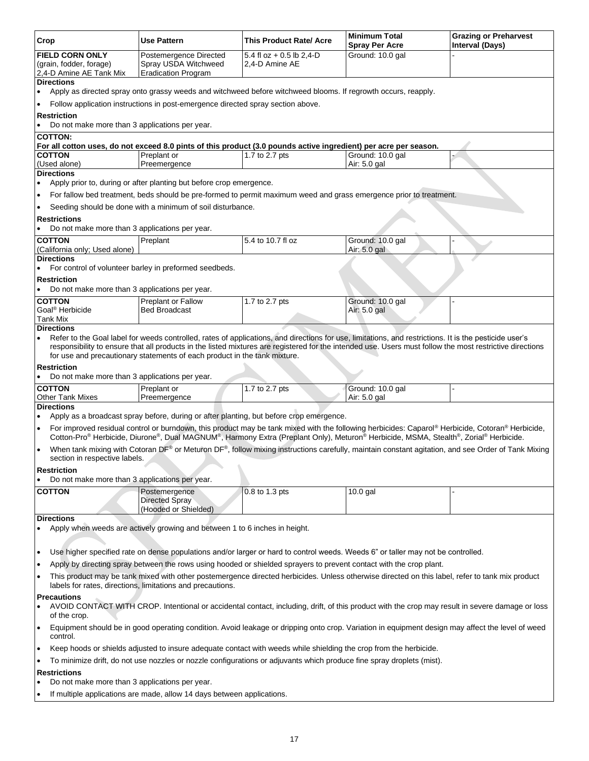| Crop                                                                                                                                                            | <b>Use Pattern</b>                                                           | <b>This Product Rate/ Acre</b>                                                                                                                                                                                                                                                                                     | <b>Minimum Total</b><br><b>Spray Per Acre</b> | <b>Grazing or Preharvest</b><br>Interval (Days) |  |
|-----------------------------------------------------------------------------------------------------------------------------------------------------------------|------------------------------------------------------------------------------|--------------------------------------------------------------------------------------------------------------------------------------------------------------------------------------------------------------------------------------------------------------------------------------------------------------------|-----------------------------------------------|-------------------------------------------------|--|
| <b>FIELD CORN ONLY</b><br>(grain, fodder, forage)<br>2,4-D Amine AE Tank Mix                                                                                    | Postemergence Directed<br>Spray USDA Witchweed<br><b>Eradication Program</b> | 5.4 fl oz + 0.5 lb 2,4-D<br>2,4-D Amine AE                                                                                                                                                                                                                                                                         | Ground: 10.0 gal                              |                                                 |  |
| <b>Directions</b>                                                                                                                                               |                                                                              |                                                                                                                                                                                                                                                                                                                    |                                               |                                                 |  |
| Apply as directed spray onto grassy weeds and witchweed before witchweed blooms. If regrowth occurs, reapply.                                                   |                                                                              |                                                                                                                                                                                                                                                                                                                    |                                               |                                                 |  |
| Follow application instructions in post-emergence directed spray section above.                                                                                 |                                                                              |                                                                                                                                                                                                                                                                                                                    |                                               |                                                 |  |
| <b>Restriction</b>                                                                                                                                              |                                                                              |                                                                                                                                                                                                                                                                                                                    |                                               |                                                 |  |
| Do not make more than 3 applications per year.                                                                                                                  |                                                                              |                                                                                                                                                                                                                                                                                                                    |                                               |                                                 |  |
| <b>COTTON:</b>                                                                                                                                                  |                                                                              |                                                                                                                                                                                                                                                                                                                    |                                               |                                                 |  |
|                                                                                                                                                                 |                                                                              | For all cotton uses, do not exceed 8.0 pints of this product (3.0 pounds active ingredient) per acre per season.                                                                                                                                                                                                   |                                               |                                                 |  |
| <b>COTTON</b>                                                                                                                                                   | Preplant or                                                                  | 1.7 to 2.7 pts                                                                                                                                                                                                                                                                                                     | Ground: 10.0 gal                              |                                                 |  |
| (Used alone)<br><b>Directions</b>                                                                                                                               | Preemergence                                                                 |                                                                                                                                                                                                                                                                                                                    | Air: 5.0 gal                                  |                                                 |  |
|                                                                                                                                                                 | Apply prior to, during or after planting but before crop emergence.          |                                                                                                                                                                                                                                                                                                                    |                                               |                                                 |  |
|                                                                                                                                                                 |                                                                              |                                                                                                                                                                                                                                                                                                                    |                                               |                                                 |  |
|                                                                                                                                                                 |                                                                              | For fallow bed treatment, beds should be pre-formed to permit maximum weed and grass emergence prior to treatment.                                                                                                                                                                                                 |                                               |                                                 |  |
|                                                                                                                                                                 | Seeding should be done with a minimum of soil disturbance.                   |                                                                                                                                                                                                                                                                                                                    |                                               |                                                 |  |
| <b>Restrictions</b>                                                                                                                                             |                                                                              |                                                                                                                                                                                                                                                                                                                    |                                               |                                                 |  |
| Do not make more than 3 applications per year.                                                                                                                  |                                                                              |                                                                                                                                                                                                                                                                                                                    |                                               |                                                 |  |
| <b>COTTON</b>                                                                                                                                                   | Preplant                                                                     | 5.4 to 10.7 fl oz                                                                                                                                                                                                                                                                                                  | Ground: 10.0 gal                              |                                                 |  |
| (California only; Used alone)                                                                                                                                   |                                                                              |                                                                                                                                                                                                                                                                                                                    | Air: 5.0 gal                                  |                                                 |  |
| <b>Directions</b>                                                                                                                                               |                                                                              |                                                                                                                                                                                                                                                                                                                    |                                               |                                                 |  |
|                                                                                                                                                                 | For control of volunteer barley in preformed seedbeds.                       |                                                                                                                                                                                                                                                                                                                    |                                               |                                                 |  |
| <b>Restriction</b>                                                                                                                                              |                                                                              |                                                                                                                                                                                                                                                                                                                    |                                               |                                                 |  |
| Do not make more than 3 applications per year.<br>$\bullet$                                                                                                     |                                                                              |                                                                                                                                                                                                                                                                                                                    |                                               |                                                 |  |
| <b>COTTON</b>                                                                                                                                                   | <b>Preplant or Fallow</b>                                                    | 1.7 to 2.7 pts                                                                                                                                                                                                                                                                                                     | Ground: 10.0 gal                              |                                                 |  |
| Goal <sup>®</sup> Herbicide                                                                                                                                     | <b>Bed Broadcast</b>                                                         |                                                                                                                                                                                                                                                                                                                    | Air: 5.0 gal                                  |                                                 |  |
| Tank Mix<br><b>Directions</b>                                                                                                                                   |                                                                              |                                                                                                                                                                                                                                                                                                                    |                                               |                                                 |  |
|                                                                                                                                                                 |                                                                              | Refer to the Goal label for weeds controlled, rates of applications, and directions for use, limitations, and restrictions. It is the pesticide user's<br>responsibility to ensure that all products in the listed mixtures are registered for the intended use. Users must follow the most restrictive directions |                                               |                                                 |  |
|                                                                                                                                                                 | for use and precautionary statements of each product in the tank mixture.    |                                                                                                                                                                                                                                                                                                                    |                                               |                                                 |  |
| <b>Restriction</b>                                                                                                                                              |                                                                              |                                                                                                                                                                                                                                                                                                                    |                                               |                                                 |  |
| Do not make more than 3 applications per year.<br>$\bullet$                                                                                                     |                                                                              |                                                                                                                                                                                                                                                                                                                    |                                               |                                                 |  |
| <b>COTTON</b>                                                                                                                                                   | Preplant or                                                                  | 1.7 to 2.7 pts                                                                                                                                                                                                                                                                                                     | Ground: 10.0 gal                              |                                                 |  |
| <b>Other Tank Mixes</b>                                                                                                                                         | Preemergence                                                                 |                                                                                                                                                                                                                                                                                                                    | Air: 5.0 gal                                  |                                                 |  |
| <b>Directions</b>                                                                                                                                               |                                                                              |                                                                                                                                                                                                                                                                                                                    |                                               |                                                 |  |
| $\bullet$                                                                                                                                                       |                                                                              | Apply as a broadcast spray before, during or after planting, but before crop emergence.                                                                                                                                                                                                                            |                                               |                                                 |  |
|                                                                                                                                                                 |                                                                              | For improved residual control or burndown, this product may be tank mixed with the following herbicides: Caparol® Herbicide, Cotoran® Herbicide,<br>Cotton-Pro® Herbicide, Diurone®, Dual MAGNUM®, Harmony Extra (Preplant Only), Meturon® Herbicide, MSMA, Stealth®, Zorial® Herbicide.                           |                                               |                                                 |  |
| section in respective labels.                                                                                                                                   |                                                                              | When tank mixing with Cotoran DF® or Meturon DF®, follow mixing instructions carefully, maintain constant agitation, and see Order of Tank Mixing                                                                                                                                                                  |                                               |                                                 |  |
| <b>Restriction</b>                                                                                                                                              |                                                                              |                                                                                                                                                                                                                                                                                                                    |                                               |                                                 |  |
| Do not make more than 3 applications per year.                                                                                                                  |                                                                              |                                                                                                                                                                                                                                                                                                                    |                                               |                                                 |  |
| <b>COTTON</b>                                                                                                                                                   | Postemergence                                                                | 0.8 to 1.3 pts                                                                                                                                                                                                                                                                                                     | $10.0$ gal                                    |                                                 |  |
|                                                                                                                                                                 | <b>Directed Spray</b>                                                        |                                                                                                                                                                                                                                                                                                                    |                                               |                                                 |  |
|                                                                                                                                                                 | (Hooded or Shielded)                                                         |                                                                                                                                                                                                                                                                                                                    |                                               |                                                 |  |
| <b>Directions</b>                                                                                                                                               | Apply when weeds are actively growing and between 1 to 6 inches in height.   |                                                                                                                                                                                                                                                                                                                    |                                               |                                                 |  |
|                                                                                                                                                                 |                                                                              |                                                                                                                                                                                                                                                                                                                    |                                               |                                                 |  |
| ٠                                                                                                                                                               |                                                                              | Use higher specified rate on dense populations and/or larger or hard to control weeds. Weeds 6" or taller may not be controlled.                                                                                                                                                                                   |                                               |                                                 |  |
|                                                                                                                                                                 |                                                                              | Apply by directing spray between the rows using hooded or shielded sprayers to prevent contact with the crop plant.                                                                                                                                                                                                |                                               |                                                 |  |
|                                                                                                                                                                 |                                                                              | This product may be tank mixed with other postemergence directed herbicides. Unless otherwise directed on this label, refer to tank mix product                                                                                                                                                                    |                                               |                                                 |  |
|                                                                                                                                                                 | labels for rates, directions, limitations and precautions.                   |                                                                                                                                                                                                                                                                                                                    |                                               |                                                 |  |
| <b>Precautions</b>                                                                                                                                              |                                                                              |                                                                                                                                                                                                                                                                                                                    |                                               |                                                 |  |
| AVOID CONTACT WITH CROP. Intentional or accidental contact, including, drift, of this product with the crop may result in severe damage or loss<br>of the crop. |                                                                              |                                                                                                                                                                                                                                                                                                                    |                                               |                                                 |  |
| Equipment should be in good operating condition. Avoid leakage or dripping onto crop. Variation in equipment design may affect the level of weed<br>control.    |                                                                              |                                                                                                                                                                                                                                                                                                                    |                                               |                                                 |  |
| Keep hoods or shields adjusted to insure adequate contact with weeds while shielding the crop from the herbicide.                                               |                                                                              |                                                                                                                                                                                                                                                                                                                    |                                               |                                                 |  |
|                                                                                                                                                                 |                                                                              |                                                                                                                                                                                                                                                                                                                    |                                               |                                                 |  |
|                                                                                                                                                                 |                                                                              | To minimize drift, do not use nozzles or nozzle configurations or adjuvants which produce fine spray droplets (mist).                                                                                                                                                                                              |                                               |                                                 |  |
| <b>Restrictions</b>                                                                                                                                             |                                                                              |                                                                                                                                                                                                                                                                                                                    |                                               |                                                 |  |
| Do not make more than 3 applications per year.                                                                                                                  |                                                                              |                                                                                                                                                                                                                                                                                                                    |                                               |                                                 |  |
|                                                                                                                                                                 | If multiple applications are made, allow 14 days between applications.       |                                                                                                                                                                                                                                                                                                                    |                                               |                                                 |  |
|                                                                                                                                                                 |                                                                              |                                                                                                                                                                                                                                                                                                                    |                                               |                                                 |  |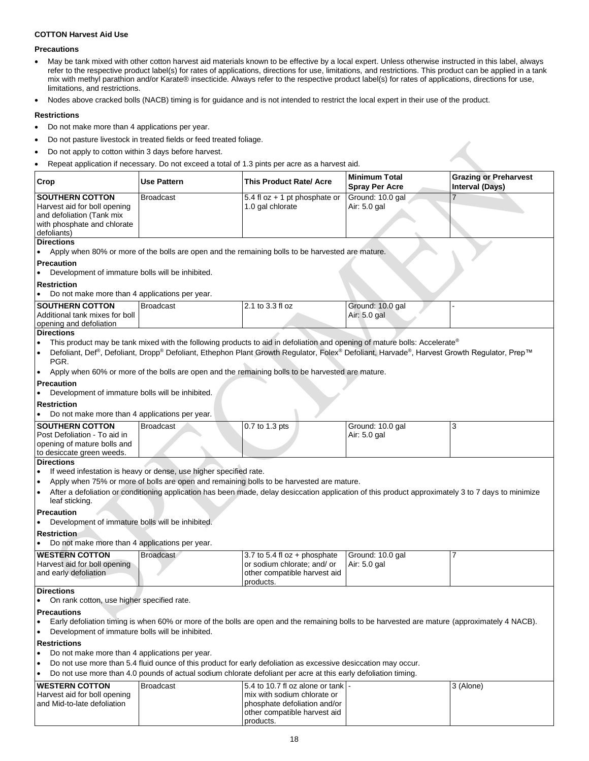### **COTTON Harvest Aid Use**

#### **Precautions**

- May be tank mixed with other cotton harvest aid materials known to be effective by a local expert. Unless otherwise instructed in this label, always refer to the respective product label(s) for rates of applications, directions for use, limitations, and restrictions. This product can be applied in a tank mix with methyl parathion and/or Karate® insecticide. Always refer to the respective product label(s) for rates of applications, directions for use, limitations, and restrictions.
- Nodes above cracked bolls (NACB) timing is for guidance and is not intended to restrict the local expert in their use of the product.

#### **Restrictions**

- Do not make more than 4 applications per year.
- Do not pasture livestock in treated fields or feed treated foliage.
- Do not apply to cotton within 3 days before harvest.
- Repeat application if necessary. Do not exceed a total of 1.3 pints per acre as a harvest aid.

| Crop                                                                                                                              | <b>Use Pattern</b>                                                | <b>This Product Rate/ Acre</b>                                                                                                                     | <b>Minimum Total</b><br><b>Spray Per Acre</b> | <b>Grazing or Preharvest</b><br><b>Interval (Days)</b> |
|-----------------------------------------------------------------------------------------------------------------------------------|-------------------------------------------------------------------|----------------------------------------------------------------------------------------------------------------------------------------------------|-----------------------------------------------|--------------------------------------------------------|
| <b>SOUTHERN COTTON</b><br>Harvest aid for boll opening<br>and defoliation (Tank mix<br>with phosphate and chlorate<br>defoliants) | <b>Broadcast</b>                                                  | 5.4 fl oz + 1 pt phosphate or<br>1.0 gal chlorate                                                                                                  | Ground: 10.0 gal<br>Air: 5.0 gal              |                                                        |
| <b>Directions</b>                                                                                                                 |                                                                   |                                                                                                                                                    |                                               |                                                        |
|                                                                                                                                   |                                                                   | Apply when 80% or more of the bolls are open and the remaining bolls to be harvested are mature.                                                   |                                               |                                                        |
| <b>Precaution</b>                                                                                                                 |                                                                   |                                                                                                                                                    |                                               |                                                        |
| Development of immature bolls will be inhibited.                                                                                  |                                                                   |                                                                                                                                                    |                                               |                                                        |
| <b>Restriction</b>                                                                                                                |                                                                   |                                                                                                                                                    |                                               |                                                        |
| Do not make more than 4 applications per year.                                                                                    |                                                                   |                                                                                                                                                    |                                               |                                                        |
| SOUTHERN COTTON                                                                                                                   | <b>Broadcast</b>                                                  | 2.1 to 3.3 fl oz                                                                                                                                   | Ground: 10.0 gal                              |                                                        |
| Additional tank mixes for boll                                                                                                    |                                                                   |                                                                                                                                                    | Air: 5.0 gal                                  |                                                        |
| opening and defoliation                                                                                                           |                                                                   |                                                                                                                                                    |                                               |                                                        |
| <b>Directions</b>                                                                                                                 |                                                                   |                                                                                                                                                    |                                               |                                                        |
|                                                                                                                                   |                                                                   | This product may be tank mixed with the following products to aid in defoliation and opening of mature bolls: Accelerate®                          |                                               |                                                        |
|                                                                                                                                   |                                                                   | Defoliant, Def®, Defoliant, Dropp® Defoliant, Ethephon Plant Growth Regulator, Folex® Defoliant, Harvade®, Harvest Growth Regulator, Prep™         |                                               |                                                        |
| PGR.                                                                                                                              |                                                                   |                                                                                                                                                    |                                               |                                                        |
|                                                                                                                                   |                                                                   | Apply when 60% or more of the bolls are open and the remaining bolls to be harvested are mature.                                                   |                                               |                                                        |
| <b>Precaution</b>                                                                                                                 |                                                                   |                                                                                                                                                    |                                               |                                                        |
| Development of immature bolls will be inhibited.<br>$\bullet$                                                                     |                                                                   |                                                                                                                                                    |                                               |                                                        |
| <b>Restriction</b>                                                                                                                |                                                                   |                                                                                                                                                    |                                               |                                                        |
| Do not make more than 4 applications per year.                                                                                    |                                                                   |                                                                                                                                                    |                                               |                                                        |
| <b>SOUTHERN COTTON</b>                                                                                                            | <b>Broadcast</b>                                                  | 0.7 to 1.3 pts                                                                                                                                     | Ground: 10.0 gal                              | 3                                                      |
| Post Defoliation - To aid in                                                                                                      |                                                                   |                                                                                                                                                    | Air: 5.0 gal                                  |                                                        |
| opening of mature bolls and                                                                                                       |                                                                   |                                                                                                                                                    |                                               |                                                        |
| to desiccate green weeds.                                                                                                         |                                                                   |                                                                                                                                                    |                                               |                                                        |
| <b>Directions</b>                                                                                                                 |                                                                   |                                                                                                                                                    |                                               |                                                        |
|                                                                                                                                   | If weed infestation is heavy or dense, use higher specified rate. |                                                                                                                                                    |                                               |                                                        |
|                                                                                                                                   |                                                                   | Apply when 75% or more of bolls are open and remaining bolls to be harvested are mature.                                                           |                                               |                                                        |
|                                                                                                                                   |                                                                   | After a defoliation or conditioning application has been made, delay desiccation application of this product approximately 3 to 7 days to minimize |                                               |                                                        |
| leaf sticking.                                                                                                                    |                                                                   |                                                                                                                                                    |                                               |                                                        |
| Precaution                                                                                                                        |                                                                   |                                                                                                                                                    |                                               |                                                        |
| Development of immature bolls will be inhibited.                                                                                  |                                                                   |                                                                                                                                                    |                                               |                                                        |
| <b>Restriction</b>                                                                                                                |                                                                   |                                                                                                                                                    |                                               |                                                        |
| Do not make more than 4 applications per year.                                                                                    |                                                                   |                                                                                                                                                    |                                               |                                                        |
| <b>WESTERN COTTON</b>                                                                                                             | <b>Broadcast</b>                                                  | 3.7 to 5.4 fl oz + phosphate                                                                                                                       | Ground: 10.0 gal                              |                                                        |
| Harvest aid for boll opening                                                                                                      |                                                                   | or sodium chlorate; and/ or                                                                                                                        | Air: 5.0 gal                                  |                                                        |
| and early defoliation                                                                                                             |                                                                   | other compatible harvest aid                                                                                                                       |                                               |                                                        |
|                                                                                                                                   |                                                                   | products.                                                                                                                                          |                                               |                                                        |
| <b>Directions</b>                                                                                                                 |                                                                   |                                                                                                                                                    |                                               |                                                        |
| On rank cotton, use higher specified rate.<br>$\bullet$                                                                           |                                                                   |                                                                                                                                                    |                                               |                                                        |
| <b>Precautions</b>                                                                                                                |                                                                   |                                                                                                                                                    |                                               |                                                        |
| $\bullet$                                                                                                                         |                                                                   | Early defoliation timing is when 60% or more of the bolls are open and the remaining bolls to be harvested are mature (approximately 4 NACB).      |                                               |                                                        |
| Development of immature bolls will be inhibited.                                                                                  |                                                                   |                                                                                                                                                    |                                               |                                                        |
| <b>Restrictions</b>                                                                                                               |                                                                   |                                                                                                                                                    |                                               |                                                        |
| Do not make more than 4 applications per year.<br>$\bullet$                                                                       |                                                                   |                                                                                                                                                    |                                               |                                                        |
| $\bullet$                                                                                                                         |                                                                   | Do not use more than 5.4 fluid ounce of this product for early defoliation as excessive desiccation may occur.                                     |                                               |                                                        |
| ٠                                                                                                                                 |                                                                   | Do not use more than 4.0 pounds of actual sodium chlorate defoliant per acre at this early defoliation timing.                                     |                                               |                                                        |
| <b>WESTERN COTTON</b>                                                                                                             | <b>Broadcast</b>                                                  | 5.4 to 10.7 fl oz alone or tank                                                                                                                    |                                               | 3 (Alone)                                              |
| Harvest aid for boll opening                                                                                                      |                                                                   | mix with sodium chlorate or                                                                                                                        |                                               |                                                        |
| and Mid-to-late defoliation                                                                                                       |                                                                   | phosphate defoliation and/or                                                                                                                       |                                               |                                                        |

other compatible harvest aid

products.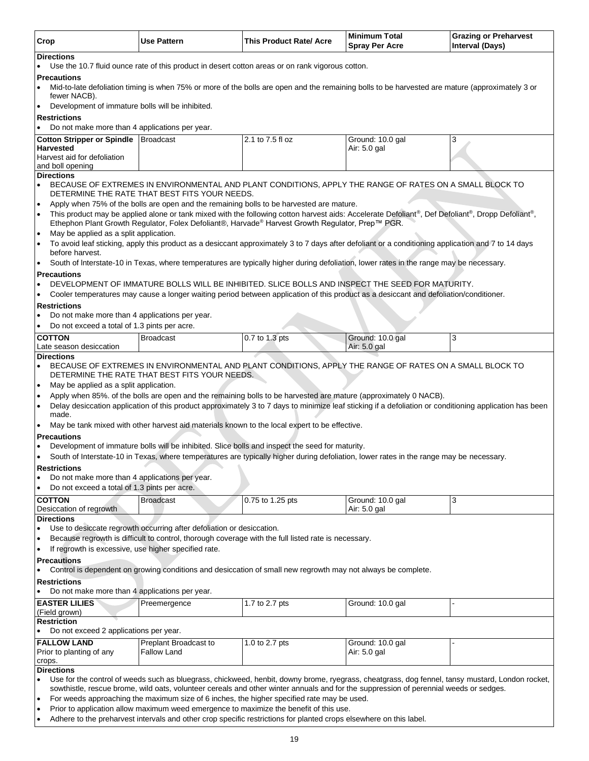| Crop                                                                                                                                             | <b>Use Pattern</b>                                                                                                                                                                                                                                                                       | <b>This Product Rate/ Acre</b> | <b>Minimum Total</b><br><b>Spray Per Acre</b> | <b>Grazing or Preharvest</b><br><b>Interval (Days)</b> |  |  |
|--------------------------------------------------------------------------------------------------------------------------------------------------|------------------------------------------------------------------------------------------------------------------------------------------------------------------------------------------------------------------------------------------------------------------------------------------|--------------------------------|-----------------------------------------------|--------------------------------------------------------|--|--|
| <b>Directions</b>                                                                                                                                | Use the 10.7 fluid ounce rate of this product in desert cotton areas or on rank vigorous cotton.                                                                                                                                                                                         |                                |                                               |                                                        |  |  |
| <b>Precautions</b>                                                                                                                               | Mid-to-late defoliation timing is when 75% or more of the bolls are open and the remaining bolls to be harvested are mature (approximately 3 or                                                                                                                                          |                                |                                               |                                                        |  |  |
| fewer NACB).<br>Development of immature bolls will be inhibited.                                                                                 |                                                                                                                                                                                                                                                                                          |                                |                                               |                                                        |  |  |
| <b>Restrictions</b><br>Do not make more than 4 applications per year.<br>$\bullet$                                                               |                                                                                                                                                                                                                                                                                          |                                |                                               |                                                        |  |  |
| <b>Cotton Stripper or Spindle</b>                                                                                                                | Broadcast                                                                                                                                                                                                                                                                                | 2.1 to 7.5 fl oz               | Ground: 10.0 gal                              | 3                                                      |  |  |
| <b>Harvested</b><br>Harvest aid for defoliation<br>and boll opening                                                                              |                                                                                                                                                                                                                                                                                          |                                | Air: 5.0 gal                                  |                                                        |  |  |
| <b>Directions</b>                                                                                                                                |                                                                                                                                                                                                                                                                                          |                                |                                               |                                                        |  |  |
| $\bullet$                                                                                                                                        | BECAUSE OF EXTREMES IN ENVIRONMENTAL AND PLANT CONDITIONS, APPLY THE RANGE OF RATES ON A SMALL BLOCK TO<br>DETERMINE THE RATE THAT BEST FITS YOUR NEEDS.                                                                                                                                 |                                |                                               |                                                        |  |  |
| $\bullet$                                                                                                                                        | Apply when 75% of the bolls are open and the remaining bolls to be harvested are mature.<br>This product may be applied alone or tank mixed with the following cotton harvest aids: Accelerate Defoliant®, Def Defoliant®, Dropp Defoliant®,                                             |                                |                                               |                                                        |  |  |
|                                                                                                                                                  | Ethephon Plant Growth Regulator, Folex Defoliant®, Harvade® Harvest Growth Regulator, Prep™ PGR.                                                                                                                                                                                         |                                |                                               |                                                        |  |  |
| May be applied as a split application.<br>$\bullet$                                                                                              | To avoid leaf sticking, apply this product as a desiccant approximately 3 to 7 days after defoliant or a conditioning application and 7 to 14 days                                                                                                                                       |                                |                                               |                                                        |  |  |
| before harvest.                                                                                                                                  |                                                                                                                                                                                                                                                                                          |                                |                                               |                                                        |  |  |
| ٠                                                                                                                                                | South of Interstate-10 in Texas, where temperatures are typically higher during defoliation, lower rates in the range may be necessary.                                                                                                                                                  |                                |                                               |                                                        |  |  |
| <b>Precautions</b>                                                                                                                               | DEVELOPMENT OF IMMATURE BOLLS WILL BE INHIBITED. SLICE BOLLS AND INSPECT THE SEED FOR MATURITY.                                                                                                                                                                                          |                                |                                               |                                                        |  |  |
| ٠                                                                                                                                                | Cooler temperatures may cause a longer waiting period between application of this product as a desiccant and defoliation/conditioner.                                                                                                                                                    |                                |                                               |                                                        |  |  |
| <b>Restrictions</b><br>Do not make more than 4 applications per year.                                                                            |                                                                                                                                                                                                                                                                                          |                                |                                               |                                                        |  |  |
| Do not exceed a total of 1.3 pints per acre.<br>٠                                                                                                |                                                                                                                                                                                                                                                                                          |                                |                                               |                                                        |  |  |
| <b>COTTON</b><br>Late season desiccation                                                                                                         | <b>Broadcast</b>                                                                                                                                                                                                                                                                         | 0.7 to 1.3 pts                 | Ground: 10.0 gal<br>Air: 5.0 gal              | 3                                                      |  |  |
| <b>Directions</b>                                                                                                                                |                                                                                                                                                                                                                                                                                          |                                |                                               |                                                        |  |  |
|                                                                                                                                                  | BECAUSE OF EXTREMES IN ENVIRONMENTAL AND PLANT CONDITIONS, APPLY THE RANGE OF RATES ON A SMALL BLOCK TO<br>DETERMINE THE RATE THAT BEST FITS YOUR NEEDS.                                                                                                                                 |                                |                                               |                                                        |  |  |
| May be applied as a split application.<br>$\bullet$                                                                                              |                                                                                                                                                                                                                                                                                          |                                |                                               |                                                        |  |  |
| $\bullet$                                                                                                                                        | Apply when 85%. of the bolls are open and the remaining bolls to be harvested are mature (approximately 0 NACB).                                                                                                                                                                         |                                |                                               |                                                        |  |  |
| $\bullet$<br>made.                                                                                                                               | Delay desiccation application of this product approximately 3 to 7 days to minimize leaf sticking if a defoliation or conditioning application has been                                                                                                                                  |                                |                                               |                                                        |  |  |
| $\bullet$                                                                                                                                        | May be tank mixed with other harvest aid materials known to the local expert to be effective.                                                                                                                                                                                            |                                |                                               |                                                        |  |  |
| <b>Precautions</b>                                                                                                                               | Development of immature bolls will be inhibited. Slice bolls and inspect the seed for maturity.                                                                                                                                                                                          |                                |                                               |                                                        |  |  |
|                                                                                                                                                  | South of Interstate-10 in Texas, where temperatures are typically higher during defoliation, lower rates in the range may be necessary.                                                                                                                                                  |                                |                                               |                                                        |  |  |
| <b>Restrictions</b>                                                                                                                              |                                                                                                                                                                                                                                                                                          |                                |                                               |                                                        |  |  |
| Do not make more than 4 applications per year.<br>٠<br>Do not exceed a total of 1.3 pints per acre.<br>٠                                         |                                                                                                                                                                                                                                                                                          |                                |                                               |                                                        |  |  |
| <b>COTTON</b><br>Desiccation of regrowth                                                                                                         | <b>Broadcast</b>                                                                                                                                                                                                                                                                         | 0.75 to 1.25 pts               | Ground: 10.0 gal<br>Air: 5.0 gal              | 3                                                      |  |  |
| <b>Directions</b>                                                                                                                                |                                                                                                                                                                                                                                                                                          |                                |                                               |                                                        |  |  |
|                                                                                                                                                  | Use to desiccate regrowth occurring after defoliation or desiccation.<br>Because regrowth is difficult to control, thorough coverage with the full listed rate is necessary.                                                                                                             |                                |                                               |                                                        |  |  |
| If regrowth is excessive, use higher specified rate.<br>$\bullet$                                                                                |                                                                                                                                                                                                                                                                                          |                                |                                               |                                                        |  |  |
| <b>Precautions</b>                                                                                                                               |                                                                                                                                                                                                                                                                                          |                                |                                               |                                                        |  |  |
| Control is dependent on growing conditions and desiccation of small new regrowth may not always be complete.<br>$\bullet$<br><b>Restrictions</b> |                                                                                                                                                                                                                                                                                          |                                |                                               |                                                        |  |  |
| Do not make more than 4 applications per year.                                                                                                   |                                                                                                                                                                                                                                                                                          |                                |                                               |                                                        |  |  |
| <b>EASTER LILIES</b><br>(Field grown)                                                                                                            | Preemergence                                                                                                                                                                                                                                                                             | 1.7 to 2.7 pts                 | Ground: 10.0 gal                              |                                                        |  |  |
| <b>Restriction</b><br>Do not exceed 2 applications per year.<br>٠                                                                                |                                                                                                                                                                                                                                                                                          |                                |                                               |                                                        |  |  |
| <b>FALLOW LAND</b>                                                                                                                               | Preplant Broadcast to                                                                                                                                                                                                                                                                    | 1.0 to 2.7 pts                 | Ground: 10.0 gal                              |                                                        |  |  |
| Prior to planting of any<br>crops.                                                                                                               | <b>Fallow Land</b>                                                                                                                                                                                                                                                                       |                                | Air: 5.0 gal                                  |                                                        |  |  |
| <b>Directions</b>                                                                                                                                |                                                                                                                                                                                                                                                                                          |                                |                                               |                                                        |  |  |
|                                                                                                                                                  | Use for the control of weeds such as bluegrass, chickweed, henbit, downy brome, ryegrass, cheatgrass, dog fennel, tansy mustard, London rocket,<br>sowthistle, rescue brome, wild oats, volunteer cereals and other winter annuals and for the suppression of perennial weeds or sedges. |                                |                                               |                                                        |  |  |
| ٠<br>$\bullet$                                                                                                                                   | For weeds approaching the maximum size of 6 inches, the higher specified rate may be used.<br>Prior to application allow maximum weed emergence to maximize the benefit of this use.                                                                                                     |                                |                                               |                                                        |  |  |

• Adhere to the preharvest intervals and other crop specific restrictions for planted crops elsewhere on this label.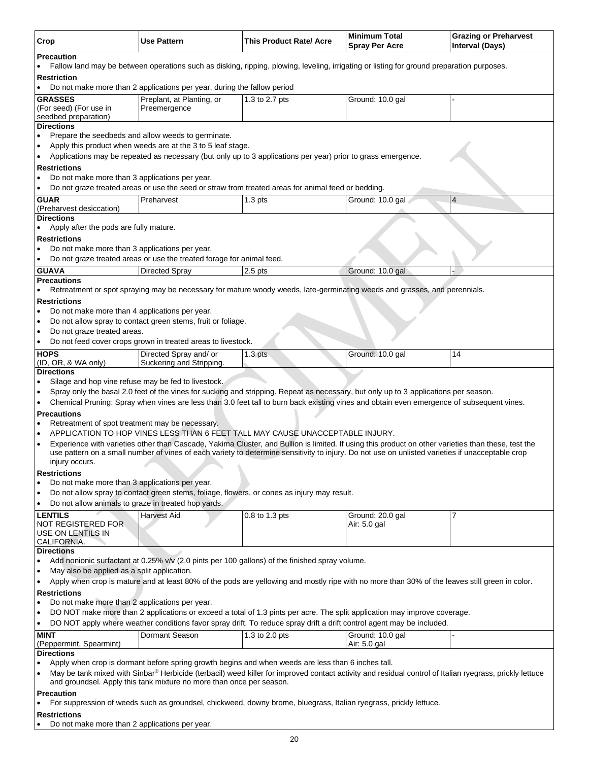| Crop                                                                                  | <b>Use Pattern</b>                                                                                           | This Product Rate/ Acre | <b>Minimum Total</b><br><b>Spray Per Acre</b>                                                                                                                                                                                                      | <b>Grazing or Preharvest</b><br>Interval (Days) |
|---------------------------------------------------------------------------------------|--------------------------------------------------------------------------------------------------------------|-------------------------|----------------------------------------------------------------------------------------------------------------------------------------------------------------------------------------------------------------------------------------------------|-------------------------------------------------|
| <b>Precaution</b>                                                                     |                                                                                                              |                         |                                                                                                                                                                                                                                                    |                                                 |
| <b>Restriction</b>                                                                    |                                                                                                              |                         | Fallow land may be between operations such as disking, ripping, plowing, leveling, irrigating or listing for ground preparation purposes.                                                                                                          |                                                 |
|                                                                                       | Do not make more than 2 applications per year, during the fallow period                                      |                         |                                                                                                                                                                                                                                                    |                                                 |
| <b>GRASSES</b>                                                                        | Preplant, at Planting, or                                                                                    | 1.3 to 2.7 pts          | Ground: 10.0 gal                                                                                                                                                                                                                                   |                                                 |
| (For seed) (For use in<br>seedbed preparation)                                        | Preemergence                                                                                                 |                         |                                                                                                                                                                                                                                                    |                                                 |
| <b>Directions</b>                                                                     |                                                                                                              |                         |                                                                                                                                                                                                                                                    |                                                 |
| $\bullet$                                                                             | Prepare the seedbeds and allow weeds to germinate.                                                           |                         |                                                                                                                                                                                                                                                    |                                                 |
| $\bullet$                                                                             | Apply this product when weeds are at the 3 to 5 leaf stage.                                                  |                         |                                                                                                                                                                                                                                                    |                                                 |
| $\bullet$                                                                             | Applications may be repeated as necessary (but only up to 3 applications per year) prior to grass emergence. |                         |                                                                                                                                                                                                                                                    |                                                 |
| <b>Restrictions</b><br>Do not make more than 3 applications per year.<br>$\bullet$    |                                                                                                              |                         |                                                                                                                                                                                                                                                    |                                                 |
| $\bullet$                                                                             | Do not graze treated areas or use the seed or straw from treated areas for animal feed or bedding.           |                         |                                                                                                                                                                                                                                                    |                                                 |
| <b>GUAR</b>                                                                           | Preharvest                                                                                                   | 1.3 <sub>pts</sub>      | Ground: 10.0 gal                                                                                                                                                                                                                                   | 4                                               |
| (Preharvest desiccation)                                                              |                                                                                                              |                         |                                                                                                                                                                                                                                                    |                                                 |
| <b>Directions</b><br>Apply after the pods are fully mature.                           |                                                                                                              |                         |                                                                                                                                                                                                                                                    |                                                 |
| <b>Restrictions</b>                                                                   |                                                                                                              |                         |                                                                                                                                                                                                                                                    |                                                 |
| Do not make more than 3 applications per year.<br>$\bullet$                           |                                                                                                              |                         |                                                                                                                                                                                                                                                    |                                                 |
| $\bullet$                                                                             | Do not graze treated areas or use the treated forage for animal feed.                                        |                         |                                                                                                                                                                                                                                                    |                                                 |
| <b>GUAVA</b>                                                                          | <b>Directed Spray</b>                                                                                        | $2.5$ pts               | Ground: 10.0 gal                                                                                                                                                                                                                                   |                                                 |
| <b>Precautions</b>                                                                    |                                                                                                              |                         |                                                                                                                                                                                                                                                    |                                                 |
| $\bullet$                                                                             |                                                                                                              |                         | Retreatment or spot spraying may be necessary for mature woody weeds, late-germinating weeds and grasses, and perennials.                                                                                                                          |                                                 |
| <b>Restrictions</b><br>Do not make more than 4 applications per year.<br>$\bullet$    |                                                                                                              |                         |                                                                                                                                                                                                                                                    |                                                 |
| $\bullet$                                                                             | Do not allow spray to contact green stems, fruit or foliage.                                                 |                         |                                                                                                                                                                                                                                                    |                                                 |
| Do not graze treated areas.<br>$\bullet$                                              |                                                                                                              |                         |                                                                                                                                                                                                                                                    |                                                 |
| $\bullet$                                                                             | Do not feed cover crops grown in treated areas to livestock.                                                 |                         |                                                                                                                                                                                                                                                    |                                                 |
| <b>HOPS</b>                                                                           | Directed Spray and/ or                                                                                       | 1.3 <sub>pts</sub>      | Ground: 10.0 gal                                                                                                                                                                                                                                   | 14                                              |
| (ID, OR, & WA only)                                                                   | Suckering and Stripping                                                                                      |                         |                                                                                                                                                                                                                                                    |                                                 |
| <b>Directions</b><br>Silage and hop vine refuse may be fed to livestock.<br>$\bullet$ |                                                                                                              |                         |                                                                                                                                                                                                                                                    |                                                 |
| $\bullet$                                                                             |                                                                                                              |                         | Spray only the basal 2.0 feet of the vines for sucking and stripping. Repeat as necessary, but only up to 3 applications per season.                                                                                                               |                                                 |
| $\bullet$                                                                             |                                                                                                              |                         | Chemical Pruning: Spray when vines are less than 3.0 feet tall to burn back existing vines and obtain even emergence of subsequent vines.                                                                                                          |                                                 |
| <b>Precautions</b>                                                                    |                                                                                                              |                         |                                                                                                                                                                                                                                                    |                                                 |
| Retreatment of spot treatment may be necessary.<br>$\bullet$                          |                                                                                                              |                         |                                                                                                                                                                                                                                                    |                                                 |
| $\bullet$<br>$\bullet$                                                                | APPLICATION TO HOP VINES LESS THAN 6 FEET TALL MAY CAUSE UNACCEPTABLE INJURY.                                |                         | Experience with varieties other than Cascade, Yakima Cluster, and Bullion is limited. If using this product on other varieties than these, test the                                                                                                |                                                 |
|                                                                                       |                                                                                                              |                         | use pattern on a small number of vines of each variety to determine sensitivity to injury. Do not use on unlisted varieties if unacceptable crop                                                                                                   |                                                 |
| injury occurs.                                                                        |                                                                                                              |                         |                                                                                                                                                                                                                                                    |                                                 |
| <b>Restrictions</b>                                                                   |                                                                                                              |                         |                                                                                                                                                                                                                                                    |                                                 |
| Do not make more than 3 applications per year.<br>$\bullet$                           |                                                                                                              |                         |                                                                                                                                                                                                                                                    |                                                 |
| $\bullet$<br>Do not allow animals to graze in treated hop yards.<br>$\bullet$         | Do not allow spray to contact green stems, foliage, flowers, or cones as injury may result.                  |                         |                                                                                                                                                                                                                                                    |                                                 |
| <b>LENTILS</b>                                                                        | <b>Harvest Aid</b>                                                                                           | 0.8 to 1.3 pts          | Ground: 20.0 gal                                                                                                                                                                                                                                   | 7                                               |
| NOT REGISTERED FOR                                                                    |                                                                                                              |                         | Air: 5.0 gal                                                                                                                                                                                                                                       |                                                 |
| USE ON LENTILS IN                                                                     |                                                                                                              |                         |                                                                                                                                                                                                                                                    |                                                 |
| CALIFORNIA.<br><b>Directions</b>                                                      |                                                                                                              |                         |                                                                                                                                                                                                                                                    |                                                 |
| $\bullet$                                                                             | Add nonionic surfactant at 0.25% v/v (2.0 pints per 100 gallons) of the finished spray volume.               |                         |                                                                                                                                                                                                                                                    |                                                 |
| May also be applied as a split application.<br>$\bullet$                              |                                                                                                              |                         |                                                                                                                                                                                                                                                    |                                                 |
| $\bullet$                                                                             |                                                                                                              |                         | Apply when crop is mature and at least 80% of the pods are yellowing and mostly ripe with no more than 30% of the leaves still green in color.                                                                                                     |                                                 |
| <b>Restrictions</b>                                                                   |                                                                                                              |                         |                                                                                                                                                                                                                                                    |                                                 |
| Do not make more than 2 applications per year.<br>$\bullet$<br>$\bullet$              |                                                                                                              |                         |                                                                                                                                                                                                                                                    |                                                 |
| $\bullet$                                                                             |                                                                                                              |                         | DO NOT make more than 2 applications or exceed a total of 1.3 pints per acre. The split application may improve coverage.<br>DO NOT apply where weather conditions favor spray drift. To reduce spray drift a drift control agent may be included. |                                                 |
| <b>MINT</b>                                                                           | Dormant Season                                                                                               | 1.3 to 2.0 pts          | Ground: 10.0 gal                                                                                                                                                                                                                                   |                                                 |
| (Peppermint, Spearmint)                                                               |                                                                                                              |                         | Air: 5.0 gal                                                                                                                                                                                                                                       |                                                 |
| <b>Directions</b>                                                                     |                                                                                                              |                         |                                                                                                                                                                                                                                                    |                                                 |
| $\bullet$                                                                             | Apply when crop is dormant before spring growth begins and when weeds are less than 6 inches tall.           |                         |                                                                                                                                                                                                                                                    |                                                 |
|                                                                                       | and groundsel. Apply this tank mixture no more than once per season.                                         |                         | May be tank mixed with Sinbar® Herbicide (terbacil) weed killer for improved contact activity and residual control of Italian ryegrass, prickly lettuce                                                                                            |                                                 |
|                                                                                       |                                                                                                              |                         |                                                                                                                                                                                                                                                    |                                                 |

#### **Precaution**

• For suppression of weeds such as groundsel, chickweed, downy brome, bluegrass, Italian ryegrass, prickly lettuce.

## **Restrictions**

• Do not make more than 2 applications per year.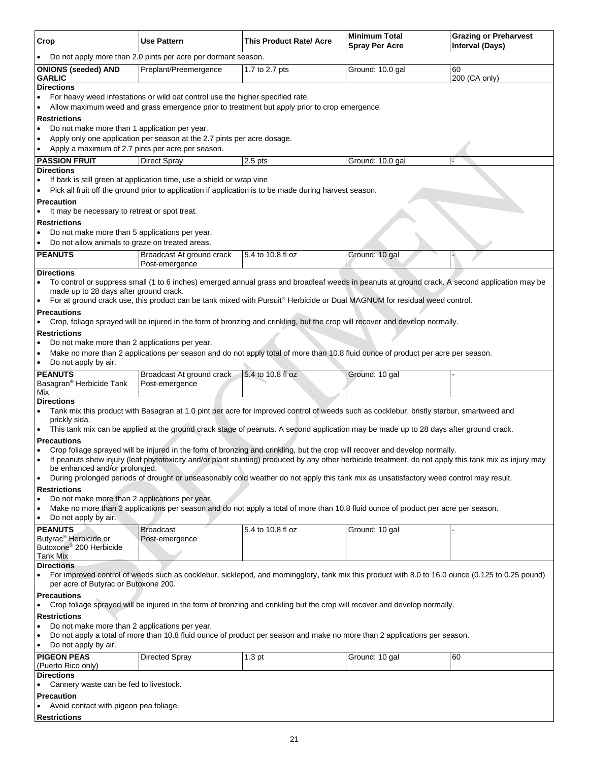| Crop                                                                                                                                                           | <b>Use Pattern</b>                                                                                                                                                              | <b>This Product Rate/ Acre</b> | <b>Minimum Total</b><br><b>Spray Per Acre</b>                                                                                                                                                                                                                                        | <b>Grazing or Preharvest</b><br><b>Interval (Days)</b> |  |
|----------------------------------------------------------------------------------------------------------------------------------------------------------------|---------------------------------------------------------------------------------------------------------------------------------------------------------------------------------|--------------------------------|--------------------------------------------------------------------------------------------------------------------------------------------------------------------------------------------------------------------------------------------------------------------------------------|--------------------------------------------------------|--|
|                                                                                                                                                                | Do not apply more than 2.0 pints per acre per dormant season.                                                                                                                   |                                |                                                                                                                                                                                                                                                                                      |                                                        |  |
| <b>ONIONS (seeded) AND</b><br><b>GARLIC</b>                                                                                                                    | Preplant/Preemergence                                                                                                                                                           | 1.7 to 2.7 pts                 | Ground: 10.0 gal                                                                                                                                                                                                                                                                     | 60<br>200 (CA only)                                    |  |
| <b>Directions</b><br>For heavy weed infestations or wild oat control use the higher specified rate.                                                            |                                                                                                                                                                                 |                                |                                                                                                                                                                                                                                                                                      |                                                        |  |
| $\bullet$                                                                                                                                                      | Allow maximum weed and grass emergence prior to treatment but apply prior to crop emergence.                                                                                    |                                |                                                                                                                                                                                                                                                                                      |                                                        |  |
| <b>Restrictions</b>                                                                                                                                            |                                                                                                                                                                                 |                                |                                                                                                                                                                                                                                                                                      |                                                        |  |
| Do not make more than 1 application per year.<br>$\bullet$                                                                                                     |                                                                                                                                                                                 |                                |                                                                                                                                                                                                                                                                                      |                                                        |  |
|                                                                                                                                                                | Apply only one application per season at the 2.7 pints per acre dosage.                                                                                                         |                                |                                                                                                                                                                                                                                                                                      |                                                        |  |
| Apply a maximum of 2.7 pints per acre per season.<br>$\bullet$                                                                                                 |                                                                                                                                                                                 |                                |                                                                                                                                                                                                                                                                                      |                                                        |  |
| <b>PASSION FRUIT</b>                                                                                                                                           | <b>Direct Spray</b>                                                                                                                                                             | $2.5$ pts                      | Ground: 10.0 gal                                                                                                                                                                                                                                                                     |                                                        |  |
| <b>Directions</b>                                                                                                                                              |                                                                                                                                                                                 |                                |                                                                                                                                                                                                                                                                                      |                                                        |  |
|                                                                                                                                                                | If bark is still green at application time, use a shield or wrap vine<br>Pick all fruit off the ground prior to application if application is to be made during harvest season. |                                |                                                                                                                                                                                                                                                                                      |                                                        |  |
| <b>Precaution</b>                                                                                                                                              |                                                                                                                                                                                 |                                |                                                                                                                                                                                                                                                                                      |                                                        |  |
| $\bullet$<br>It may be necessary to retreat or spot treat.                                                                                                     |                                                                                                                                                                                 |                                |                                                                                                                                                                                                                                                                                      |                                                        |  |
| <b>Restrictions</b>                                                                                                                                            |                                                                                                                                                                                 |                                |                                                                                                                                                                                                                                                                                      |                                                        |  |
| Do not make more than 5 applications per year.                                                                                                                 |                                                                                                                                                                                 |                                |                                                                                                                                                                                                                                                                                      |                                                        |  |
| Do not allow animals to graze on treated areas.                                                                                                                |                                                                                                                                                                                 |                                |                                                                                                                                                                                                                                                                                      |                                                        |  |
| <b>PEANUTS</b>                                                                                                                                                 | Broadcast At ground crack                                                                                                                                                       | 5.4 to 10.8 fl oz              | Ground: 10 gal                                                                                                                                                                                                                                                                       |                                                        |  |
| <b>Directions</b>                                                                                                                                              | Post-emergence                                                                                                                                                                  |                                |                                                                                                                                                                                                                                                                                      |                                                        |  |
|                                                                                                                                                                |                                                                                                                                                                                 |                                | To control or suppress small (1 to 6 inches) emerged annual grass and broadleaf weeds in peanuts at ground crack. A second application may be                                                                                                                                        |                                                        |  |
| made up to 28 days after ground crack.                                                                                                                         |                                                                                                                                                                                 |                                |                                                                                                                                                                                                                                                                                      |                                                        |  |
| ٠                                                                                                                                                              |                                                                                                                                                                                 |                                | For at ground crack use, this product can be tank mixed with Pursuit® Herbicide or Dual MAGNUM for residual weed control.                                                                                                                                                            |                                                        |  |
| <b>Precautions</b>                                                                                                                                             |                                                                                                                                                                                 |                                |                                                                                                                                                                                                                                                                                      |                                                        |  |
| $\bullet$                                                                                                                                                      |                                                                                                                                                                                 |                                | Crop, foliage sprayed will be injured in the form of bronzing and crinkling, but the crop will recover and develop normally.                                                                                                                                                         |                                                        |  |
| <b>Restrictions</b><br>Do not make more than 2 applications per year.<br>$\bullet$                                                                             |                                                                                                                                                                                 |                                |                                                                                                                                                                                                                                                                                      |                                                        |  |
|                                                                                                                                                                |                                                                                                                                                                                 |                                | Make no more than 2 applications per season and do not apply total of more than 10.8 fluid ounce of product per acre per season.                                                                                                                                                     |                                                        |  |
| Do not apply by air.<br>$\bullet$                                                                                                                              |                                                                                                                                                                                 |                                |                                                                                                                                                                                                                                                                                      |                                                        |  |
| <b>PEANUTS</b>                                                                                                                                                 | Broadcast At ground crack                                                                                                                                                       | 5.4 to 10.8 fl oz              | Ground: 10 gal                                                                                                                                                                                                                                                                       |                                                        |  |
| Basagran <sup>®</sup> Herbicide Tank                                                                                                                           | Post-emergence                                                                                                                                                                  |                                |                                                                                                                                                                                                                                                                                      |                                                        |  |
| Mix<br><b>Directions</b>                                                                                                                                       |                                                                                                                                                                                 |                                |                                                                                                                                                                                                                                                                                      |                                                        |  |
|                                                                                                                                                                |                                                                                                                                                                                 |                                | Tank mix this product with Basagran at 1.0 pint per acre for improved control of weeds such as cocklebur, bristly starbur, smartweed and                                                                                                                                             |                                                        |  |
| prickly sida.                                                                                                                                                  |                                                                                                                                                                                 |                                |                                                                                                                                                                                                                                                                                      |                                                        |  |
| $\bullet$                                                                                                                                                      |                                                                                                                                                                                 |                                | This tank mix can be applied at the ground crack stage of peanuts. A second application may be made up to 28 days after ground crack.                                                                                                                                                |                                                        |  |
| <b>Precautions</b>                                                                                                                                             |                                                                                                                                                                                 |                                |                                                                                                                                                                                                                                                                                      |                                                        |  |
|                                                                                                                                                                |                                                                                                                                                                                 |                                | Crop foliage sprayed will be injured in the form of bronzing and crinkling, but the crop will recover and develop normally.<br>If peanuts show injury (leaf phytotoxicity and/or plant stunting) produced by any other herbicide treatment, do not apply this tank mix as injury may |                                                        |  |
| be enhanced and/or prolonged.                                                                                                                                  |                                                                                                                                                                                 |                                |                                                                                                                                                                                                                                                                                      |                                                        |  |
| ٠                                                                                                                                                              |                                                                                                                                                                                 |                                | During prolonged periods of drought or unseasonably cold weather do not apply this tank mix as unsatisfactory weed control may result.                                                                                                                                               |                                                        |  |
| <b>Restrictions</b>                                                                                                                                            |                                                                                                                                                                                 |                                |                                                                                                                                                                                                                                                                                      |                                                        |  |
| Do not make more than 2 applications per year.<br>$\bullet$                                                                                                    |                                                                                                                                                                                 |                                |                                                                                                                                                                                                                                                                                      |                                                        |  |
| ٠<br>Do not apply by air.<br>$\bullet$                                                                                                                         |                                                                                                                                                                                 |                                | Make no more than 2 applications per season and do not apply a total of more than 10.8 fluid ounce of product per acre per season.                                                                                                                                                   |                                                        |  |
| <b>PEANUTS</b>                                                                                                                                                 | <b>Broadcast</b>                                                                                                                                                                | 5.4 to 10.8 fl oz              | Ground: 10 gal                                                                                                                                                                                                                                                                       |                                                        |  |
| Butyrac <sup>®</sup> Herbicide or                                                                                                                              | Post-emergence                                                                                                                                                                  |                                |                                                                                                                                                                                                                                                                                      |                                                        |  |
| Butoxone <sup>®</sup> 200 Herbicide                                                                                                                            |                                                                                                                                                                                 |                                |                                                                                                                                                                                                                                                                                      |                                                        |  |
| Tank Mix<br><b>Directions</b>                                                                                                                                  |                                                                                                                                                                                 |                                |                                                                                                                                                                                                                                                                                      |                                                        |  |
| $\bullet$                                                                                                                                                      |                                                                                                                                                                                 |                                | For improved control of weeds such as cocklebur, sicklepod, and morningglory, tank mix this product with 8.0 to 16.0 ounce (0.125 to 0.25 pound)                                                                                                                                     |                                                        |  |
| per acre of Butyrac or Butoxone 200.                                                                                                                           |                                                                                                                                                                                 |                                |                                                                                                                                                                                                                                                                                      |                                                        |  |
| <b>Precautions</b>                                                                                                                                             |                                                                                                                                                                                 |                                |                                                                                                                                                                                                                                                                                      |                                                        |  |
| ٠                                                                                                                                                              |                                                                                                                                                                                 |                                | Crop foliage sprayed will be injured in the form of bronzing and crinkling but the crop will recover and develop normally.                                                                                                                                                           |                                                        |  |
| <b>Restrictions</b>                                                                                                                                            |                                                                                                                                                                                 |                                |                                                                                                                                                                                                                                                                                      |                                                        |  |
| Do not make more than 2 applications per year.<br>$\bullet$                                                                                                    |                                                                                                                                                                                 |                                |                                                                                                                                                                                                                                                                                      |                                                        |  |
| Do not apply a total of more than 10.8 fluid ounce of product per season and make no more than 2 applications per season.<br>Do not apply by air.<br>$\bullet$ |                                                                                                                                                                                 |                                |                                                                                                                                                                                                                                                                                      |                                                        |  |
| <b>PIGEON PEAS</b>                                                                                                                                             | Directed Spray                                                                                                                                                                  | 1.3 <sub>pt</sub>              | Ground: 10 gal                                                                                                                                                                                                                                                                       | 60                                                     |  |
| (Puerto Rico only)                                                                                                                                             |                                                                                                                                                                                 |                                |                                                                                                                                                                                                                                                                                      |                                                        |  |
| <b>Directions</b>                                                                                                                                              |                                                                                                                                                                                 |                                |                                                                                                                                                                                                                                                                                      |                                                        |  |
| Cannery waste can be fed to livestock.                                                                                                                         |                                                                                                                                                                                 |                                |                                                                                                                                                                                                                                                                                      |                                                        |  |
| <b>Precaution</b>                                                                                                                                              |                                                                                                                                                                                 |                                |                                                                                                                                                                                                                                                                                      |                                                        |  |
| Avoid contact with pigeon pea foliage.                                                                                                                         |                                                                                                                                                                                 |                                |                                                                                                                                                                                                                                                                                      |                                                        |  |
| <b>Restrictions</b>                                                                                                                                            |                                                                                                                                                                                 |                                |                                                                                                                                                                                                                                                                                      |                                                        |  |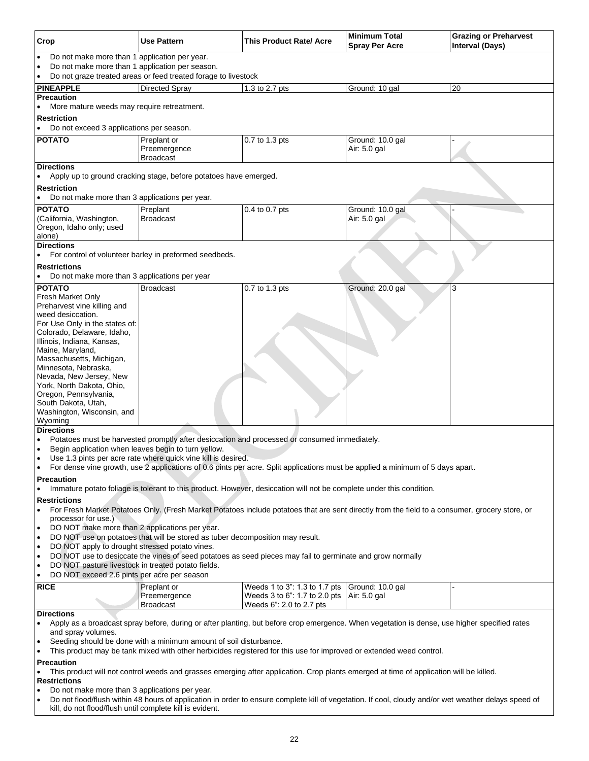| Crop                                                                                                                                                                                         | <b>Use Pattern</b>                                                                                                                                   | This Product Rate/ Acre       | <b>Minimum Total</b><br><b>Spray Per Acre</b> | <b>Grazing or Preharvest</b><br><b>Interval (Days)</b> |  |  |
|----------------------------------------------------------------------------------------------------------------------------------------------------------------------------------------------|------------------------------------------------------------------------------------------------------------------------------------------------------|-------------------------------|-----------------------------------------------|--------------------------------------------------------|--|--|
| Do not make more than 1 application per year.<br>$\bullet$<br>Do not make more than 1 application per season.<br>$\bullet$<br>Do not graze treated areas or feed treated forage to livestock |                                                                                                                                                      |                               |                                               |                                                        |  |  |
| <b>PINEAPPLE</b>                                                                                                                                                                             | <b>Directed Spray</b>                                                                                                                                | 1.3 to 2.7 pts                | Ground: 10 gal                                | 20                                                     |  |  |
| <b>Precaution</b>                                                                                                                                                                            |                                                                                                                                                      |                               |                                               |                                                        |  |  |
| More mature weeds may require retreatment.                                                                                                                                                   |                                                                                                                                                      |                               |                                               |                                                        |  |  |
| <b>Restriction</b>                                                                                                                                                                           |                                                                                                                                                      |                               |                                               |                                                        |  |  |
| Do not exceed 3 applications per season.                                                                                                                                                     |                                                                                                                                                      |                               |                                               |                                                        |  |  |
| <b>POTATO</b>                                                                                                                                                                                | Preplant or                                                                                                                                          | 0.7 to 1.3 pts                | Ground: 10.0 gal                              |                                                        |  |  |
|                                                                                                                                                                                              | Preemergence                                                                                                                                         |                               | Air: 5.0 gal                                  |                                                        |  |  |
| <b>Directions</b>                                                                                                                                                                            | <b>Broadcast</b>                                                                                                                                     |                               |                                               |                                                        |  |  |
| $\bullet$                                                                                                                                                                                    | Apply up to ground cracking stage, before potatoes have emerged.                                                                                     |                               |                                               |                                                        |  |  |
| <b>Restriction</b>                                                                                                                                                                           |                                                                                                                                                      |                               |                                               |                                                        |  |  |
| Do not make more than 3 applications per year.<br>$\bullet$                                                                                                                                  |                                                                                                                                                      |                               |                                               |                                                        |  |  |
| <b>POTATO</b>                                                                                                                                                                                | Preplant                                                                                                                                             | 0.4 to 0.7 pts                | Ground: 10.0 gal                              |                                                        |  |  |
| (California, Washington,                                                                                                                                                                     | <b>Broadcast</b>                                                                                                                                     |                               | Air: 5.0 gal                                  |                                                        |  |  |
| Oregon, Idaho only; used                                                                                                                                                                     |                                                                                                                                                      |                               |                                               |                                                        |  |  |
| alone)                                                                                                                                                                                       |                                                                                                                                                      |                               |                                               |                                                        |  |  |
| <b>Directions</b>                                                                                                                                                                            |                                                                                                                                                      |                               |                                               |                                                        |  |  |
|                                                                                                                                                                                              | For control of volunteer barley in preformed seedbeds.                                                                                               |                               |                                               |                                                        |  |  |
| <b>Restrictions</b>                                                                                                                                                                          |                                                                                                                                                      |                               |                                               |                                                        |  |  |
| Do not make more than 3 applications per year<br>$\bullet$                                                                                                                                   |                                                                                                                                                      |                               |                                               |                                                        |  |  |
| <b>POTATO</b>                                                                                                                                                                                | <b>Broadcast</b>                                                                                                                                     | 0.7 to 1.3 pts                | Ground: 20.0 gal                              | 3                                                      |  |  |
| Fresh Market Only<br>Preharvest vine killing and                                                                                                                                             |                                                                                                                                                      |                               |                                               |                                                        |  |  |
| weed desiccation.                                                                                                                                                                            |                                                                                                                                                      |                               |                                               |                                                        |  |  |
| For Use Only in the states of:                                                                                                                                                               |                                                                                                                                                      |                               |                                               |                                                        |  |  |
| Colorado, Delaware, Idaho,                                                                                                                                                                   |                                                                                                                                                      |                               |                                               |                                                        |  |  |
| Illinois, Indiana, Kansas,                                                                                                                                                                   |                                                                                                                                                      |                               |                                               |                                                        |  |  |
| Maine, Maryland,<br>Massachusetts, Michigan,                                                                                                                                                 |                                                                                                                                                      |                               |                                               |                                                        |  |  |
| Minnesota, Nebraska,                                                                                                                                                                         |                                                                                                                                                      |                               |                                               |                                                        |  |  |
| Nevada, New Jersey, New                                                                                                                                                                      |                                                                                                                                                      |                               |                                               |                                                        |  |  |
| York, North Dakota, Ohio,                                                                                                                                                                    |                                                                                                                                                      |                               |                                               |                                                        |  |  |
| Oregon, Pennsylvania,<br>South Dakota, Utah,                                                                                                                                                 |                                                                                                                                                      |                               |                                               |                                                        |  |  |
| Washington, Wisconsin, and                                                                                                                                                                   |                                                                                                                                                      |                               |                                               |                                                        |  |  |
| Wyoming                                                                                                                                                                                      |                                                                                                                                                      |                               |                                               |                                                        |  |  |
| <b>Directions</b>                                                                                                                                                                            |                                                                                                                                                      |                               |                                               |                                                        |  |  |
|                                                                                                                                                                                              | Potatoes must be harvested promptly after desiccation and processed or consumed immediately.                                                         |                               |                                               |                                                        |  |  |
| Begin application when leaves begin to turn yellow.<br>$\bullet$<br>$\bullet$                                                                                                                | Use 1.3 pints per acre rate where quick vine kill is desired.                                                                                        |                               |                                               |                                                        |  |  |
|                                                                                                                                                                                              | For dense vine growth, use 2 applications of 0.6 pints per acre. Split applications must be applied a minimum of 5 days apart.                       |                               |                                               |                                                        |  |  |
| <b>Precaution</b>                                                                                                                                                                            |                                                                                                                                                      |                               |                                               |                                                        |  |  |
|                                                                                                                                                                                              | Immature potato foliage is tolerant to this product. However, desiccation will not be complete under this condition.                                 |                               |                                               |                                                        |  |  |
| <b>Restrictions</b>                                                                                                                                                                          |                                                                                                                                                      |                               |                                               |                                                        |  |  |
| $\bullet$                                                                                                                                                                                    | For Fresh Market Potatoes Only. (Fresh Market Potatoes include potatoes that are sent directly from the field to a consumer, grocery store, or       |                               |                                               |                                                        |  |  |
| processor for use.)                                                                                                                                                                          |                                                                                                                                                      |                               |                                               |                                                        |  |  |
| DO NOT make more than 2 applications per year.<br>$\bullet$                                                                                                                                  |                                                                                                                                                      |                               |                                               |                                                        |  |  |
| $\bullet$<br>DO NOT apply to drought stressed potato vines.<br>$\bullet$                                                                                                                     | DO NOT use on potatoes that will be stored as tuber decomposition may result.                                                                        |                               |                                               |                                                        |  |  |
| $\bullet$                                                                                                                                                                                    | DO NOT use to desiccate the vines of seed potatoes as seed pieces may fail to germinate and grow normally                                            |                               |                                               |                                                        |  |  |
| DO NOT pasture livestock in treated potato fields.<br>$\bullet$                                                                                                                              |                                                                                                                                                      |                               |                                               |                                                        |  |  |
| DO NOT exceed 2.6 pints per acre per season<br>$\bullet$                                                                                                                                     |                                                                                                                                                      |                               |                                               |                                                        |  |  |
| <b>RICE</b>                                                                                                                                                                                  | Preplant or                                                                                                                                          | Weeds 1 to 3": 1.3 to 1.7 pts | Ground: 10.0 gal                              |                                                        |  |  |
|                                                                                                                                                                                              | Preemergence                                                                                                                                         | Weeds 3 to 6": 1.7 to 2.0 pts | Air: 5.0 gal                                  |                                                        |  |  |
|                                                                                                                                                                                              | <b>Broadcast</b>                                                                                                                                     | Weeds 6": 2.0 to 2.7 pts      |                                               |                                                        |  |  |
| <b>Directions</b><br>Apply as a broadcast spray before, during or after planting, but before crop emergence. When vegetation is dense, use higher specified rates                            |                                                                                                                                                      |                               |                                               |                                                        |  |  |
| and spray volumes.                                                                                                                                                                           |                                                                                                                                                      |                               |                                               |                                                        |  |  |
| Seeding should be done with a minimum amount of soil disturbance.<br>$\bullet$                                                                                                               |                                                                                                                                                      |                               |                                               |                                                        |  |  |
| $\bullet$                                                                                                                                                                                    | This product may be tank mixed with other herbicides registered for this use for improved or extended weed control.                                  |                               |                                               |                                                        |  |  |
| <b>Precaution</b>                                                                                                                                                                            |                                                                                                                                                      |                               |                                               |                                                        |  |  |
|                                                                                                                                                                                              | This product will not control weeds and grasses emerging after application. Crop plants emerged at time of application will be killed.               |                               |                                               |                                                        |  |  |
| <b>Restrictions</b>                                                                                                                                                                          |                                                                                                                                                      |                               |                                               |                                                        |  |  |
| Do not make more than 3 applications per year.                                                                                                                                               | Do not flood/flush within 48 hours of application in order to ensure complete kill of vegetation. If cool, cloudy and/or wet weather delays speed of |                               |                                               |                                                        |  |  |

• Do not flood/flush within 48 hours of application in order to ensure complete kill of vegetation. If cool, cloudy and/or wet weather delays speed of kill, do not flood/flush until complete kill is evident.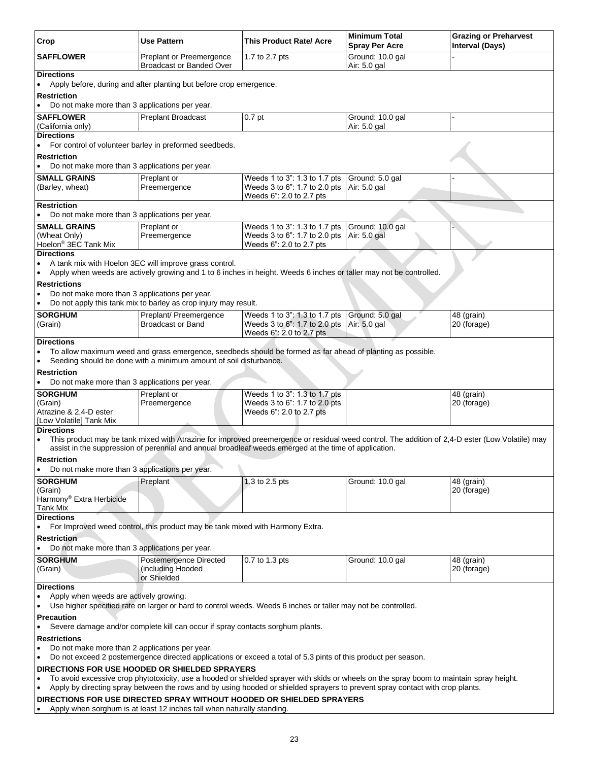| Crop                                                                                                                                                                                              | <b>Use Pattern</b>                                                                                                                                                                                                                                                        | <b>This Product Rate/ Acre</b>                                                                                                                                                                                                                           | <b>Minimum Total</b><br><b>Spray Per Acre</b> | <b>Grazing or Preharvest</b><br>Interval (Days) |  |
|---------------------------------------------------------------------------------------------------------------------------------------------------------------------------------------------------|---------------------------------------------------------------------------------------------------------------------------------------------------------------------------------------------------------------------------------------------------------------------------|----------------------------------------------------------------------------------------------------------------------------------------------------------------------------------------------------------------------------------------------------------|-----------------------------------------------|-------------------------------------------------|--|
| <b>SAFFLOWER</b>                                                                                                                                                                                  | Preplant or Preemergence<br><b>Broadcast or Banded Over</b>                                                                                                                                                                                                               | 1.7 to 2.7 pts                                                                                                                                                                                                                                           | Ground: 10.0 gal<br>Air: 5.0 gal              |                                                 |  |
| <b>Directions</b><br>Apply before, during and after planting but before crop emergence.<br>$\bullet$                                                                                              |                                                                                                                                                                                                                                                                           |                                                                                                                                                                                                                                                          |                                               |                                                 |  |
| <b>Restriction</b><br>Do not make more than 3 applications per year.<br>$\bullet$                                                                                                                 |                                                                                                                                                                                                                                                                           |                                                                                                                                                                                                                                                          |                                               |                                                 |  |
| <b>SAFFLOWER</b><br>(California only)                                                                                                                                                             | <b>Preplant Broadcast</b>                                                                                                                                                                                                                                                 | $0.7$ pt                                                                                                                                                                                                                                                 | Ground: 10.0 gal<br>Air: 5.0 gal              |                                                 |  |
| <b>Directions</b>                                                                                                                                                                                 |                                                                                                                                                                                                                                                                           |                                                                                                                                                                                                                                                          |                                               |                                                 |  |
| ٠                                                                                                                                                                                                 | For control of volunteer barley in preformed seedbeds.                                                                                                                                                                                                                    |                                                                                                                                                                                                                                                          |                                               |                                                 |  |
| <b>Restriction</b><br>Do not make more than 3 applications per year.<br>٠                                                                                                                         |                                                                                                                                                                                                                                                                           |                                                                                                                                                                                                                                                          |                                               |                                                 |  |
| <b>SMALL GRAINS</b><br>(Barley, wheat)                                                                                                                                                            | Preplant or<br>Preemergence                                                                                                                                                                                                                                               | Weeds 1 to 3". 1.3 to 1.7 pts<br>Weeds 3 to 6": 1.7 to 2.0 pts<br>Weeds 6": 2.0 to 2.7 pts                                                                                                                                                               | Ground: 5.0 gal<br>Air: 5.0 gal               |                                                 |  |
| <b>Restriction</b><br>Do not make more than 3 applications per year.<br>$\bullet$                                                                                                                 |                                                                                                                                                                                                                                                                           |                                                                                                                                                                                                                                                          |                                               |                                                 |  |
| <b>SMALL GRAINS</b>                                                                                                                                                                               | Preplant or                                                                                                                                                                                                                                                               | Weeds 1 to 3": 1.3 to 1.7 pts                                                                                                                                                                                                                            | Ground: 10.0 gal                              |                                                 |  |
| (Wheat Only)<br>Hoelon <sup>®</sup> 3EC Tank Mix                                                                                                                                                  | Preemergence                                                                                                                                                                                                                                                              | Weeds 3 to 6": 1.7 to 2.0 pts                                                                                                                                                                                                                            | Air: 5.0 gal                                  |                                                 |  |
| <b>Directions</b>                                                                                                                                                                                 |                                                                                                                                                                                                                                                                           | Weeds 6": 2.0 to 2.7 pts                                                                                                                                                                                                                                 |                                               |                                                 |  |
|                                                                                                                                                                                                   | A tank mix with Hoelon 3EC will improve grass control.                                                                                                                                                                                                                    |                                                                                                                                                                                                                                                          |                                               |                                                 |  |
| ٠                                                                                                                                                                                                 |                                                                                                                                                                                                                                                                           | Apply when weeds are actively growing and 1 to 6 inches in height. Weeds 6 inches or taller may not be controlled.                                                                                                                                       |                                               |                                                 |  |
| <b>Restrictions</b>                                                                                                                                                                               |                                                                                                                                                                                                                                                                           |                                                                                                                                                                                                                                                          |                                               |                                                 |  |
| Do not make more than 3 applications per year.                                                                                                                                                    | Do not apply this tank mix to barley as crop injury may result.                                                                                                                                                                                                           |                                                                                                                                                                                                                                                          |                                               |                                                 |  |
| <b>SORGHUM</b>                                                                                                                                                                                    | Preplant/ Preemergence                                                                                                                                                                                                                                                    | Weeds 1 to 3": 1.3 to 1.7 pts                                                                                                                                                                                                                            | Ground: 5.0 gal                               | 48 (grain)                                      |  |
| (Grain)                                                                                                                                                                                           | <b>Broadcast or Band</b>                                                                                                                                                                                                                                                  | Weeds 3 to 6": 1.7 to 2.0 pts<br>Weeds 6": 2.0 to 2.7 pts                                                                                                                                                                                                | Air: 5.0 gal                                  | 20 (forage)                                     |  |
| <b>Directions</b><br><b>Restriction</b>                                                                                                                                                           | Seeding should be done with a minimum amount of soil disturbance.                                                                                                                                                                                                         | To allow maximum weed and grass emergence, seedbeds should be formed as far ahead of planting as possible.                                                                                                                                               |                                               |                                                 |  |
| Do not make more than 3 applications per year.<br>$\bullet$                                                                                                                                       |                                                                                                                                                                                                                                                                           |                                                                                                                                                                                                                                                          |                                               |                                                 |  |
| <b>SORGHUM</b><br>(Grain)<br>Atrazine & 2,4-D ester<br>[Low Volatile] Tank Mix                                                                                                                    | Preplant or<br>Preemergence                                                                                                                                                                                                                                               | Weeds 1 to 3": 1.3 to 1.7 pts<br>Weeds 3 to 6": 1.7 to 2.0 pts<br>Weeds 6": 2.0 to 2.7 pts                                                                                                                                                               |                                               | 48 (grain)<br>20 (forage)                       |  |
| <b>Directions</b>                                                                                                                                                                                 |                                                                                                                                                                                                                                                                           |                                                                                                                                                                                                                                                          |                                               |                                                 |  |
| $\bullet$                                                                                                                                                                                         |                                                                                                                                                                                                                                                                           | This product may be tank mixed with Atrazine for improved preemergence or residual weed control. The addition of 2,4-D ester (Low Volatile) may<br>assist in the suppression of perennial and annual broadleaf weeds emerged at the time of application. |                                               |                                                 |  |
| <b>Restriction</b><br>Do not make more than 3 applications per year.                                                                                                                              |                                                                                                                                                                                                                                                                           |                                                                                                                                                                                                                                                          |                                               |                                                 |  |
| <b>SORGHUM</b>                                                                                                                                                                                    | Preplant                                                                                                                                                                                                                                                                  | 1.3 to 2.5 pts                                                                                                                                                                                                                                           | Ground: 10.0 gal                              | 48 (grain)                                      |  |
| (Grain)<br>Harmony <sup>®</sup> Extra Herbicide                                                                                                                                                   |                                                                                                                                                                                                                                                                           |                                                                                                                                                                                                                                                          |                                               | 20 (forage)                                     |  |
| Tank Mix<br><b>Directions</b>                                                                                                                                                                     |                                                                                                                                                                                                                                                                           |                                                                                                                                                                                                                                                          |                                               |                                                 |  |
| ٠                                                                                                                                                                                                 | For Improved weed control, this product may be tank mixed with Harmony Extra.                                                                                                                                                                                             |                                                                                                                                                                                                                                                          |                                               |                                                 |  |
| <b>Restriction</b><br>Do not make more than 3 applications per year.<br>٠                                                                                                                         |                                                                                                                                                                                                                                                                           |                                                                                                                                                                                                                                                          |                                               |                                                 |  |
| <b>SORGHUM</b>                                                                                                                                                                                    | Postemergence Directed                                                                                                                                                                                                                                                    | 0.7 to 1.3 pts                                                                                                                                                                                                                                           | Ground: 10.0 gal                              | 48 (grain)                                      |  |
| (Grain)                                                                                                                                                                                           | (including Hooded<br>or Shielded                                                                                                                                                                                                                                          |                                                                                                                                                                                                                                                          |                                               | 20 (forage)                                     |  |
| <b>Directions</b><br>Apply when weeds are actively growing.<br>٠<br>Use higher specified rate on larger or hard to control weeds. Weeds 6 inches or taller may not be controlled.<br>٠            |                                                                                                                                                                                                                                                                           |                                                                                                                                                                                                                                                          |                                               |                                                 |  |
| <b>Precaution</b>                                                                                                                                                                                 |                                                                                                                                                                                                                                                                           |                                                                                                                                                                                                                                                          |                                               |                                                 |  |
| Severe damage and/or complete kill can occur if spray contacts sorghum plants.<br>٠                                                                                                               |                                                                                                                                                                                                                                                                           |                                                                                                                                                                                                                                                          |                                               |                                                 |  |
| <b>Restrictions</b><br>Do not make more than 2 applications per year.<br>٠<br>Do not exceed 2 postemergence directed applications or exceed a total of 5.3 pints of this product per season.<br>٠ |                                                                                                                                                                                                                                                                           |                                                                                                                                                                                                                                                          |                                               |                                                 |  |
|                                                                                                                                                                                                   | DIRECTIONS FOR USE HOODED OR SHIELDED SPRAYERS                                                                                                                                                                                                                            |                                                                                                                                                                                                                                                          |                                               |                                                 |  |
| ٠<br>٠                                                                                                                                                                                            | To avoid excessive crop phytotoxicity, use a hooded or shielded sprayer with skids or wheels on the spray boom to maintain spray height.<br>Apply by directing spray between the rows and by using hooded or shielded sprayers to prevent spray contact with crop plants. |                                                                                                                                                                                                                                                          |                                               |                                                 |  |
| DIRECTIONS FOR USE DIRECTED SPRAY WITHOUT HOODED OR SHIELDED SPRAYERS                                                                                                                             |                                                                                                                                                                                                                                                                           |                                                                                                                                                                                                                                                          |                                               |                                                 |  |

• Apply when sorghum is at least 12 inches tall when naturally standing.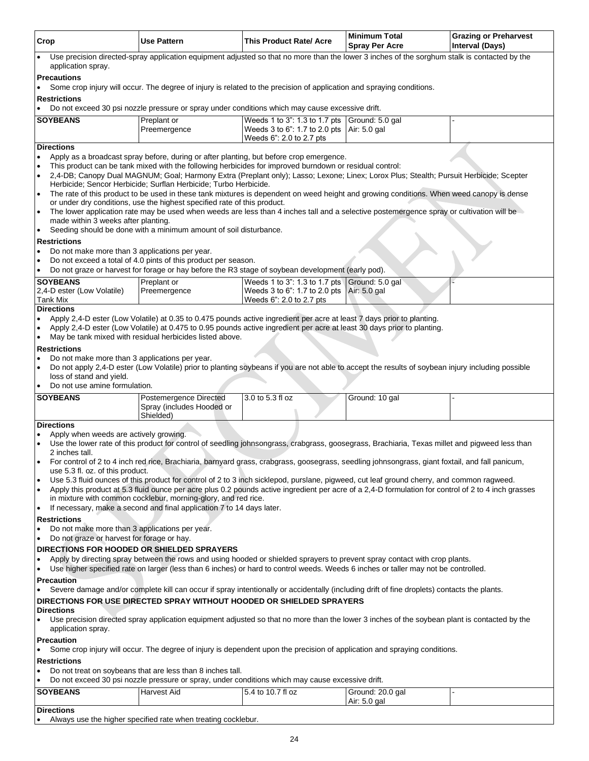| Crop                                                                                                                                                                                                                                                                                                                                                                                                                                                                                                                                                                                                                                                                                                                                                                                                                                                                                                                                                                                                                                                                                                                                                                                                                                                                                                                                                                                                                                                                                                                                                                                                                                                                                                                                                                                              | <b>Use Pattern</b>                                                                                                                                                                                                                                                                                                                                                                                                                                                                                                                                                                                                                                                                                                                                                                   | <b>This Product Rate/ Acre</b>                                                                                            | <b>Minimum Total</b><br><b>Spray Per Acre</b>                                                                                                | <b>Grazing or Preharvest</b><br><b>Interval (Days)</b> |  |  |
|---------------------------------------------------------------------------------------------------------------------------------------------------------------------------------------------------------------------------------------------------------------------------------------------------------------------------------------------------------------------------------------------------------------------------------------------------------------------------------------------------------------------------------------------------------------------------------------------------------------------------------------------------------------------------------------------------------------------------------------------------------------------------------------------------------------------------------------------------------------------------------------------------------------------------------------------------------------------------------------------------------------------------------------------------------------------------------------------------------------------------------------------------------------------------------------------------------------------------------------------------------------------------------------------------------------------------------------------------------------------------------------------------------------------------------------------------------------------------------------------------------------------------------------------------------------------------------------------------------------------------------------------------------------------------------------------------------------------------------------------------------------------------------------------------|--------------------------------------------------------------------------------------------------------------------------------------------------------------------------------------------------------------------------------------------------------------------------------------------------------------------------------------------------------------------------------------------------------------------------------------------------------------------------------------------------------------------------------------------------------------------------------------------------------------------------------------------------------------------------------------------------------------------------------------------------------------------------------------|---------------------------------------------------------------------------------------------------------------------------|----------------------------------------------------------------------------------------------------------------------------------------------|--------------------------------------------------------|--|--|
| application spray.                                                                                                                                                                                                                                                                                                                                                                                                                                                                                                                                                                                                                                                                                                                                                                                                                                                                                                                                                                                                                                                                                                                                                                                                                                                                                                                                                                                                                                                                                                                                                                                                                                                                                                                                                                                |                                                                                                                                                                                                                                                                                                                                                                                                                                                                                                                                                                                                                                                                                                                                                                                      |                                                                                                                           | Use precision directed-spray application equipment adjusted so that no more than the lower 3 inches of the sorghum stalk is contacted by the |                                                        |  |  |
| <b>Precautions</b><br>Some crop injury will occur. The degree of injury is related to the precision of application and spraying conditions.                                                                                                                                                                                                                                                                                                                                                                                                                                                                                                                                                                                                                                                                                                                                                                                                                                                                                                                                                                                                                                                                                                                                                                                                                                                                                                                                                                                                                                                                                                                                                                                                                                                       |                                                                                                                                                                                                                                                                                                                                                                                                                                                                                                                                                                                                                                                                                                                                                                                      |                                                                                                                           |                                                                                                                                              |                                                        |  |  |
| <b>Restrictions</b>                                                                                                                                                                                                                                                                                                                                                                                                                                                                                                                                                                                                                                                                                                                                                                                                                                                                                                                                                                                                                                                                                                                                                                                                                                                                                                                                                                                                                                                                                                                                                                                                                                                                                                                                                                               |                                                                                                                                                                                                                                                                                                                                                                                                                                                                                                                                                                                                                                                                                                                                                                                      |                                                                                                                           |                                                                                                                                              |                                                        |  |  |
|                                                                                                                                                                                                                                                                                                                                                                                                                                                                                                                                                                                                                                                                                                                                                                                                                                                                                                                                                                                                                                                                                                                                                                                                                                                                                                                                                                                                                                                                                                                                                                                                                                                                                                                                                                                                   | Do not exceed 30 psi nozzle pressure or spray under conditions which may cause excessive drift.                                                                                                                                                                                                                                                                                                                                                                                                                                                                                                                                                                                                                                                                                      |                                                                                                                           |                                                                                                                                              |                                                        |  |  |
| <b>SOYBEANS</b>                                                                                                                                                                                                                                                                                                                                                                                                                                                                                                                                                                                                                                                                                                                                                                                                                                                                                                                                                                                                                                                                                                                                                                                                                                                                                                                                                                                                                                                                                                                                                                                                                                                                                                                                                                                   | Preplant or<br>Preemergence                                                                                                                                                                                                                                                                                                                                                                                                                                                                                                                                                                                                                                                                                                                                                          | Weeds 1 to 3": 1.3 to 1.7 pts Ground: 5.0 gal<br>Weeds 3 to 6": 1.7 to 2.0 pts   Air: 5.0 gal<br>Weeds 6": 2.0 to 2.7 pts |                                                                                                                                              |                                                        |  |  |
| <b>Directions</b>                                                                                                                                                                                                                                                                                                                                                                                                                                                                                                                                                                                                                                                                                                                                                                                                                                                                                                                                                                                                                                                                                                                                                                                                                                                                                                                                                                                                                                                                                                                                                                                                                                                                                                                                                                                 |                                                                                                                                                                                                                                                                                                                                                                                                                                                                                                                                                                                                                                                                                                                                                                                      |                                                                                                                           |                                                                                                                                              |                                                        |  |  |
| $\bullet$<br>$\bullet$<br>$\bullet$<br>$\bullet$<br>made within 3 weeks after planting.                                                                                                                                                                                                                                                                                                                                                                                                                                                                                                                                                                                                                                                                                                                                                                                                                                                                                                                                                                                                                                                                                                                                                                                                                                                                                                                                                                                                                                                                                                                                                                                                                                                                                                           | Apply as a broadcast spray before, during or after planting, but before crop emergence.<br>This product can be tank mixed with the following herbicides for improved burndown or residual control:<br>2,4-DB; Canopy Dual MAGNUM; Goal; Harmony Extra (Preplant only); Lasso; Lexone; Linex; Lorox Plus; Stealth; Pursuit Herbicide; Scepter<br>Herbicide; Sencor Herbicide; Surflan Herbicide; Turbo Herbicide.<br>The rate of this product to be used in these tank mixtures is dependent on weed height and growing conditions. When weed canopy is dense<br>or under dry conditions, use the highest specified rate of this product.<br>The lower application rate may be used when weeds are less than 4 inches tall and a selective postemergence spray or cultivation will be |                                                                                                                           |                                                                                                                                              |                                                        |  |  |
|                                                                                                                                                                                                                                                                                                                                                                                                                                                                                                                                                                                                                                                                                                                                                                                                                                                                                                                                                                                                                                                                                                                                                                                                                                                                                                                                                                                                                                                                                                                                                                                                                                                                                                                                                                                                   | Seeding should be done with a minimum amount of soil disturbance.                                                                                                                                                                                                                                                                                                                                                                                                                                                                                                                                                                                                                                                                                                                    |                                                                                                                           |                                                                                                                                              |                                                        |  |  |
| <b>Restrictions</b><br>Do not make more than 3 applications per year.<br>٠                                                                                                                                                                                                                                                                                                                                                                                                                                                                                                                                                                                                                                                                                                                                                                                                                                                                                                                                                                                                                                                                                                                                                                                                                                                                                                                                                                                                                                                                                                                                                                                                                                                                                                                        | Do not exceed a total of 4.0 pints of this product per season.<br>Do not graze or harvest for forage or hay before the R3 stage of soybean development (early pod).                                                                                                                                                                                                                                                                                                                                                                                                                                                                                                                                                                                                                  |                                                                                                                           |                                                                                                                                              |                                                        |  |  |
| <b>SOYBEANS</b><br>2,4-D ester (Low Volatile)                                                                                                                                                                                                                                                                                                                                                                                                                                                                                                                                                                                                                                                                                                                                                                                                                                                                                                                                                                                                                                                                                                                                                                                                                                                                                                                                                                                                                                                                                                                                                                                                                                                                                                                                                     | Preplant or<br>Preemergence                                                                                                                                                                                                                                                                                                                                                                                                                                                                                                                                                                                                                                                                                                                                                          | Weeds 1 to 3": 1.3 to 1.7 pts Ground: 5.0 gal<br>Weeds 3 to 6": 1.7 to 2.0 pts                                            | Air: 5.0 gal                                                                                                                                 |                                                        |  |  |
| Tank Mix<br><b>Directions</b>                                                                                                                                                                                                                                                                                                                                                                                                                                                                                                                                                                                                                                                                                                                                                                                                                                                                                                                                                                                                                                                                                                                                                                                                                                                                                                                                                                                                                                                                                                                                                                                                                                                                                                                                                                     |                                                                                                                                                                                                                                                                                                                                                                                                                                                                                                                                                                                                                                                                                                                                                                                      | Weeds 6": 2.0 to 2.7 pts                                                                                                  |                                                                                                                                              |                                                        |  |  |
| Apply 2,4-D ester (Low Volatile) at 0.35 to 0.475 pounds active ingredient per acre at least 7 days prior to planting.<br>Apply 2,4-D ester (Low Volatile) at 0.475 to 0.95 pounds active ingredient per acre at least 30 days prior to planting.<br>٠<br>May be tank mixed with residual herbicides listed above.<br>$\bullet$<br><b>Restrictions</b><br>Do not make more than 3 applications per year.<br>Do not apply 2,4-D ester (Low Volatile) prior to planting soybeans if you are not able to accept the results of soybean injury including possible<br>loss of stand and yield.                                                                                                                                                                                                                                                                                                                                                                                                                                                                                                                                                                                                                                                                                                                                                                                                                                                                                                                                                                                                                                                                                                                                                                                                         |                                                                                                                                                                                                                                                                                                                                                                                                                                                                                                                                                                                                                                                                                                                                                                                      |                                                                                                                           |                                                                                                                                              |                                                        |  |  |
| Do not use amine formulation.                                                                                                                                                                                                                                                                                                                                                                                                                                                                                                                                                                                                                                                                                                                                                                                                                                                                                                                                                                                                                                                                                                                                                                                                                                                                                                                                                                                                                                                                                                                                                                                                                                                                                                                                                                     |                                                                                                                                                                                                                                                                                                                                                                                                                                                                                                                                                                                                                                                                                                                                                                                      |                                                                                                                           |                                                                                                                                              |                                                        |  |  |
| <b>SOYBEANS</b>                                                                                                                                                                                                                                                                                                                                                                                                                                                                                                                                                                                                                                                                                                                                                                                                                                                                                                                                                                                                                                                                                                                                                                                                                                                                                                                                                                                                                                                                                                                                                                                                                                                                                                                                                                                   | Postemergence Directed<br>Spray (includes Hooded or<br>Shielded)                                                                                                                                                                                                                                                                                                                                                                                                                                                                                                                                                                                                                                                                                                                     | 3.0 to 5.3 fl oz                                                                                                          | Ground: 10 gal                                                                                                                               |                                                        |  |  |
| <b>Directions</b>                                                                                                                                                                                                                                                                                                                                                                                                                                                                                                                                                                                                                                                                                                                                                                                                                                                                                                                                                                                                                                                                                                                                                                                                                                                                                                                                                                                                                                                                                                                                                                                                                                                                                                                                                                                 |                                                                                                                                                                                                                                                                                                                                                                                                                                                                                                                                                                                                                                                                                                                                                                                      |                                                                                                                           |                                                                                                                                              |                                                        |  |  |
| Apply when weeds are actively growing.<br>Use the lower rate of this product for control of seedling johnsongrass, crabgrass, goosegrass, Brachiaria, Texas millet and pigweed less than<br>2 inches tall.<br>For control of 2 to 4 inch red rice, Brachiaria, barnyard grass, crabgrass, goosegrass, seedling johnsongrass, giant foxtail, and fall panicum,<br>use 5.3 fl. oz. of this product.<br>Use 5.3 fluid ounces of this product for control of 2 to 3 inch sicklepod, purslane, pigweed, cut leaf ground cherry, and common ragweed.<br>$\bullet$<br>Apply this product at 5.3 fluid ounce per acre plus 0.2 pounds active ingredient per acre of a 2,4-D formulation for control of 2 to 4 inch grasses<br>$\bullet$<br>in mixture with common cocklebur, morning-glory, and red rice.<br>If necessary, make a second and final application 7 to 14 days later.<br>٠<br><b>Restrictions</b><br>Do not make more than 3 applications per year.<br>٠<br>Do not graze or harvest for forage or hay.<br>٠<br>DIRECTIONS FOR HOODED OR SHIELDED SPRAYERS<br>Apply by directing spray between the rows and using hooded or shielded sprayers to prevent spray contact with crop plants.<br>٠<br>Use higher specified rate on larger (less than 6 inches) or hard to control weeds. Weeds 6 inches or taller may not be controlled.<br>٠<br><b>Precaution</b><br>Severe damage and/or complete kill can occur if spray intentionally or accidentally (including drift of fine droplets) contacts the plants.<br>DIRECTIONS FOR USE DIRECTED SPRAY WITHOUT HOODED OR SHIELDED SPRAYERS<br><b>Directions</b><br>Use precision directed spray application equipment adjusted so that no more than the lower 3 inches of the soybean plant is contacted by the<br>$\bullet$<br>application spray. |                                                                                                                                                                                                                                                                                                                                                                                                                                                                                                                                                                                                                                                                                                                                                                                      |                                                                                                                           |                                                                                                                                              |                                                        |  |  |
| <b>Precaution</b><br>Some crop injury will occur. The degree of injury is dependent upon the precision of application and spraying conditions.<br>٠<br><b>Restrictions</b>                                                                                                                                                                                                                                                                                                                                                                                                                                                                                                                                                                                                                                                                                                                                                                                                                                                                                                                                                                                                                                                                                                                                                                                                                                                                                                                                                                                                                                                                                                                                                                                                                        |                                                                                                                                                                                                                                                                                                                                                                                                                                                                                                                                                                                                                                                                                                                                                                                      |                                                                                                                           |                                                                                                                                              |                                                        |  |  |
|                                                                                                                                                                                                                                                                                                                                                                                                                                                                                                                                                                                                                                                                                                                                                                                                                                                                                                                                                                                                                                                                                                                                                                                                                                                                                                                                                                                                                                                                                                                                                                                                                                                                                                                                                                                                   | Do not treat on soybeans that are less than 8 inches tall.<br>Do not exceed 30 psi nozzle pressure or spray, under conditions which may cause excessive drift.                                                                                                                                                                                                                                                                                                                                                                                                                                                                                                                                                                                                                       |                                                                                                                           |                                                                                                                                              |                                                        |  |  |
| <b>SOYBEANS</b>                                                                                                                                                                                                                                                                                                                                                                                                                                                                                                                                                                                                                                                                                                                                                                                                                                                                                                                                                                                                                                                                                                                                                                                                                                                                                                                                                                                                                                                                                                                                                                                                                                                                                                                                                                                   | <b>Harvest Aid</b>                                                                                                                                                                                                                                                                                                                                                                                                                                                                                                                                                                                                                                                                                                                                                                   | 5.4 to 10.7 fl oz                                                                                                         | Ground: 20.0 gal<br>Air: 5.0 gal                                                                                                             |                                                        |  |  |
| <b>Directions</b><br>$\bullet$                                                                                                                                                                                                                                                                                                                                                                                                                                                                                                                                                                                                                                                                                                                                                                                                                                                                                                                                                                                                                                                                                                                                                                                                                                                                                                                                                                                                                                                                                                                                                                                                                                                                                                                                                                    | Always use the higher specified rate when treating cocklebur.                                                                                                                                                                                                                                                                                                                                                                                                                                                                                                                                                                                                                                                                                                                        |                                                                                                                           |                                                                                                                                              |                                                        |  |  |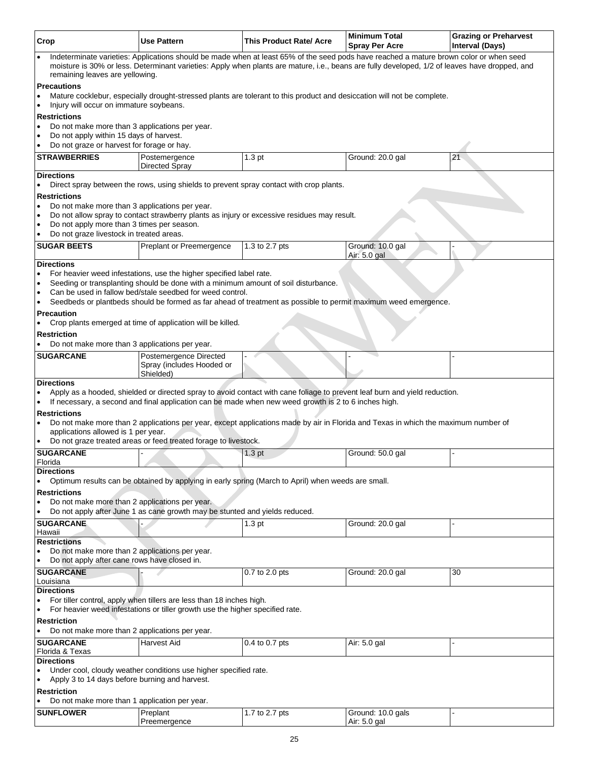| Crop                                                        | <b>Use Pattern</b>                                                                                                                                                                                                                                                                                                          | This Product Rate/ Acre | <b>Minimum Total</b><br><b>Spray Per Acre</b> | <b>Grazing or Preharvest</b><br>Interval (Days) |  |  |
|-------------------------------------------------------------|-----------------------------------------------------------------------------------------------------------------------------------------------------------------------------------------------------------------------------------------------------------------------------------------------------------------------------|-------------------------|-----------------------------------------------|-------------------------------------------------|--|--|
| $\bullet$                                                   | Indeterminate varieties: Applications should be made when at least 65% of the seed pods have reached a mature brown color or when seed<br>moisture is 30% or less. Determinant varieties: Apply when plants are mature, i.e., beans are fully developed, 1/2 of leaves have dropped, and<br>remaining leaves are yellowing. |                         |                                               |                                                 |  |  |
| <b>Precautions</b>                                          |                                                                                                                                                                                                                                                                                                                             |                         |                                               |                                                 |  |  |
| $\bullet$                                                   | Mature cocklebur, especially drought-stressed plants are tolerant to this product and desiccation will not be complete.                                                                                                                                                                                                     |                         |                                               |                                                 |  |  |
| Injury will occur on immature soybeans.<br>$\bullet$        |                                                                                                                                                                                                                                                                                                                             |                         |                                               |                                                 |  |  |
| <b>Restrictions</b>                                         |                                                                                                                                                                                                                                                                                                                             |                         |                                               |                                                 |  |  |
| Do not make more than 3 applications per year.<br>$\bullet$ |                                                                                                                                                                                                                                                                                                                             |                         |                                               |                                                 |  |  |
| Do not apply within 15 days of harvest.                     |                                                                                                                                                                                                                                                                                                                             |                         |                                               |                                                 |  |  |
| Do not graze or harvest for forage or hay.<br>$\bullet$     |                                                                                                                                                                                                                                                                                                                             |                         |                                               |                                                 |  |  |
| <b>STRAWBERRIES</b>                                         | Postemergence<br><b>Directed Spray</b>                                                                                                                                                                                                                                                                                      | 1.3 <sub>pt</sub>       | Ground: 20.0 gal                              | 21                                              |  |  |
| <b>Directions</b>                                           |                                                                                                                                                                                                                                                                                                                             |                         |                                               |                                                 |  |  |
| $\bullet$                                                   | Direct spray between the rows, using shields to prevent spray contact with crop plants.                                                                                                                                                                                                                                     |                         |                                               |                                                 |  |  |
| <b>Restrictions</b>                                         |                                                                                                                                                                                                                                                                                                                             |                         |                                               |                                                 |  |  |
| Do not make more than 3 applications per year.<br>$\bullet$ |                                                                                                                                                                                                                                                                                                                             |                         |                                               |                                                 |  |  |
|                                                             | Do not allow spray to contact strawberry plants as injury or excessive residues may result.                                                                                                                                                                                                                                 |                         |                                               |                                                 |  |  |
| Do not apply more than 3 times per season.<br>$\bullet$     |                                                                                                                                                                                                                                                                                                                             |                         |                                               |                                                 |  |  |
| Do not graze livestock in treated areas.                    |                                                                                                                                                                                                                                                                                                                             |                         |                                               |                                                 |  |  |
| <b>SUGAR BEETS</b>                                          | Preplant or Preemergence                                                                                                                                                                                                                                                                                                    | 1.3 to 2.7 pts          | Ground: 10.0 gal                              |                                                 |  |  |
|                                                             |                                                                                                                                                                                                                                                                                                                             |                         | Air: 5.0 gal                                  |                                                 |  |  |
| <b>Directions</b><br>$\bullet$                              | For heavier weed infestations, use the higher specified label rate.                                                                                                                                                                                                                                                         |                         |                                               |                                                 |  |  |
| I۰                                                          | Seeding or transplanting should be done with a minimum amount of soil disturbance.                                                                                                                                                                                                                                          |                         |                                               |                                                 |  |  |
| $\bullet$                                                   | Can be used in fallow bed/stale seedbed for weed control.                                                                                                                                                                                                                                                                   |                         |                                               |                                                 |  |  |
| $\bullet$                                                   | Seedbeds or plantbeds should be formed as far ahead of treatment as possible to permit maximum weed emergence.                                                                                                                                                                                                              |                         |                                               |                                                 |  |  |
| <b>Precaution</b>                                           |                                                                                                                                                                                                                                                                                                                             |                         |                                               |                                                 |  |  |
| $\bullet$                                                   | Crop plants emerged at time of application will be killed.                                                                                                                                                                                                                                                                  |                         |                                               |                                                 |  |  |
| Restriction                                                 |                                                                                                                                                                                                                                                                                                                             |                         |                                               |                                                 |  |  |
| Do not make more than 3 applications per year.              |                                                                                                                                                                                                                                                                                                                             |                         |                                               |                                                 |  |  |
| <b>SUGARCANE</b>                                            | Postemergence Directed                                                                                                                                                                                                                                                                                                      |                         |                                               |                                                 |  |  |
|                                                             | Spray (includes Hooded or                                                                                                                                                                                                                                                                                                   |                         |                                               |                                                 |  |  |
|                                                             | Shielded)                                                                                                                                                                                                                                                                                                                   |                         |                                               |                                                 |  |  |
| <b>Directions</b>                                           |                                                                                                                                                                                                                                                                                                                             |                         |                                               |                                                 |  |  |
| $\bullet$                                                   | Apply as a hooded, shielded or directed spray to avoid contact with cane foliage to prevent leaf burn and yield reduction.<br>If necessary, a second and final application can be made when new weed growth is 2 to 6 inches high.                                                                                          |                         |                                               |                                                 |  |  |
|                                                             |                                                                                                                                                                                                                                                                                                                             |                         |                                               |                                                 |  |  |
| <b>Restrictions</b><br>$\bullet$                            | Do not make more than 2 applications per year, except applications made by air in Florida and Texas in which the maximum number of                                                                                                                                                                                          |                         |                                               |                                                 |  |  |
| applications allowed is 1 per year.                         |                                                                                                                                                                                                                                                                                                                             |                         |                                               |                                                 |  |  |
|                                                             | Do not graze treated areas or feed treated forage to livestock.                                                                                                                                                                                                                                                             |                         |                                               |                                                 |  |  |
| <b>SUGARCANE</b>                                            |                                                                                                                                                                                                                                                                                                                             | 1.3 <sub>pt</sub>       | Ground: 50.0 gal                              |                                                 |  |  |
| Florida                                                     |                                                                                                                                                                                                                                                                                                                             |                         |                                               |                                                 |  |  |
| <b>Directions</b>                                           |                                                                                                                                                                                                                                                                                                                             |                         |                                               |                                                 |  |  |
| $\bullet$                                                   | Optimum results can be obtained by applying in early spring (March to April) when weeds are small.                                                                                                                                                                                                                          |                         |                                               |                                                 |  |  |
| <b>Restrictions</b>                                         |                                                                                                                                                                                                                                                                                                                             |                         |                                               |                                                 |  |  |
| Do not make more than 2 applications per year.<br>$\bullet$ |                                                                                                                                                                                                                                                                                                                             |                         |                                               |                                                 |  |  |
| $\bullet$                                                   | Do not apply after June 1 as cane growth may be stunted and yields reduced.                                                                                                                                                                                                                                                 |                         |                                               |                                                 |  |  |
| <b>SUGARCANE</b><br>Hawaii                                  |                                                                                                                                                                                                                                                                                                                             | 1.3 <sub>pt</sub>       | Ground: 20.0 gal                              |                                                 |  |  |
| <b>Restrictions</b>                                         |                                                                                                                                                                                                                                                                                                                             |                         |                                               |                                                 |  |  |
| Do not make more than 2 applications per year.              |                                                                                                                                                                                                                                                                                                                             |                         |                                               |                                                 |  |  |
| Do not apply after cane rows have closed in.<br>$\bullet$   |                                                                                                                                                                                                                                                                                                                             |                         |                                               |                                                 |  |  |
| <b>SUGARCANE</b>                                            |                                                                                                                                                                                                                                                                                                                             | 0.7 to 2.0 pts          | Ground: 20.0 gal                              | 30                                              |  |  |
| Louisiana                                                   |                                                                                                                                                                                                                                                                                                                             |                         |                                               |                                                 |  |  |
| <b>Directions</b>                                           |                                                                                                                                                                                                                                                                                                                             |                         |                                               |                                                 |  |  |
|                                                             | For tiller control, apply when tillers are less than 18 inches high.                                                                                                                                                                                                                                                        |                         |                                               |                                                 |  |  |
| $\bullet$                                                   | For heavier weed infestations or tiller growth use the higher specified rate.                                                                                                                                                                                                                                               |                         |                                               |                                                 |  |  |
| <b>Restriction</b>                                          |                                                                                                                                                                                                                                                                                                                             |                         |                                               |                                                 |  |  |
| Do not make more than 2 applications per year.<br>$\bullet$ |                                                                                                                                                                                                                                                                                                                             |                         |                                               |                                                 |  |  |
| <b>SUGARCANE</b>                                            | <b>Harvest Aid</b>                                                                                                                                                                                                                                                                                                          | 0.4 to 0.7 pts          | Air: 5.0 gal                                  |                                                 |  |  |
| Florida & Texas<br><b>Directions</b>                        |                                                                                                                                                                                                                                                                                                                             |                         |                                               |                                                 |  |  |
| $\bullet$                                                   | Under cool, cloudy weather conditions use higher specified rate.                                                                                                                                                                                                                                                            |                         |                                               |                                                 |  |  |
| Apply 3 to 14 days before burning and harvest.<br>$\bullet$ |                                                                                                                                                                                                                                                                                                                             |                         |                                               |                                                 |  |  |
| <b>Restriction</b>                                          |                                                                                                                                                                                                                                                                                                                             |                         |                                               |                                                 |  |  |
| Do not make more than 1 application per year.               |                                                                                                                                                                                                                                                                                                                             |                         |                                               |                                                 |  |  |
| <b>SUNFLOWER</b>                                            | Preplant                                                                                                                                                                                                                                                                                                                    | $1.7$ to 2.7 pts        | Ground: 10.0 gals                             |                                                 |  |  |
|                                                             | Preemergence                                                                                                                                                                                                                                                                                                                |                         | Air: 5.0 gal                                  |                                                 |  |  |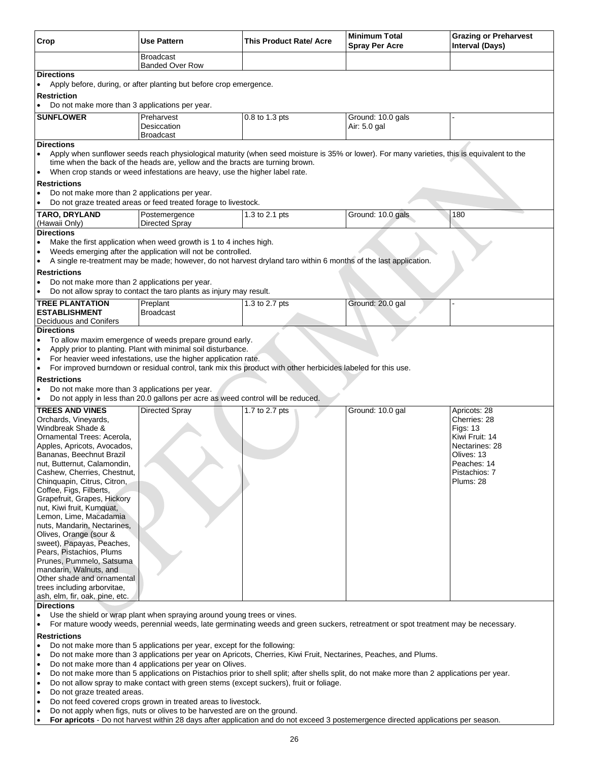| Crop                                                               | <b>Use Pattern</b>                                                                                                                 | <b>This Product Rate/ Acre</b>                                                                                                              | <b>Minimum Total</b><br><b>Spray Per Acre</b> | <b>Grazing or Preharvest</b><br>Interval (Days) |  |
|--------------------------------------------------------------------|------------------------------------------------------------------------------------------------------------------------------------|---------------------------------------------------------------------------------------------------------------------------------------------|-----------------------------------------------|-------------------------------------------------|--|
|                                                                    | <b>Broadcast</b><br><b>Banded Over Row</b>                                                                                         |                                                                                                                                             |                                               |                                                 |  |
| <b>Directions</b>                                                  |                                                                                                                                    |                                                                                                                                             |                                               |                                                 |  |
| Apply before, during, or after planting but before crop emergence. |                                                                                                                                    |                                                                                                                                             |                                               |                                                 |  |
| <b>Restriction</b>                                                 |                                                                                                                                    |                                                                                                                                             |                                               |                                                 |  |
| Do not make more than 3 applications per year.<br>$\bullet$        |                                                                                                                                    |                                                                                                                                             |                                               |                                                 |  |
| <b>SUNFLOWER</b>                                                   | Preharvest                                                                                                                         | 0.8 to 1.3 pts                                                                                                                              | Ground: 10.0 gals                             |                                                 |  |
|                                                                    | Desiccation                                                                                                                        |                                                                                                                                             | Air: 5.0 gal                                  |                                                 |  |
|                                                                    | <b>Broadcast</b>                                                                                                                   |                                                                                                                                             |                                               |                                                 |  |
| <b>Directions</b>                                                  |                                                                                                                                    |                                                                                                                                             |                                               |                                                 |  |
|                                                                    |                                                                                                                                    | Apply when sunflower seeds reach physiological maturity (when seed moisture is 35% or lower). For many varieties, this is equivalent to the |                                               |                                                 |  |
|                                                                    | time when the back of the heads are, yellow and the bracts are turning brown.                                                      |                                                                                                                                             |                                               |                                                 |  |
| ٠                                                                  | When crop stands or weed infestations are heavy, use the higher label rate.                                                        |                                                                                                                                             |                                               |                                                 |  |
| <b>Restrictions</b>                                                |                                                                                                                                    |                                                                                                                                             |                                               |                                                 |  |
| Do not make more than 2 applications per year.<br>$\bullet$        |                                                                                                                                    |                                                                                                                                             |                                               |                                                 |  |
| $\bullet$                                                          | Do not graze treated areas or feed treated forage to livestock.                                                                    |                                                                                                                                             |                                               |                                                 |  |
| <b>TARO, DRYLAND</b>                                               | Postemergence                                                                                                                      | 1.3 to 2.1 pts                                                                                                                              | Ground: 10.0 gals                             | 180                                             |  |
| (Hawaii Only)                                                      | <b>Directed Spray</b>                                                                                                              |                                                                                                                                             |                                               |                                                 |  |
| <b>Directions</b>                                                  |                                                                                                                                    |                                                                                                                                             |                                               |                                                 |  |
| $\bullet$                                                          | Make the first application when weed growth is 1 to 4 inches high.<br>Weeds emerging after the application will not be controlled. |                                                                                                                                             |                                               |                                                 |  |
| $\bullet$                                                          |                                                                                                                                    | A single re-treatment may be made; however, do not harvest dryland taro within 6 months of the last application.                            |                                               |                                                 |  |
|                                                                    |                                                                                                                                    |                                                                                                                                             |                                               |                                                 |  |
| <b>Restrictions</b>                                                |                                                                                                                                    |                                                                                                                                             |                                               |                                                 |  |
| Do not make more than 2 applications per year.<br>$\bullet$        | Do not allow spray to contact the taro plants as injury may result.                                                                |                                                                                                                                             |                                               |                                                 |  |
|                                                                    |                                                                                                                                    |                                                                                                                                             |                                               |                                                 |  |
| <b>TREE PLANTATION</b><br><b>ESTABLISHMENT</b>                     | Preplant<br><b>Broadcast</b>                                                                                                       | 1.3 to 2.7 pts                                                                                                                              | Ground: 20.0 gal                              |                                                 |  |
| Deciduous and Conifers                                             |                                                                                                                                    |                                                                                                                                             |                                               |                                                 |  |
| <b>Directions</b>                                                  |                                                                                                                                    |                                                                                                                                             |                                               |                                                 |  |
| $\bullet$                                                          | To allow maxim emergence of weeds prepare ground early.                                                                            |                                                                                                                                             |                                               |                                                 |  |
|                                                                    | Apply prior to planting. Plant with minimal soil disturbance.                                                                      |                                                                                                                                             |                                               |                                                 |  |
| $\bullet$                                                          | For heavier weed infestations, use the higher application rate.                                                                    |                                                                                                                                             |                                               |                                                 |  |
| $\bullet$                                                          |                                                                                                                                    | For improved burndown or residual control, tank mix this product with other herbicides labeled for this use.                                |                                               |                                                 |  |
| <b>Restrictions</b>                                                |                                                                                                                                    |                                                                                                                                             |                                               |                                                 |  |
| Do not make more than 3 applications per year.<br>$\bullet$        |                                                                                                                                    |                                                                                                                                             |                                               |                                                 |  |
| $\bullet$                                                          | Do not apply in less than 20.0 gallons per acre as weed control will be reduced.                                                   |                                                                                                                                             |                                               |                                                 |  |
| <b>TREES AND VINES</b>                                             | <b>Directed Spray</b>                                                                                                              | 1.7 to 2.7 pts                                                                                                                              | Ground: 10.0 gal                              | Apricots: 28                                    |  |
| Orchards, Vineyards,                                               |                                                                                                                                    |                                                                                                                                             |                                               | Cherries: 28                                    |  |
| Windbreak Shade &                                                  |                                                                                                                                    |                                                                                                                                             |                                               | <b>Figs: 13</b>                                 |  |
| Ornamental Trees: Acerola,                                         |                                                                                                                                    |                                                                                                                                             |                                               | Kiwi Fruit: 14                                  |  |
| Apples, Apricots, Avocados,                                        |                                                                                                                                    |                                                                                                                                             |                                               | Nectarines: 28                                  |  |
| Bananas, Beechnut Brazil<br>nut, Butternut, Calamondin,            |                                                                                                                                    |                                                                                                                                             |                                               | Olives: 13<br>Peaches: 14                       |  |
| Cashew, Cherries, Chestnut,                                        |                                                                                                                                    |                                                                                                                                             |                                               | Pistachios: 7                                   |  |
| Chinquapin, Citrus, Citron,                                        |                                                                                                                                    |                                                                                                                                             |                                               | Plums: 28                                       |  |
| Coffee, Figs, Filberts,                                            |                                                                                                                                    |                                                                                                                                             |                                               |                                                 |  |
| Grapefruit, Grapes, Hickory                                        |                                                                                                                                    |                                                                                                                                             |                                               |                                                 |  |
| nut, Kiwi fruit, Kumquat,                                          |                                                                                                                                    |                                                                                                                                             |                                               |                                                 |  |
| Lemon, Lime, Macadamia                                             |                                                                                                                                    |                                                                                                                                             |                                               |                                                 |  |
| nuts, Mandarin, Nectarines,                                        |                                                                                                                                    |                                                                                                                                             |                                               |                                                 |  |
| Olives, Orange (sour &                                             |                                                                                                                                    |                                                                                                                                             |                                               |                                                 |  |
| sweet), Papayas, Peaches,<br>Pears, Pistachios, Plums              |                                                                                                                                    |                                                                                                                                             |                                               |                                                 |  |
| Prunes, Pummelo, Satsuma                                           |                                                                                                                                    |                                                                                                                                             |                                               |                                                 |  |
| mandarin, Walnuts, and                                             |                                                                                                                                    |                                                                                                                                             |                                               |                                                 |  |
| Other shade and ornamental                                         |                                                                                                                                    |                                                                                                                                             |                                               |                                                 |  |
| trees including arborvitae,                                        |                                                                                                                                    |                                                                                                                                             |                                               |                                                 |  |
| ash, elm, fir, oak, pine, etc.                                     |                                                                                                                                    |                                                                                                                                             |                                               |                                                 |  |
| <b>Directions</b>                                                  |                                                                                                                                    |                                                                                                                                             |                                               |                                                 |  |
|                                                                    | Use the shield or wrap plant when spraying around young trees or vines.                                                            |                                                                                                                                             |                                               |                                                 |  |
| $\bullet$                                                          |                                                                                                                                    | For mature woody weeds, perennial weeds, late germinating weeds and green suckers, retreatment or spot treatment may be necessary.          |                                               |                                                 |  |

#### **Restrictions**

- Do not make more than 5 applications per year, except for the following:
- Do not make more than 3 applications per year on Apricots, Cherries, Kiwi Fruit, Nectarines, Peaches, and Plums.
- Do not make more than 4 applications per year on Olives.
- Do not make more than 5 applications on Pistachios prior to shell split; after shells split, do not make more than 2 applications per year.
- Do not allow spray to make contact with green stems (except suckers), fruit or foliage.
- Do not graze treated areas.
- Do not feed covered crops grown in treated areas to livestock.
- Do not apply when figs, nuts or olives to be harvested are on the ground.
- **For apricots** Do not harvest within 28 days after application and do not exceed 3 postemergence directed applications per season.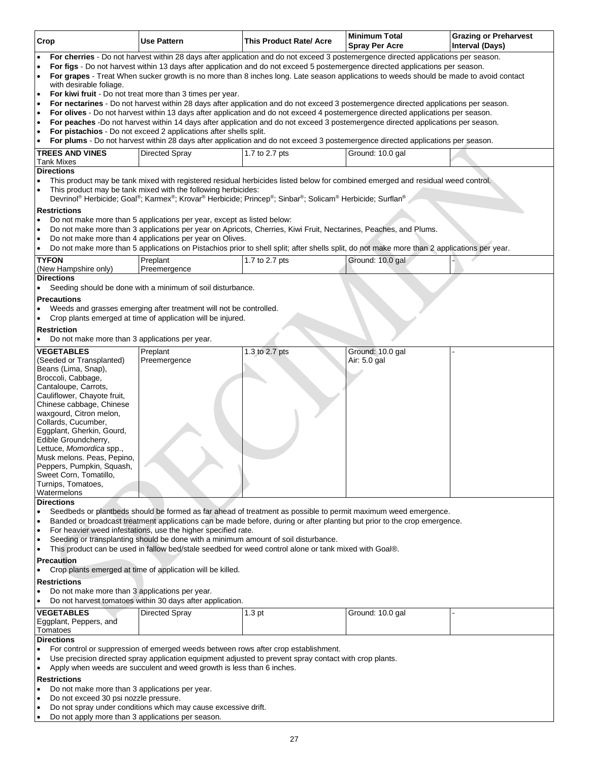| Crop                                                                                                                                                                                                                                                                                                                                                                                                                                                                                                                                               | <b>Use Pattern</b>                                                                                                                                                              | <b>This Product Rate/ Acre</b> | <b>Minimum Total</b><br><b>Spray Per Acre</b>                                                                                                                                                                                                                            | <b>Grazing or Preharvest</b><br>Interval (Days) |  |
|----------------------------------------------------------------------------------------------------------------------------------------------------------------------------------------------------------------------------------------------------------------------------------------------------------------------------------------------------------------------------------------------------------------------------------------------------------------------------------------------------------------------------------------------------|---------------------------------------------------------------------------------------------------------------------------------------------------------------------------------|--------------------------------|--------------------------------------------------------------------------------------------------------------------------------------------------------------------------------------------------------------------------------------------------------------------------|-------------------------------------------------|--|
| For cherries - Do not harvest within 28 days after application and do not exceed 3 postemergence directed applications per season.<br>$\bullet$<br>For figs - Do not harvest within 13 days after application and do not exceed 5 postemergence directed applications per season.<br>$\bullet$<br>For grapes - Treat When sucker growth is no more than 8 inches long. Late season applications to weeds should be made to avoid contact<br>$\bullet$<br>with desirable foliage.<br>For kiwi fruit - Do not treat more than 3 times per year.<br>٠ |                                                                                                                                                                                 |                                |                                                                                                                                                                                                                                                                          |                                                 |  |
| $\bullet$<br>$\bullet$                                                                                                                                                                                                                                                                                                                                                                                                                                                                                                                             |                                                                                                                                                                                 |                                | For nectarines - Do not harvest within 28 days after application and do not exceed 3 postemergence directed applications per season.<br>For olives - Do not harvest within 13 days after application and do not exceed 4 postemergence directed applications per season. |                                                 |  |
| $\bullet$<br>$\bullet$                                                                                                                                                                                                                                                                                                                                                                                                                                                                                                                             | For pistachios - Do not exceed 2 applications after shells split.                                                                                                               |                                | For peaches -Do not harvest within 14 days after application and do not exceed 3 postemergence directed applications per season.                                                                                                                                         |                                                 |  |
| $\bullet$                                                                                                                                                                                                                                                                                                                                                                                                                                                                                                                                          |                                                                                                                                                                                 |                                | For plums - Do not harvest within 28 days after application and do not exceed 3 postemergence directed applications per season.                                                                                                                                          |                                                 |  |
| <b>TREES AND VINES</b><br><b>Tank Mixes</b>                                                                                                                                                                                                                                                                                                                                                                                                                                                                                                        | <b>Directed Spray</b>                                                                                                                                                           | 1.7 to 2.7 pts                 | Ground: 10.0 gal                                                                                                                                                                                                                                                         |                                                 |  |
| <b>Directions</b>                                                                                                                                                                                                                                                                                                                                                                                                                                                                                                                                  |                                                                                                                                                                                 |                                |                                                                                                                                                                                                                                                                          |                                                 |  |
| $\bullet$                                                                                                                                                                                                                                                                                                                                                                                                                                                                                                                                          | This product may be tank mixed with the following herbicides:<br>Devrinol® Herbicide; Goal®; Karmex®; Krovar® Herbicide; Princep®; Sinbar®; Solicam® Herbicide; Surflan®        |                                | This product may be tank mixed with registered residual herbicides listed below for combined emerged and residual weed control.                                                                                                                                          |                                                 |  |
| <b>Restrictions</b><br>$\bullet$                                                                                                                                                                                                                                                                                                                                                                                                                                                                                                                   | Do not make more than 5 applications per year, except as listed below:                                                                                                          |                                |                                                                                                                                                                                                                                                                          |                                                 |  |
| $\bullet$                                                                                                                                                                                                                                                                                                                                                                                                                                                                                                                                          | Do not make more than 3 applications per year on Apricots, Cherries, Kiwi Fruit, Nectarines, Peaches, and Plums.                                                                |                                |                                                                                                                                                                                                                                                                          |                                                 |  |
| $\bullet$<br>$\bullet$                                                                                                                                                                                                                                                                                                                                                                                                                                                                                                                             | Do not make more than 4 applications per year on Olives.                                                                                                                        |                                | Do not make more than 5 applications on Pistachios prior to shell split; after shells split, do not make more than 2 applications per year.                                                                                                                              |                                                 |  |
| <b>TYFON</b>                                                                                                                                                                                                                                                                                                                                                                                                                                                                                                                                       | Preplant                                                                                                                                                                        | 1.7 to 2.7 pts                 | Ground: 10.0 gal                                                                                                                                                                                                                                                         |                                                 |  |
| (New Hampshire only)<br><b>Directions</b>                                                                                                                                                                                                                                                                                                                                                                                                                                                                                                          | Preemergence                                                                                                                                                                    |                                |                                                                                                                                                                                                                                                                          |                                                 |  |
| $\bullet$                                                                                                                                                                                                                                                                                                                                                                                                                                                                                                                                          | Seeding should be done with a minimum of soil disturbance.                                                                                                                      |                                |                                                                                                                                                                                                                                                                          |                                                 |  |
| <b>Precautions</b><br>$\bullet$<br>$\bullet$                                                                                                                                                                                                                                                                                                                                                                                                                                                                                                       | Weeds and grasses emerging after treatment will not be controlled.<br>Crop plants emerged at time of application will be injured.                                               |                                |                                                                                                                                                                                                                                                                          |                                                 |  |
| <b>Restriction</b>                                                                                                                                                                                                                                                                                                                                                                                                                                                                                                                                 |                                                                                                                                                                                 |                                |                                                                                                                                                                                                                                                                          |                                                 |  |
| $\bullet$<br>Do not make more than 3 applications per year.                                                                                                                                                                                                                                                                                                                                                                                                                                                                                        |                                                                                                                                                                                 |                                |                                                                                                                                                                                                                                                                          |                                                 |  |
| <b>VEGETABLES</b><br>(Seeded or Transplanted)                                                                                                                                                                                                                                                                                                                                                                                                                                                                                                      | Preplant<br>Preemergence                                                                                                                                                        | 1.3 to 2.7 pts                 | Ground: 10.0 gal<br>Air: 5.0 gal                                                                                                                                                                                                                                         |                                                 |  |
| Beans (Lima, Snap),                                                                                                                                                                                                                                                                                                                                                                                                                                                                                                                                |                                                                                                                                                                                 |                                |                                                                                                                                                                                                                                                                          |                                                 |  |
| Broccoli, Cabbage,<br>Cantaloupe, Carrots,                                                                                                                                                                                                                                                                                                                                                                                                                                                                                                         |                                                                                                                                                                                 |                                |                                                                                                                                                                                                                                                                          |                                                 |  |
| Cauliflower, Chayote fruit,                                                                                                                                                                                                                                                                                                                                                                                                                                                                                                                        |                                                                                                                                                                                 |                                |                                                                                                                                                                                                                                                                          |                                                 |  |
| Chinese cabbage, Chinese<br>waxgourd, Citron melon,                                                                                                                                                                                                                                                                                                                                                                                                                                                                                                |                                                                                                                                                                                 |                                |                                                                                                                                                                                                                                                                          |                                                 |  |
| Collards, Cucumber,                                                                                                                                                                                                                                                                                                                                                                                                                                                                                                                                |                                                                                                                                                                                 |                                |                                                                                                                                                                                                                                                                          |                                                 |  |
| Eggplant, Gherkin, Gourd,<br>Edible Groundcherry,                                                                                                                                                                                                                                                                                                                                                                                                                                                                                                  |                                                                                                                                                                                 |                                |                                                                                                                                                                                                                                                                          |                                                 |  |
| Lettuce, Momordica spp.,<br>Musk melons. Peas, Pepino,                                                                                                                                                                                                                                                                                                                                                                                                                                                                                             |                                                                                                                                                                                 |                                |                                                                                                                                                                                                                                                                          |                                                 |  |
| Peppers, Pumpkin, Squash,                                                                                                                                                                                                                                                                                                                                                                                                                                                                                                                          |                                                                                                                                                                                 |                                |                                                                                                                                                                                                                                                                          |                                                 |  |
| Sweet Corn, Tomatillo,<br>Turnips, Tomatoes,                                                                                                                                                                                                                                                                                                                                                                                                                                                                                                       |                                                                                                                                                                                 |                                |                                                                                                                                                                                                                                                                          |                                                 |  |
| Watermelons                                                                                                                                                                                                                                                                                                                                                                                                                                                                                                                                        |                                                                                                                                                                                 |                                |                                                                                                                                                                                                                                                                          |                                                 |  |
| <b>Directions</b><br>$\bullet$                                                                                                                                                                                                                                                                                                                                                                                                                                                                                                                     |                                                                                                                                                                                 |                                | Seedbeds or plantbeds should be formed as far ahead of treatment as possible to permit maximum weed emergence.                                                                                                                                                           |                                                 |  |
| ٠                                                                                                                                                                                                                                                                                                                                                                                                                                                                                                                                                  |                                                                                                                                                                                 |                                | Banded or broadcast treatment applications can be made before, during or after planting but prior to the crop emergence.                                                                                                                                                 |                                                 |  |
| $\bullet$<br>$\bullet$                                                                                                                                                                                                                                                                                                                                                                                                                                                                                                                             | For heavier weed infestations, use the higher specified rate.<br>Seeding or transplanting should be done with a minimum amount of soil disturbance.                             |                                |                                                                                                                                                                                                                                                                          |                                                 |  |
|                                                                                                                                                                                                                                                                                                                                                                                                                                                                                                                                                    | This product can be used in fallow bed/stale seedbed for weed control alone or tank mixed with Goal®.                                                                           |                                |                                                                                                                                                                                                                                                                          |                                                 |  |
| <b>Precaution</b>                                                                                                                                                                                                                                                                                                                                                                                                                                                                                                                                  |                                                                                                                                                                                 |                                |                                                                                                                                                                                                                                                                          |                                                 |  |
| $\bullet$<br><b>Restrictions</b>                                                                                                                                                                                                                                                                                                                                                                                                                                                                                                                   | Crop plants emerged at time of application will be killed.                                                                                                                      |                                |                                                                                                                                                                                                                                                                          |                                                 |  |
| Do not make more than 3 applications per year.                                                                                                                                                                                                                                                                                                                                                                                                                                                                                                     |                                                                                                                                                                                 |                                |                                                                                                                                                                                                                                                                          |                                                 |  |
| ٠                                                                                                                                                                                                                                                                                                                                                                                                                                                                                                                                                  | Do not harvest tomatoes within 30 days after application.                                                                                                                       |                                |                                                                                                                                                                                                                                                                          |                                                 |  |
| <b>VEGETABLES</b><br>Eggplant, Peppers, and                                                                                                                                                                                                                                                                                                                                                                                                                                                                                                        | <b>Directed Spray</b>                                                                                                                                                           | 1.3 <sub>pt</sub>              | Ground: 10.0 gal                                                                                                                                                                                                                                                         |                                                 |  |
| Tomatoes<br><b>Directions</b>                                                                                                                                                                                                                                                                                                                                                                                                                                                                                                                      |                                                                                                                                                                                 |                                |                                                                                                                                                                                                                                                                          |                                                 |  |
| $\bullet$                                                                                                                                                                                                                                                                                                                                                                                                                                                                                                                                          | For control or suppression of emerged weeds between rows after crop establishment.                                                                                              |                                |                                                                                                                                                                                                                                                                          |                                                 |  |
| $\bullet$<br>$\bullet$                                                                                                                                                                                                                                                                                                                                                                                                                                                                                                                             | Use precision directed spray application equipment adjusted to prevent spray contact with crop plants.<br>Apply when weeds are succulent and weed growth is less than 6 inches. |                                |                                                                                                                                                                                                                                                                          |                                                 |  |
| <b>Restrictions</b>                                                                                                                                                                                                                                                                                                                                                                                                                                                                                                                                |                                                                                                                                                                                 |                                |                                                                                                                                                                                                                                                                          |                                                 |  |
| Do not make more than 3 applications per year.<br>$\bullet$                                                                                                                                                                                                                                                                                                                                                                                                                                                                                        |                                                                                                                                                                                 |                                |                                                                                                                                                                                                                                                                          |                                                 |  |
| Do not exceed 30 psi nozzle pressure.<br>$\bullet$<br>$\bullet$                                                                                                                                                                                                                                                                                                                                                                                                                                                                                    | Do not spray under conditions which may cause excessive drift.                                                                                                                  |                                |                                                                                                                                                                                                                                                                          |                                                 |  |
| Do not apply more than 3 applications per season.<br>$\bullet$                                                                                                                                                                                                                                                                                                                                                                                                                                                                                     |                                                                                                                                                                                 |                                |                                                                                                                                                                                                                                                                          |                                                 |  |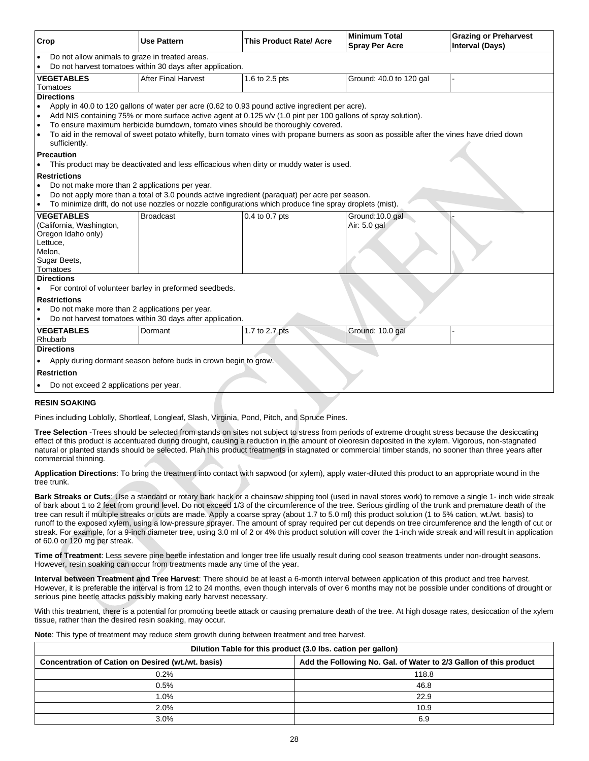| Crop                                                                                                                                                                                                                                                                                                                                                                                                                                                                                                                                                                                                                                                                                                                                                                                                                                                               | <b>Use Pattern</b>                                                                                                           | <b>This Product Rate/ Acre</b> | <b>Minimum Total</b><br><b>Spray Per Acre</b> | <b>Grazing or Preharvest</b><br>Interval (Days) |  |
|--------------------------------------------------------------------------------------------------------------------------------------------------------------------------------------------------------------------------------------------------------------------------------------------------------------------------------------------------------------------------------------------------------------------------------------------------------------------------------------------------------------------------------------------------------------------------------------------------------------------------------------------------------------------------------------------------------------------------------------------------------------------------------------------------------------------------------------------------------------------|------------------------------------------------------------------------------------------------------------------------------|--------------------------------|-----------------------------------------------|-------------------------------------------------|--|
| Do not allow animals to graze in treated areas.<br>$\bullet$                                                                                                                                                                                                                                                                                                                                                                                                                                                                                                                                                                                                                                                                                                                                                                                                       |                                                                                                                              |                                |                                               |                                                 |  |
| Do not harvest tomatoes within 30 days after application.<br>$\bullet$                                                                                                                                                                                                                                                                                                                                                                                                                                                                                                                                                                                                                                                                                                                                                                                             |                                                                                                                              |                                |                                               |                                                 |  |
| <b>VEGETABLES</b><br>Tomatoes                                                                                                                                                                                                                                                                                                                                                                                                                                                                                                                                                                                                                                                                                                                                                                                                                                      | <b>After Final Harvest</b>                                                                                                   | 1.6 to 2.5 pts                 | Ground: 40.0 to 120 gal                       |                                                 |  |
| <b>Directions</b><br>Apply in 40.0 to 120 gallons of water per acre (0.62 to 0.93 pound active ingredient per acre).<br>$\bullet$<br>Add NIS containing 75% or more surface active agent at 0.125 v/v (1.0 pint per 100 gallons of spray solution).<br>$\bullet$<br>To ensure maximum herbicide burndown, tomato vines should be thoroughly covered.<br>$\bullet$<br>To aid in the removal of sweet potato whitefly, burn tomato vines with propane burners as soon as possible after the vines have dried down<br>sufficiently.<br><b>Precaution</b><br>This product may be deactivated and less efficacious when dirty or muddy water is used.<br>$\bullet$<br><b>Restrictions</b><br>Do not make more than 2 applications per year.<br>$\bullet$<br>Do not apply more than a total of 3.0 pounds active ingredient (paraquat) per acre per season.<br>$\bullet$ |                                                                                                                              |                                |                                               |                                                 |  |
| $\bullet$<br><b>VEGETABLES</b><br>(California, Washington,<br>Oregon Idaho only)<br>Lettuce,<br>Melon,<br>Sugar Beets,<br>Tomatoes                                                                                                                                                                                                                                                                                                                                                                                                                                                                                                                                                                                                                                                                                                                                 | To minimize drift, do not use nozzles or nozzle configurations which produce fine spray droplets (mist).<br><b>Broadcast</b> | 0.4 to 0.7 pts                 | Ground: 10.0 gal<br>Air: 5.0 gal              |                                                 |  |
| <b>Directions</b>                                                                                                                                                                                                                                                                                                                                                                                                                                                                                                                                                                                                                                                                                                                                                                                                                                                  | For control of volunteer barley in preformed seedbeds.                                                                       |                                |                                               |                                                 |  |
| <b>Restrictions</b><br>Do not make more than 2 applications per year.<br>Do not harvest tomatoes within 30 days after application.<br>$\bullet$                                                                                                                                                                                                                                                                                                                                                                                                                                                                                                                                                                                                                                                                                                                    |                                                                                                                              |                                |                                               |                                                 |  |
| <b>VEGETABLES</b><br>Rhubarb                                                                                                                                                                                                                                                                                                                                                                                                                                                                                                                                                                                                                                                                                                                                                                                                                                       | Dormant                                                                                                                      | 1.7 to 2.7 pts                 | Ground: 10.0 gal                              |                                                 |  |
| <b>Directions</b>                                                                                                                                                                                                                                                                                                                                                                                                                                                                                                                                                                                                                                                                                                                                                                                                                                                  |                                                                                                                              |                                |                                               |                                                 |  |
| Apply during dormant season before buds in crown begin to grow.<br>$\bullet$                                                                                                                                                                                                                                                                                                                                                                                                                                                                                                                                                                                                                                                                                                                                                                                       |                                                                                                                              |                                |                                               |                                                 |  |
| <b>Restriction</b>                                                                                                                                                                                                                                                                                                                                                                                                                                                                                                                                                                                                                                                                                                                                                                                                                                                 |                                                                                                                              |                                |                                               |                                                 |  |
| Do not exceed 2 applications per year.                                                                                                                                                                                                                                                                                                                                                                                                                                                                                                                                                                                                                                                                                                                                                                                                                             |                                                                                                                              |                                |                                               |                                                 |  |
|                                                                                                                                                                                                                                                                                                                                                                                                                                                                                                                                                                                                                                                                                                                                                                                                                                                                    |                                                                                                                              |                                |                                               |                                                 |  |

### **RESIN SOAKING**

Pines including Loblolly, Shortleaf, Longleaf, Slash, Virginia, Pond, Pitch, and Spruce Pines.

**Tree Selection** -Trees should be selected from stands on sites not subject to stress from periods of extreme drought stress because the desiccating effect of this product is accentuated during drought, causing a reduction in the amount of oleoresin deposited in the xylem. Vigorous, non-stagnated natural or planted stands should be selected. Plan this product treatments in stagnated or commercial timber stands, no sooner than three years after commercial thinning.

**Application Directions**: To bring the treatment into contact with sapwood (or xylem), apply water-diluted this product to an appropriate wound in the tree trunk.

**Bark Streaks or Cuts**: Use a standard or rotary bark hack or a chainsaw shipping tool (used in naval stores work) to remove a single 1- inch wide streak of bark about 1 to 2 feet from ground level. Do not exceed 1/3 of the circumference of the tree. Serious girdling of the trunk and premature death of the tree can result if multiple streaks or cuts are made. Apply a coarse spray (about 1.7 to 5.0 ml) this product solution (1 to 5% cation, wt./wt. basis) to runoff to the exposed xylem, using a low-pressure sprayer. The amount of spray required per cut depends on tree circumference and the length of cut or streak. For example, for a 9-inch diameter tree, using 3.0 ml of 2 or 4% this product solution will cover the 1-inch wide streak and will result in application of 60.0 or 120 mg per streak.

**Time of Treatment**: Less severe pine beetle infestation and longer tree life usually result during cool season treatments under non-drought seasons. However, resin soaking can occur from treatments made any time of the year.

**Interval between Treatment and Tree Harvest**: There should be at least a 6-month interval between application of this product and tree harvest. However, it is preferable the interval is from 12 to 24 months, even though intervals of over 6 months may not be possible under conditions of drought or serious pine beetle attacks possibly making early harvest necessary.

With this treatment, there is a potential for promoting beetle attack or causing premature death of the tree. At high dosage rates, desiccation of the xylem tissue, rather than the desired resin soaking, may occur.

**Note**: This type of treatment may reduce stem growth during between treatment and tree harvest.

| Dilution Table for this product (3.0 lbs. cation per gallon)                                                            |       |  |  |  |
|-------------------------------------------------------------------------------------------------------------------------|-------|--|--|--|
| Concentration of Cation on Desired (wt./wt. basis)<br>Add the Following No. Gal. of Water to 2/3 Gallon of this product |       |  |  |  |
| 0.2%                                                                                                                    | 118.8 |  |  |  |
| 0.5%                                                                                                                    | 46.8  |  |  |  |
| 1.0%                                                                                                                    | 22.9  |  |  |  |
| 2.0%                                                                                                                    | 10.9  |  |  |  |
| 3.0%                                                                                                                    | 6.9   |  |  |  |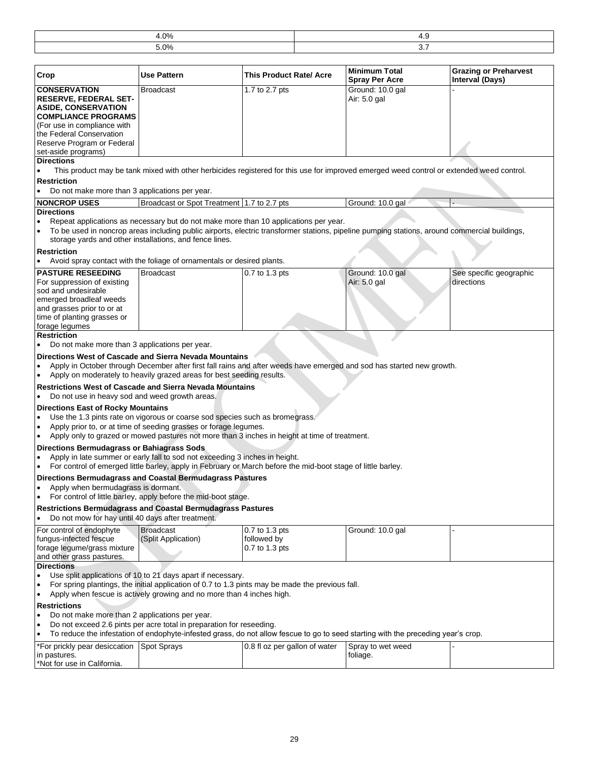| 4.0% | . .       |
|------|-----------|
|      |           |
| 5.0% | $\ddotsc$ |

| Crop                                                                                                                                                                                                                            | <b>Use Pattern</b>                                                                                                                                                                                                                                                                                               | <b>This Product Rate/ Acre</b>                  | <b>Minimum Total</b><br><b>Spray Per Acre</b>                                                                                                 | <b>Grazing or Preharvest</b><br>Interval (Days) |
|---------------------------------------------------------------------------------------------------------------------------------------------------------------------------------------------------------------------------------|------------------------------------------------------------------------------------------------------------------------------------------------------------------------------------------------------------------------------------------------------------------------------------------------------------------|-------------------------------------------------|-----------------------------------------------------------------------------------------------------------------------------------------------|-------------------------------------------------|
| <b>CONSERVATION</b><br><b>RESERVE, FEDERAL SET-</b><br><b>ASIDE, CONSERVATION</b><br><b>COMPLIANCE PROGRAMS</b><br>(For use in compliance with<br>the Federal Conservation<br>Reserve Program or Federal<br>set-aside programs) | <b>Broadcast</b>                                                                                                                                                                                                                                                                                                 | 1.7 to 2.7 pts                                  | Ground: 10.0 gal<br>Air: 5.0 gal                                                                                                              |                                                 |
| <b>Directions</b><br><b>Restriction</b>                                                                                                                                                                                         |                                                                                                                                                                                                                                                                                                                  |                                                 | This product may be tank mixed with other herbicides registered for this use for improved emerged weed control or extended weed control.      |                                                 |
| Do not make more than 3 applications per year.                                                                                                                                                                                  |                                                                                                                                                                                                                                                                                                                  |                                                 |                                                                                                                                               |                                                 |
| <b>NONCROP USES</b>                                                                                                                                                                                                             | Broadcast or Spot Treatment 1.7 to 2.7 pts                                                                                                                                                                                                                                                                       |                                                 | Ground: 10.0 gal                                                                                                                              |                                                 |
| <b>Directions</b><br>$\bullet$<br><b>Restriction</b>                                                                                                                                                                            | Repeat applications as necessary but do not make more than 10 applications per year.<br>storage yards and other installations, and fence lines.                                                                                                                                                                  |                                                 | To be used in noncrop areas including public airports, electric transformer stations, pipeline pumping stations, around commercial buildings, |                                                 |
|                                                                                                                                                                                                                                 | Avoid spray contact with the foliage of ornamentals or desired plants.                                                                                                                                                                                                                                           |                                                 |                                                                                                                                               |                                                 |
| <b>PASTURE RESEEDING</b><br>For suppression of existing<br>sod and undesirable<br>emerged broadleaf weeds<br>and grasses prior to or at<br>time of planting grasses or<br>forage legumes                                        | <b>Broadcast</b>                                                                                                                                                                                                                                                                                                 | 0.7 to 1.3 pts                                  | Ground: 10.0 gal<br>Air: 5.0 gal                                                                                                              | See specific geographic<br>directions           |
| <b>Restriction</b>                                                                                                                                                                                                              |                                                                                                                                                                                                                                                                                                                  |                                                 |                                                                                                                                               |                                                 |
| Do not make more than 3 applications per year.                                                                                                                                                                                  |                                                                                                                                                                                                                                                                                                                  |                                                 |                                                                                                                                               |                                                 |
| $\bullet$                                                                                                                                                                                                                       | Directions West of Cascade and Sierra Nevada Mountains<br>Apply on moderately to heavily grazed areas for best seeding results.<br><b>Restrictions West of Cascade and Sierra Nevada Mountains</b>                                                                                                               |                                                 | Apply in October through December after first fall rains and after weeds have emerged and sod has started new growth.                         |                                                 |
| Do not use in heavy sod and weed growth areas.                                                                                                                                                                                  |                                                                                                                                                                                                                                                                                                                  |                                                 |                                                                                                                                               |                                                 |
| <b>Directions East of Rocky Mountains</b><br>$\bullet$<br>$\bullet$                                                                                                                                                             | Use the 1.3 pints rate on vigorous or coarse sod species such as bromegrass.<br>Apply prior to, or at time of seeding grasses or forage legumes.<br>Apply only to grazed or mowed pastures not more than 3 inches in height at time of treatment.                                                                |                                                 |                                                                                                                                               |                                                 |
| <b>Directions Bermudagrass or Bahiagrass Sods</b>                                                                                                                                                                               | Apply in late summer or early fall to sod not exceeding 3 inches in height.<br>For control of emerged little barley, apply in February or March before the mid-boot stage of little barley.                                                                                                                      |                                                 |                                                                                                                                               |                                                 |
| Apply when bermudagrass is dormant.                                                                                                                                                                                             | Directions Bermudagrass and Coastal Bermudagrass Pastures<br>For control of little barley, apply before the mid-boot stage.<br><b>Restrictions Bermudagrass and Coastal Bermudagrass Pastures</b>                                                                                                                |                                                 |                                                                                                                                               |                                                 |
| Do not mow for hay until 40 days after treatment.<br>$\bullet$                                                                                                                                                                  |                                                                                                                                                                                                                                                                                                                  |                                                 |                                                                                                                                               |                                                 |
| For control of endophyte<br>fungus-infected fescue<br>forage legume/grass mixture                                                                                                                                               | <b>Broadcast</b><br>(Split Application)                                                                                                                                                                                                                                                                          | 0.7 to 1.3 pts<br>followed by<br>0.7 to 1.3 pts | Ground: 10.0 gal                                                                                                                              |                                                 |
| and other grass pastures.<br><b>Directions</b>                                                                                                                                                                                  |                                                                                                                                                                                                                                                                                                                  |                                                 |                                                                                                                                               |                                                 |
| $\bullet$<br>$\bullet$<br><b>Restrictions</b><br>Do not make more than 2 applications per year.<br>$\bullet$                                                                                                                    | Use split applications of 10 to 21 days apart if necessary.<br>For spring plantings, the initial application of 0.7 to 1.3 pints may be made the previous fall.<br>Apply when fescue is actively growing and no more than 4 inches high.<br>Do not exceed 2.6 pints per acre total in preparation for reseeding. |                                                 |                                                                                                                                               |                                                 |
| $\bullet$                                                                                                                                                                                                                       |                                                                                                                                                                                                                                                                                                                  |                                                 | To reduce the infestation of endophyte-infested grass, do not allow fescue to go to seed starting with the preceding year's crop.             |                                                 |
| *For prickly pear desiccation Spot Sprays<br>in pastures.<br>*Not for use in California.                                                                                                                                        |                                                                                                                                                                                                                                                                                                                  | 0.8 fl oz per gallon of water                   | Spray to wet weed<br>foliage.                                                                                                                 |                                                 |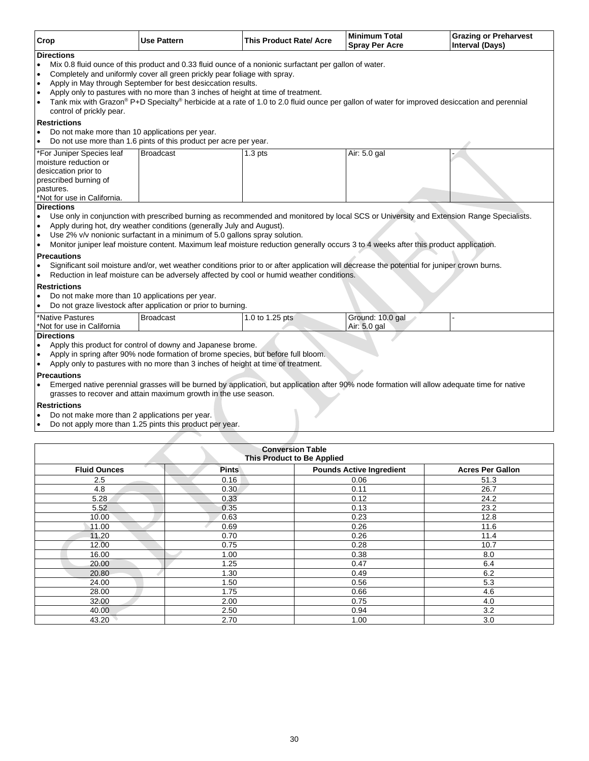| Crop                                                                                                                                                                                                                                                                                                                                                                                                                                                                                                                                                                                                                                                                                                                                                               | <b>Use Pattern</b> | <b>This Product Rate/ Acre</b> | <b>Minimum Total</b><br><b>Spray Per Acre</b> | <b>Grazing or Preharvest</b><br><b>Interval (Days)</b> |  |
|--------------------------------------------------------------------------------------------------------------------------------------------------------------------------------------------------------------------------------------------------------------------------------------------------------------------------------------------------------------------------------------------------------------------------------------------------------------------------------------------------------------------------------------------------------------------------------------------------------------------------------------------------------------------------------------------------------------------------------------------------------------------|--------------------|--------------------------------|-----------------------------------------------|--------------------------------------------------------|--|
| <b>Directions</b><br>Mix 0.8 fluid ounce of this product and 0.33 fluid ounce of a nonionic surfactant per gallon of water.<br>Completely and uniformly cover all green prickly pear foliage with spray.<br>$\bullet$<br>Apply in May through September for best desiccation results.<br>Apply only to pastures with no more than 3 inches of height at time of treatment.<br>Tank mix with Grazon® P+D Specialty® herbicide at a rate of 1.0 to 2.0 fluid ounce per gallon of water for improved desiccation and perennial<br>$\bullet$<br>control of prickly pear.                                                                                                                                                                                               |                    |                                |                                               |                                                        |  |
| <b>Restrictions</b><br>Do not make more than 10 applications per year.<br>Do not use more than 1.6 pints of this product per acre per year.<br>$\bullet$                                                                                                                                                                                                                                                                                                                                                                                                                                                                                                                                                                                                           |                    |                                |                                               |                                                        |  |
| *For Juniper Species leaf<br>moisture reduction or<br>desiccation prior to<br>prescribed burning of<br>pastures.<br>*Not for use in California.                                                                                                                                                                                                                                                                                                                                                                                                                                                                                                                                                                                                                    | <b>Broadcast</b>   | 1.3 <sub>pts</sub>             | Air: 5.0 gal                                  |                                                        |  |
| <b>Directions</b><br>Use only in conjunction with prescribed burning as recommended and monitored by local SCS or University and Extension Range Specialists.<br>Apply during hot, dry weather conditions (generally July and August).<br>$\bullet$<br>Use 2% v/v nonionic surfactant in a minimum of 5.0 gallons spray solution.<br>Monitor juniper leaf moisture content. Maximum leaf moisture reduction generally occurs 3 to 4 weeks after this product application.<br><b>Precautions</b><br>Significant soil moisture and/or, wet weather conditions prior to or after application will decrease the potential for juniper crown burns.<br>Reduction in leaf moisture can be adversely affected by cool or humid weather conditions.<br><b>Restrictions</b> |                    |                                |                                               |                                                        |  |
| Do not make more than 10 applications per year.<br>Do not graze livestock after application or prior to burning.                                                                                                                                                                                                                                                                                                                                                                                                                                                                                                                                                                                                                                                   |                    |                                |                                               |                                                        |  |
| *Native Pastures<br>*Not for use in California                                                                                                                                                                                                                                                                                                                                                                                                                                                                                                                                                                                                                                                                                                                     | <b>Broadcast</b>   | 1.0 to 1.25 pts                | Ground: 10.0 gal<br>Air: 5.0 gal              |                                                        |  |
| <b>Directions</b><br>Apply this product for control of downy and Japanese brome.<br>Apply in spring after 90% node formation of brome species, but before full bloom.<br>Apply only to pastures with no more than 3 inches of height at time of treatment.<br>$\bullet$<br><b>Precautions</b>                                                                                                                                                                                                                                                                                                                                                                                                                                                                      |                    |                                |                                               |                                                        |  |
| Emerged native perennial grasses will be burned by application, but application after 90% node formation will allow adequate time for native<br>grasses to recover and attain maximum growth in the use season.                                                                                                                                                                                                                                                                                                                                                                                                                                                                                                                                                    |                    |                                |                                               |                                                        |  |
| <b>Restrictions</b><br>Do not make more than 2 applications per year.<br>$\bullet$<br>Do not apply more than 1.25 pints this product per year.                                                                                                                                                                                                                                                                                                                                                                                                                                                                                                                                                                                                                     |                    |                                |                                               |                                                        |  |

| <b>Conversion Table</b><br>This Product to Be Applied |              |                                 |                         |  |  |
|-------------------------------------------------------|--------------|---------------------------------|-------------------------|--|--|
| <b>Fluid Ounces</b>                                   | <b>Pints</b> | <b>Pounds Active Ingredient</b> | <b>Acres Per Gallon</b> |  |  |
| 2.5                                                   | 0.16         | 0.06                            | 51.3                    |  |  |
| 4.8                                                   | 0.30         | 0.11                            | 26.7                    |  |  |
| 5.28                                                  | 0.33         | 0.12                            | 24.2                    |  |  |
| 5.52                                                  | 0.35         | 0.13                            | 23.2                    |  |  |
| 10.00                                                 | 0.63         | 0.23                            | 12.8                    |  |  |
| 11.00                                                 | 0.69         | 0.26                            | 11.6                    |  |  |
| 11.20                                                 | 0.70         | 0.26                            | 11.4                    |  |  |
| 12.00                                                 | 0.75         | 0.28                            | 10.7                    |  |  |
| 16.00                                                 | 1.00         | 0.38                            | 8.0                     |  |  |
| 20.00                                                 | 1.25         | 0.47                            | 6.4                     |  |  |
| 20.80                                                 | 1.30         | 0.49                            | 6.2                     |  |  |
| 24.00                                                 | 1.50         | 0.56                            | 5.3                     |  |  |
| 28.00                                                 | 1.75         | 0.66                            | 4.6                     |  |  |
| 32.00                                                 | 2.00         | 0.75                            | 4.0                     |  |  |
| 40.00                                                 | 2.50         | 0.94                            | 3.2                     |  |  |
| 43.20                                                 | 2.70         | 1.00                            | 3.0                     |  |  |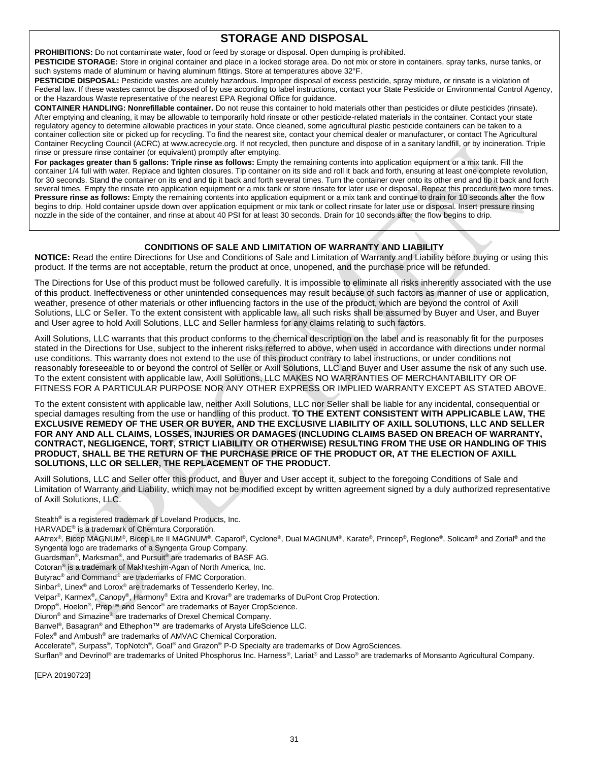# **STORAGE AND DISPOSAL**

**PROHIBITIONS:** Do not contaminate water, food or feed by storage or disposal. Open dumping is prohibited.

**PESTICIDE STORAGE:** Store in original container and place in a locked storage area. Do not mix or store in containers, spray tanks, nurse tanks, or such systems made of aluminum or having aluminum fittings. Store at temperatures above 32°F.

**PESTICIDE DISPOSAL:** Pesticide wastes are acutely hazardous. Improper disposal of excess pesticide, spray mixture, or rinsate is a violation of Federal law. If these wastes cannot be disposed of by use according to label instructions, contact your State Pesticide or Environmental Control Agency, or the Hazardous Waste representative of the nearest EPA Regional Office for guidance.

**CONTAINER HANDLING: Nonrefillable container.** Do not reuse this container to hold materials other than pesticides or dilute pesticides (rinsate). After emptying and cleaning, it may be allowable to temporarily hold rinsate or other pesticide-related materials in the container. Contact your state regulatory agency to determine allowable practices in your state. Once cleaned, some agricultural plastic pesticide containers can be taken to a container collection site or picked up for recycling. To find the nearest site, contact your chemical dealer or manufacturer, or contact The Agricultural Container Recycling Council (ACRC) at www.acrecycle.org. If not recycled, then puncture and dispose of in a sanitary landfill, or by incineration. Triple rinse or pressure rinse container (or equivalent) promptly after emptying.

**For packages greater than 5 gallons: Triple rinse as follows:** Empty the remaining contents into application equipment or a mix tank. Fill the container 1/4 full with water. Replace and tighten closures. Tip container on its side and roll it back and forth, ensuring at least one complete revolution, for 30 seconds. Stand the container on its end and tip it back and forth several times. Turn the container over onto its other end and tip it back and forth several times. Empty the rinsate into application equipment or a mix tank or store rinsate for later use or disposal. Repeat this procedure two more times. **Pressure rinse as follows:** Empty the remaining contents into application equipment or a mix tank and continue to drain for 10 seconds after the flow begins to drip. Hold container upside down over application equipment or mix tank or collect rinsate for later use or disposal. Insert pressure rinsing nozzle in the side of the container, and rinse at about 40 PSI for at least 30 seconds. Drain for 10 seconds after the flow begins to drip.

## **CONDITIONS OF SALE AND LIMITATION OF WARRANTY AND LIABILITY**

**NOTICE:** Read the entire Directions for Use and Conditions of Sale and Limitation of Warranty and Liability before buying or using this product. If the terms are not acceptable, return the product at once, unopened, and the purchase price will be refunded.

The Directions for Use of this product must be followed carefully. It is impossible to eliminate all risks inherently associated with the use of this product. Ineffectiveness or other unintended consequences may result because of such factors as manner of use or application, weather, presence of other materials or other influencing factors in the use of the product, which are beyond the control of Axill Solutions, LLC or Seller. To the extent consistent with applicable law, all such risks shall be assumed by Buyer and User, and Buyer and User agree to hold Axill Solutions, LLC and Seller harmless for any claims relating to such factors.

Axill Solutions, LLC warrants that this product conforms to the chemical description on the label and is reasonably fit for the purposes stated in the Directions for Use, subject to the inherent risks referred to above, when used in accordance with directions under normal use conditions. This warranty does not extend to the use of this product contrary to label instructions, or under conditions not reasonably foreseeable to or beyond the control of Seller or Axill Solutions, LLC and Buyer and User assume the risk of any such use. To the extent consistent with applicable law, Axill Solutions, LLC MAKES NO WARRANTIES OF MERCHANTABILITY OR OF FITNESS FOR A PARTICULAR PURPOSE NOR ANY OTHER EXPRESS OR IMPLIED WARRANTY EXCEPT AS STATED ABOVE.

To the extent consistent with applicable law, neither Axill Solutions, LLC nor Seller shall be liable for any incidental, consequential or special damages resulting from the use or handling of this product. **TO THE EXTENT CONSISTENT WITH APPLICABLE LAW, THE EXCLUSIVE REMEDY OF THE USER OR BUYER, AND THE EXCLUSIVE LIABILITY OF AXILL SOLUTIONS, LLC AND SELLER FOR ANY AND ALL CLAIMS, LOSSES, INJURIES OR DAMAGES (INCLUDING CLAIMS BASED ON BREACH OF WARRANTY, CONTRACT, NEGLIGENCE, TORT, STRICT LIABILITY OR OTHERWISE) RESULTING FROM THE USE OR HANDLING OF THIS PRODUCT, SHALL BE THE RETURN OF THE PURCHASE PRICE OF THE PRODUCT OR, AT THE ELECTION OF AXILL SOLUTIONS, LLC OR SELLER, THE REPLACEMENT OF THE PRODUCT.**

Axill Solutions, LLC and Seller offer this product, and Buyer and User accept it, subject to the foregoing Conditions of Sale and Limitation of Warranty and Liability, which may not be modified except by written agreement signed by a duly authorized representative of Axill Solutions, LLC.

Stealth<sup>®</sup> is a registered trademark of Loveland Products, Inc.

HARVADE® is a trademark of Chemtura Corporation.

 $\mathsf{A}$ Atrex®, Bicep MAGNUM®, Bicep Lite II MAGNUM®, Caparol®, Cyclone®, Dual MAGNUM®, Karate®, Princep®, Reglone®, Solicam® and Zorial® and the Syngenta logo are trademarks of a Syngenta Group Company.

Guardsman® , Marksman® , and Pursuit® are trademarks of BASF AG.

Cotoran® is a trademark of Makhteshim-Agan of North America, Inc.

Butyrac® and Command® are trademarks of FMC Corporation.

Sinbar<sup>®</sup>, Linex<sup>®</sup> and Lorox<sup>®</sup> are trademarks of Tessenderlo Kerley, Inc.

Velpar®, Karmex®, Canopy®, Harmony® Extra and Krovar® are trademarks of DuPont Crop Protection.

Dropp<sup>®</sup>, Hoelon®, Prep™ and Sencor® are trademarks of Bayer CropScience.

Diuron® and Simazine® are trademarks of Drexel Chemical Company.

Banvel®, Basagran® and Ethephon™ are trademarks of Arysta LifeScience LLC.

Folex® and Ambush® are trademarks of AMVAC Chemical Corporation.

Accelerate®, Surpass®, TopNotch®, Goal® and Grazon® P-D Specialty are trademarks of Dow AgroSciences.

Surflan® and Devrinol® are trademarks of United Phosphorus Inc. Harness®, Lariat® and Lasso® are trademarks of Monsanto Agricultural Company.

[EPA 20190723]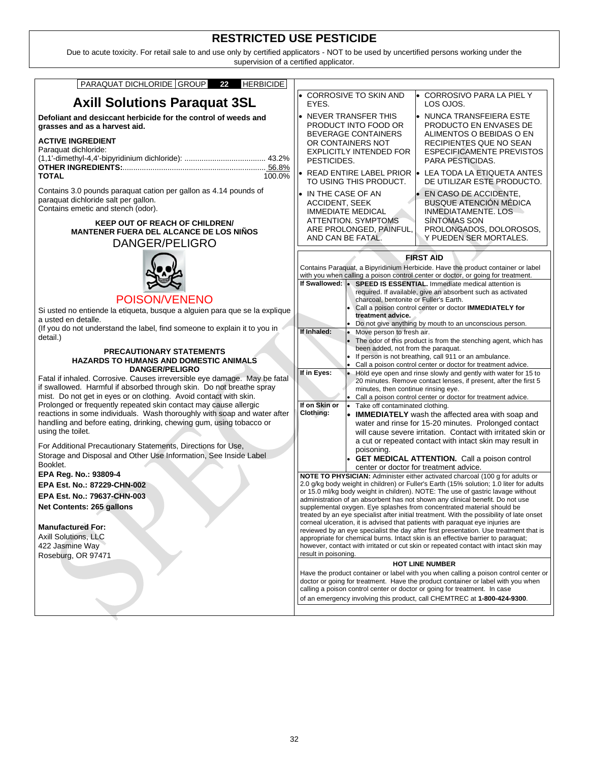# **RESTRICTED USE PESTICIDE**

Due to acute toxicity. For retail sale to and use only by certified applicators - NOT to be used by uncertified persons working under the supervision of a certified applicator.

| PARAQUAT DICHLORIDE GROUP<br>22<br><b>HERBICIDE</b>                                                                                                                                                                                                                                                                 |                                                                                                                                                                                                                                                                                                                                                                                                                                                                                                                                                                                                                                                                                                                                                                                                                  |  |
|---------------------------------------------------------------------------------------------------------------------------------------------------------------------------------------------------------------------------------------------------------------------------------------------------------------------|------------------------------------------------------------------------------------------------------------------------------------------------------------------------------------------------------------------------------------------------------------------------------------------------------------------------------------------------------------------------------------------------------------------------------------------------------------------------------------------------------------------------------------------------------------------------------------------------------------------------------------------------------------------------------------------------------------------------------------------------------------------------------------------------------------------|--|
| <b>Axill Solutions Paraquat 3SL</b>                                                                                                                                                                                                                                                                                 | • CORROSIVE TO SKIN AND<br>• CORROSIVO PARA LA PIEL Y<br>EYES.<br>LOS OJOS.                                                                                                                                                                                                                                                                                                                                                                                                                                                                                                                                                                                                                                                                                                                                      |  |
| Defoliant and desiccant herbicide for the control of weeds and<br>grasses and as a harvest aid.<br><b>ACTIVE INGREDIENT</b><br>Paraguat dichloride:<br><b>TOTAL</b><br>100.0%                                                                                                                                       | NEVER TRANSFER THIS<br>• NUNCA TRANSFEIERA ESTE<br>PRODUCT INTO FOOD OR<br>PRODUCTO EN ENVASES DE<br><b>BEVERAGE CONTAINERS</b><br>ALIMENTOS O BEBIDAS O EN<br>OR CONTAINERS NOT<br>RECIPIENTES QUE NO SEAN<br><b>EXPLICITLY INTENDED FOR</b><br><b>ESPECIFICAMENTE PREVISTOS</b><br>PESTICIDES.<br>PARA PESTICIDAS.<br>READ ENTIRE LABEL PRIOR   LEA TODA LA ETIQUETA ANTES                                                                                                                                                                                                                                                                                                                                                                                                                                     |  |
| Contains 3.0 pounds paraquat cation per gallon as 4.14 pounds of<br>paraquat dichloride salt per gallon.<br>Contains emetic and stench (odor).<br>KEEP OUT OF REACH OF CHILDREN/<br><b>MANTENER FUERA DEL ALCANCE DE LOS NIÑOS</b><br>DANGER/PELIGRO                                                                | TO USING THIS PRODUCT.<br>DE UTILIZAR ESTE PRODUCTO.<br>• IN THE CASE OF AN<br>EN CASO DE ACCIDENTE,<br><b>ACCIDENT, SEEK</b><br><b>BUSQUE ATENCION MEDICA</b><br><b>IMMEDIATE MEDICAL</b><br>INMEDIATAMENTE. LOS<br><b>ATTENTION. SYMPTOMS</b><br><b>SINTOMAS SON</b><br>ARE PROLONGED, PAINFUL,<br>PROLONGADOS, DOLOROSOS,<br>AND CAN BE FATAL.<br>Y PUEDEN SER MORTALES.                                                                                                                                                                                                                                                                                                                                                                                                                                      |  |
|                                                                                                                                                                                                                                                                                                                     | <b>FIRST AID</b><br>Contains Paraguat, a Bipyridinium Herbicide. Have the product container or label<br>with you when calling a poison control center or doctor, or going for treatment.<br>If Swallowed: I.<br>SPEED IS ESSENTIAL. Immediate medical attention is                                                                                                                                                                                                                                                                                                                                                                                                                                                                                                                                               |  |
| <b>POISON/VENENO</b><br>Si usted no entiende la etiqueta, busque a alguien para que se la explique<br>a usted en detalle.                                                                                                                                                                                           | required. If available, give an absorbent such as activated<br>charcoal, bentonite or Fuller's Earth.<br>Call a poison control center or doctor IMMEDIATELY for<br>treatment advice.<br>Do not give anything by mouth to an unconscious person.                                                                                                                                                                                                                                                                                                                                                                                                                                                                                                                                                                  |  |
| (If you do not understand the label, find someone to explain it to you in<br>detail.)<br><b>PRECAUTIONARY STATEMENTS</b><br><b>HAZARDS TO HUMANS AND DOMESTIC ANIMALS</b>                                                                                                                                           | If Inhaled:<br>Move person to fresh air.<br>The odor of this product is from the stenching agent, which has<br>been added, not from the paraquat.<br>If person is not breathing, call 911 or an ambulance.<br>Call a poison control center or doctor for treatment advice.                                                                                                                                                                                                                                                                                                                                                                                                                                                                                                                                       |  |
| <b>DANGER/PELIGRO</b><br>Fatal if inhaled. Corrosive. Causes irreversible eye damage. May be fatal<br>if swallowed. Harmful if absorbed through skin. Do not breathe spray<br>mist. Do not get in eyes or on clothing. Avoid contact with skin.<br>Prolonged or frequently repeated skin contact may cause allergic | If in Eyes:<br>Hold eye open and rinse slowly and gently with water for 15 to<br>20 minutes. Remove contact lenses, if present, after the first 5<br>minutes, then continue rinsing eye.<br>Call a poison control center or doctor for treatment advice.<br>If on Skin or<br>Take off contaminated clothing.                                                                                                                                                                                                                                                                                                                                                                                                                                                                                                     |  |
| reactions in some individuals. Wash thoroughly with soap and water after<br>handling and before eating, drinking, chewing gum, using tobacco or<br>using the toilet.                                                                                                                                                | Clothing:<br><b>IMMEDIATELY</b> wash the affected area with soap and<br>water and rinse for 15-20 minutes. Prolonged contact<br>will cause severe irritation. Contact with irritated skin or<br>a cut or repeated contact with intact skin may result in                                                                                                                                                                                                                                                                                                                                                                                                                                                                                                                                                         |  |
| For Additional Precautionary Statements, Directions for Use,<br>Storage and Disposal and Other Use Information, See Inside Label<br>Booklet.<br>EPA Reg. No.: 93809-4                                                                                                                                               | poisoning.<br><b>GET MEDICAL ATTENTION.</b> Call a poison control<br>center or doctor for treatment advice.<br>NOTE TO PHYSICIAN: Administer either activated charcoal (100 g for adults or                                                                                                                                                                                                                                                                                                                                                                                                                                                                                                                                                                                                                      |  |
| EPA Est. No.: 87229-CHN-002<br>EPA Est. No.: 79637-CHN-003<br>Net Contents: 265 gallons                                                                                                                                                                                                                             | 2.0 g/kg body weight in children) or Fuller's Earth (15% solution; 1.0 liter for adults<br>or 15.0 ml/kg body weight in children). NOTE: The use of gastric lavage without<br>administration of an absorbent has not shown any clinical benefit. Do not use<br>supplemental oxygen. Eye splashes from concentrated material should be<br>treated by an eye specialist after initial treatment. With the possibility of late onset<br>corneal ulceration, it is advised that patients with paraquat eye injuries are<br>reviewed by an eye specialist the day after first presentation. Use treatment that is<br>appropriate for chemical burns. Intact skin is an effective barrier to paraquat;<br>however, contact with irritated or cut skin or repeated contact with intact skin may<br>result in poisoning. |  |
| <b>Manufactured For:</b><br>Axill Solutions, LLC<br>422 Jasmine Way<br>Roseburg, OR 97471                                                                                                                                                                                                                           |                                                                                                                                                                                                                                                                                                                                                                                                                                                                                                                                                                                                                                                                                                                                                                                                                  |  |
|                                                                                                                                                                                                                                                                                                                     | <b>HOT LINE NUMBER</b><br>Have the product container or label with you when calling a poison control center or<br>doctor or going for treatment. Have the product container or label with you when<br>calling a poison control center or doctor or going for treatment. In case<br>of an emergency involving this product, call CHEMTREC at 1-800-424-9300.                                                                                                                                                                                                                                                                                                                                                                                                                                                      |  |
|                                                                                                                                                                                                                                                                                                                     |                                                                                                                                                                                                                                                                                                                                                                                                                                                                                                                                                                                                                                                                                                                                                                                                                  |  |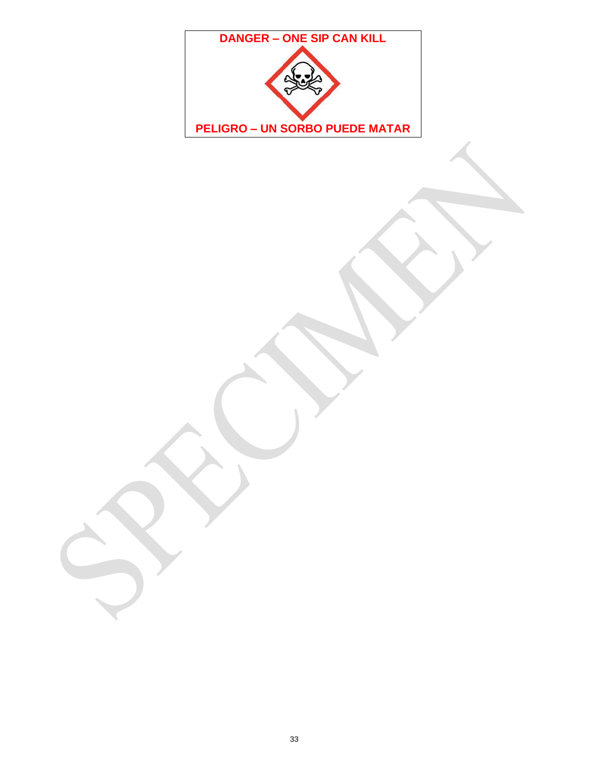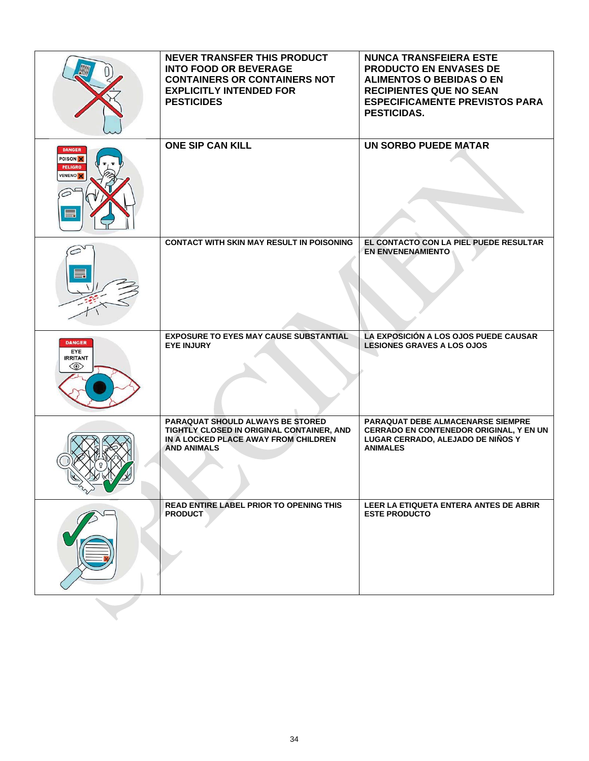|                                                                                | <b>NEVER TRANSFER THIS PRODUCT</b><br><b>INTO FOOD OR BEVERAGE</b><br><b>CONTAINERS OR CONTAINERS NOT</b><br><b>EXPLICITLY INTENDED FOR</b><br><b>PESTICIDES</b> | <b>NUNCA TRANSFEIERA ESTE</b><br><b>PRODUCTO EN ENVASES DE</b><br><b>ALIMENTOS O BEBIDAS O EN</b><br><b>RECIPIENTES QUE NO SEAN</b><br><b>ESPECIFICAMENTE PREVISTOS PARA</b><br><b>PESTICIDAS.</b> |
|--------------------------------------------------------------------------------|------------------------------------------------------------------------------------------------------------------------------------------------------------------|----------------------------------------------------------------------------------------------------------------------------------------------------------------------------------------------------|
| <b>DANGER</b><br>POISON X<br><b>PELIGRO</b><br><b>VENENO<sup>N</sup></b><br>Ξ. | <b>ONE SIP CAN KILL</b>                                                                                                                                          | <b>UN SORBO PUEDE MATAR</b>                                                                                                                                                                        |
|                                                                                | <b>CONTACT WITH SKIN MAY RESULT IN POISONING</b>                                                                                                                 | EL CONTACTO CON LA PIEL PUEDE RESULTAR<br><b>EN ENVENENAMIENTO</b>                                                                                                                                 |
| <b>DANGER</b><br>EYE<br><b>IRRITANT</b><br>$\circledcirc$                      | <b>EXPOSURE TO EYES MAY CAUSE SUBSTANTIAL</b><br><b>EYE INJURY</b>                                                                                               | LA EXPOSICIÓN A LOS OJOS PUEDE CAUSAR<br><b>LESIONES GRAVES A LOS OJOS</b>                                                                                                                         |
|                                                                                | PARAQUAT SHOULD ALWAYS BE STORED<br>TIGHTLY CLOSED IN ORIGINAL CONTAINER, AND<br>IN A LOCKED PLACE AWAY FROM CHILDREN<br><b>AND ANIMALS</b>                      | <b>PARAQUAT DEBE ALMACENARSE SIEMPRE</b><br>CERRADO EN CONTENEDOR ORIGINAL, Y EN UN<br>LUGAR CERRADO, ALEJADO DE NIÑOS Y<br><b>ANIMALES</b>                                                        |
|                                                                                | <b>READ ENTIRE LABEL PRIOR TO OPENING THIS</b><br><b>PRODUCT</b>                                                                                                 | LEER LA ETIQUETA ENTERA ANTES DE ABRIR<br><b>ESTE PRODUCTO</b>                                                                                                                                     |
|                                                                                |                                                                                                                                                                  |                                                                                                                                                                                                    |